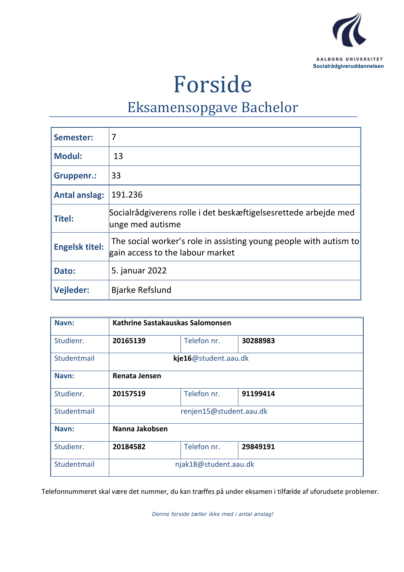

# Forside

## Eksamensopgave Bachelor

| Semester:             | 7                                                                                                     |
|-----------------------|-------------------------------------------------------------------------------------------------------|
| Modul:                | 13                                                                                                    |
| Gruppenr.:            | 33                                                                                                    |
| Antal anslag:         | 191.236                                                                                               |
| $\vert$ Titel:        | Socialrådgiverens rolle i det beskæftigelsesrettede arbejde med<br>unge med autisme                   |
| <b>Engelsk titel:</b> | The social worker's role in assisting young people with autism to<br>gain access to the labour market |
| Dato:                 | 5. januar 2022                                                                                        |
| Vejleder:             | <b>Bjarke Refslund</b>                                                                                |

| Navn:       | Kathrine Sastakauskas Salomonsen |             |          |  |
|-------------|----------------------------------|-------------|----------|--|
| Studienr.   | 20165139                         | Telefon nr. | 30288983 |  |
| Studentmail | kje16@student.aau.dk             |             |          |  |
| Navn:       | Renata Jensen                    |             |          |  |
| Studienr.   | 20157519                         | Telefon nr. | 91199414 |  |
| Studentmail | renjen15@student.aau.dk          |             |          |  |
| Navn:       | Nanna Jakobsen                   |             |          |  |
| Studienr.   | 20184582                         | Telefon nr. | 29849191 |  |
| Studentmail | njak18@student.aau.dk            |             |          |  |

Telefonnummeret skal være det nummer, du kan træffes på under eksamen i tilfælde af uforudsete problemer.

*Denne forside tæller ikke med i antal anslag!*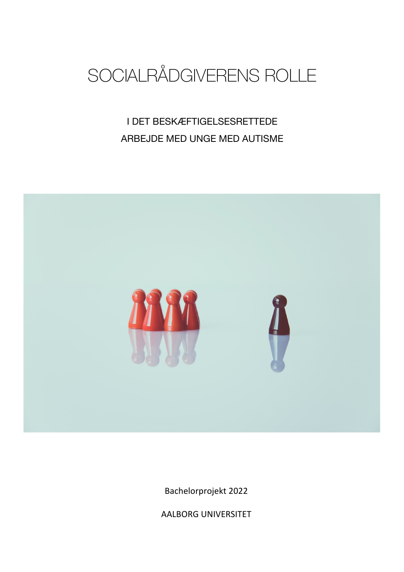

I DET BESKÆFTIGELSESRETTEDE ARBEJDE MED UNGE MED AUTISME



Bachelorprojekt 2022

AALBORG UNIVERSITET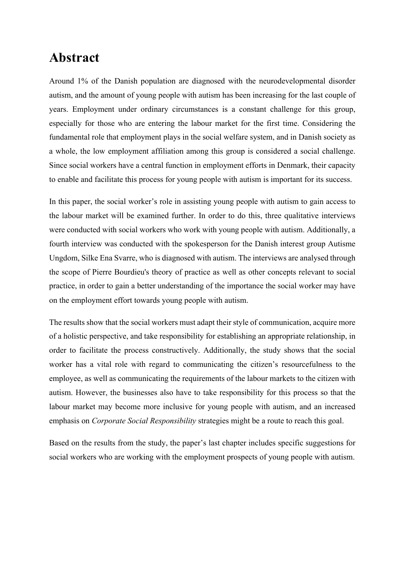## **Abstract**

Around 1% of the Danish population are diagnosed with the neurodevelopmental disorder autism, and the amount of young people with autism has been increasing for the last couple of years. Employment under ordinary circumstances is a constant challenge for this group, especially for those who are entering the labour market for the first time. Considering the fundamental role that employment plays in the social welfare system, and in Danish society as a whole, the low employment affiliation among this group is considered a social challenge. Since social workers have a central function in employment efforts in Denmark, their capacity to enable and facilitate this process for young people with autism is important for its success.

In this paper, the social worker's role in assisting young people with autism to gain access to the labour market will be examined further. In order to do this, three qualitative interviews were conducted with social workers who work with young people with autism. Additionally, a fourth interview was conducted with the spokesperson for the Danish interest group Autisme Ungdom, Silke Ena Svarre, who is diagnosed with autism. The interviews are analysed through the scope of Pierre Bourdieu's theory of practice as well as other concepts relevant to social practice, in order to gain a better understanding of the importance the social worker may have on the employment effort towards young people with autism.

The results show that the social workers must adapt their style of communication, acquire more of a holistic perspective, and take responsibility for establishing an appropriate relationship, in order to facilitate the process constructively. Additionally, the study shows that the social worker has a vital role with regard to communicating the citizen's resourcefulness to the employee, as well as communicating the requirements of the labour markets to the citizen with autism. However, the businesses also have to take responsibility for this process so that the labour market may become more inclusive for young people with autism, and an increased emphasis on *Corporate Social Responsibility* strategies might be a route to reach this goal.

Based on the results from the study, the paper's last chapter includes specific suggestions for social workers who are working with the employment prospects of young people with autism.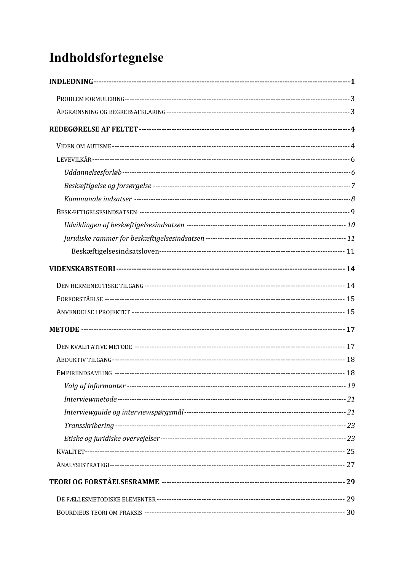## Indholdsfortegnelse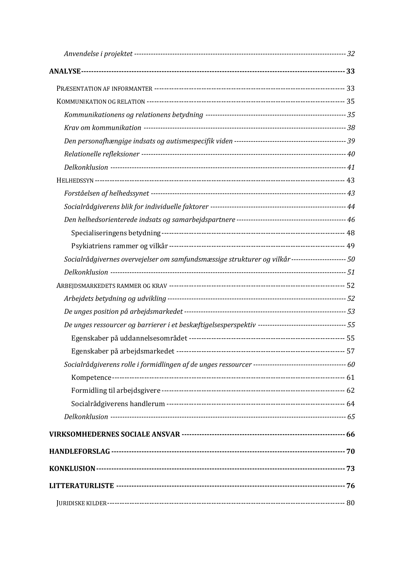| Socialrådgivernes overvejelser om samfundsmæssige strukturer og vilkår---------------------- 50       |  |
|-------------------------------------------------------------------------------------------------------|--|
|                                                                                                       |  |
|                                                                                                       |  |
|                                                                                                       |  |
|                                                                                                       |  |
| De unges ressourcer og barrierer i et beskæftigelsesperspektiv ----------------------------------- 55 |  |
|                                                                                                       |  |
|                                                                                                       |  |
|                                                                                                       |  |
|                                                                                                       |  |
|                                                                                                       |  |
|                                                                                                       |  |
|                                                                                                       |  |
|                                                                                                       |  |
|                                                                                                       |  |
|                                                                                                       |  |
|                                                                                                       |  |
|                                                                                                       |  |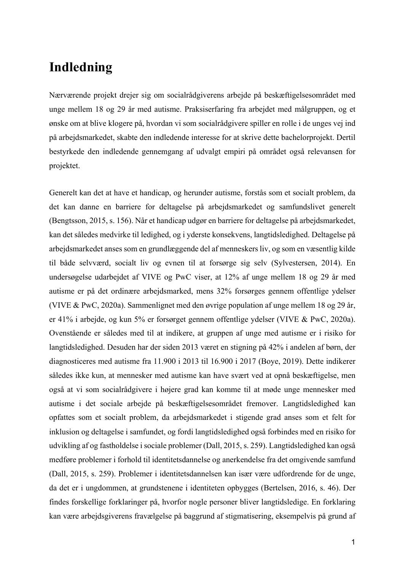## **Indledning**

Nærværende projekt drejer sig om socialrådgiverens arbejde på beskæftigelsesområdet med unge mellem 18 og 29 år med autisme. Praksiserfaring fra arbejdet med målgruppen, og et ønske om at blive klogere på, hvordan vi som socialrådgivere spiller en rolle i de unges vej ind på arbejdsmarkedet, skabte den indledende interesse for at skrive dette bachelorprojekt. Dertil bestyrkede den indledende gennemgang af udvalgt empiri på området også relevansen for projektet.

Generelt kan det at have et handicap, og herunder autisme, forstås som et socialt problem, da det kan danne en barriere for deltagelse på arbejdsmarkedet og samfundslivet generelt (Bengtsson, 2015, s. 156). Når et handicap udgør en barriere for deltagelse på arbejdsmarkedet, kan det således medvirke til ledighed, og i yderste konsekvens, langtidsledighed. Deltagelse på arbejdsmarkedet anses som en grundlæggende del af menneskers liv, og som en væsentlig kilde til både selvværd, socialt liv og evnen til at forsørge sig selv (Sylvestersen, 2014). En undersøgelse udarbejdet af VIVE og PwC viser, at 12% af unge mellem 18 og 29 år med autisme er på det ordinære arbejdsmarked, mens 32% forsørges gennem offentlige ydelser (VIVE & PwC, 2020a). Sammenlignet med den øvrige population af unge mellem 18 og 29 år, er 41% i arbejde, og kun 5% er forsørget gennem offentlige ydelser (VIVE & PwC, 2020a). Ovenstående er således med til at indikere, at gruppen af unge med autisme er i risiko for langtidsledighed. Desuden har der siden 2013 været en stigning på 42% i andelen af børn, der diagnosticeres med autisme fra 11.900 i 2013 til 16.900 i 2017 (Boye, 2019). Dette indikerer således ikke kun, at mennesker med autisme kan have svært ved at opnå beskæftigelse, men også at vi som socialrådgivere i højere grad kan komme til at møde unge mennesker med autisme i det sociale arbejde på beskæftigelsesområdet fremover. Langtidsledighed kan opfattes som et socialt problem, da arbejdsmarkedet i stigende grad anses som et felt for inklusion og deltagelse i samfundet, og fordi langtidsledighed også forbindes med en risiko for udvikling af og fastholdelse i sociale problemer (Dall, 2015, s. 259). Langtidsledighed kan også medføre problemer i forhold til identitetsdannelse og anerkendelse fra det omgivende samfund (Dall, 2015, s. 259). Problemer i identitetsdannelsen kan især være udfordrende for de unge, da det er i ungdommen, at grundstenene i identiteten opbygges (Bertelsen, 2016, s. 46). Der findes forskellige forklaringer på, hvorfor nogle personer bliver langtidsledige. En forklaring kan være arbejdsgiverens fravælgelse på baggrund af stigmatisering, eksempelvis på grund af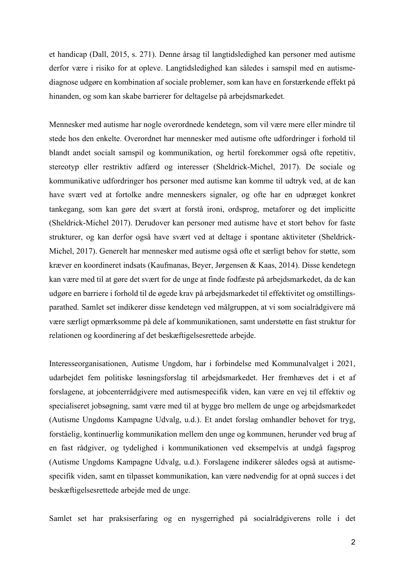et handicap (Dall, 2015, s. 271). Denne årsag til langtidsledighed kan personer med autisme derfor være i risiko for at opleve. Langtidsledighed kan således i samspil med en autismediagnose udgøre en kombination af sociale problemer, som kan have en forstærkende effekt på hinanden, og som kan skabe barrierer for deltagelse på arbejdsmarkedet.

Mennesker med autisme har nogle overordnede kendetegn, som vil være mere eller mindre til stede hos den enkelte. Overordnet har mennesker med autisme ofte udfordringer i forhold til blandt andet socialt samspil og kommunikation, og hertil forekommer også ofte repetitiv, stereotyp eller restriktiv adfærd og interesser (Sheldrick-Michel, 2017). De sociale og kommunikative udfordringer hos personer med autisme kan komme til udtryk ved, at de kan have svært ved at fortolke andre menneskers signaler, og ofte har en udpræget konkret tankegang, som kan gøre det svært at forstå ironi, ordsprog, metaforer og det implicitte (Sheldrick-Michel 2017). Derudover kan personer med autisme have et stort behov for faste strukturer, og kan derfor også have svært ved at deltage i spontane aktiviteter (Sheldrick-Michel, 2017). Generelt har mennesker med autisme også ofte et særligt behov for støtte, som kræver en koordineret indsats (Kaufmanas, Beyer, Jørgensen & Kaas, 2014). Disse kendetegn kan være med til at gøre det svært for de unge at finde fodfæste på arbejdsmarkedet, da de kan udgøre en barriere i forhold til de øgede krav på arbejdsmarkedet til effektivitet og omstillingsparathed. Samlet set indikerer disse kendetegn ved målgruppen, at vi som socialrådgivere må være særligt opmærksomme på dele af kommunikationen, samt understøtte en fast struktur for relationen og koordinering af det beskæftigelsesrettede arbejde.

Interesseorganisationen, Autisme Ungdom, har i forbindelse med Kommunalvalget i 2021, udarbejdet fem politiske løsningsforslag til arbejdsmarkedet. Her fremhæves det i et af forslagene, at jobcenterrådgivere med autismespecifik viden, kan være en vej til effektiv og specialiseret jobsøgning, samt være med til at bygge bro mellem de unge og arbejdsmarkedet (Autisme Ungdoms Kampagne Udvalg, u.d.). Et andet forslag omhandler behovet for tryg, forståelig, kontinuerlig kommunikation mellem den unge og kommunen, herunder ved brug af en fast rådgiver, og tydelighed i kommunikationen ved eksempelvis at undgå fagsprog (Autisme Ungdoms Kampagne Udvalg, u.d.). Forslagene indikerer således også at autismespecifik viden, samt en tilpasset kommunikation, kan være nødvendig for at opnå succes i det beskæftigelsesrettede arbejde med de unge.

Samlet set har praksiserfaring og en nysgerrighed på socialrådgiverens rolle i det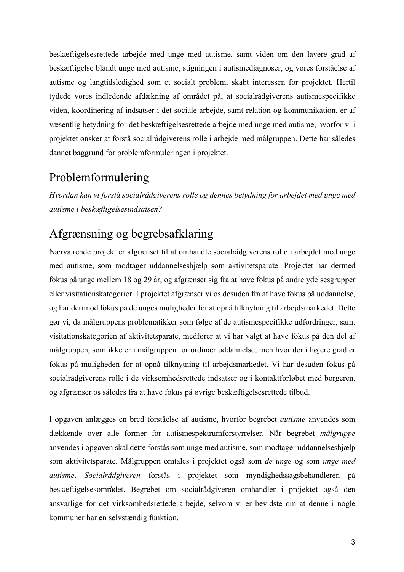beskæftigelsesrettede arbejde med unge med autisme, samt viden om den lavere grad af beskæftigelse blandt unge med autisme, stigningen i autismediagnoser, og vores forståelse af autisme og langtidsledighed som et socialt problem, skabt interessen for projektet. Hertil tydede vores indledende afdækning af området på, at socialrådgiverens autismespecifikke viden, koordinering af indsatser i det sociale arbejde, samt relation og kommunikation, er af væsentlig betydning for det beskæftigelsesrettede arbejde med unge med autisme, hvorfor vi i projektet ønsker at forstå socialrådgiverens rolle i arbejde med målgruppen. Dette har således dannet baggrund for problemformuleringen i projektet.

#### Problemformulering

*Hvordan kan vi forstå socialrådgiverens rolle og dennes betydning for arbejdet med unge med autisme i beskæftigelsesindsatsen?*

### Afgrænsning og begrebsafklaring

Nærværende projekt er afgrænset til at omhandle socialrådgiverens rolle i arbejdet med unge med autisme, som modtager uddannelseshjælp som aktivitetsparate. Projektet har dermed fokus på unge mellem 18 og 29 år, og afgrænser sig fra at have fokus på andre ydelsesgrupper eller visitationskategorier. I projektet afgrænser vi os desuden fra at have fokus på uddannelse, og har derimod fokus på de unges muligheder for at opnå tilknytning til arbejdsmarkedet. Dette gør vi, da målgruppens problematikker som følge af de autismespecifikke udfordringer, samt visitationskategorien af aktivitetsparate, medfører at vi har valgt at have fokus på den del af målgruppen, som ikke er i målgruppen for ordinær uddannelse, men hvor der i højere grad er fokus på muligheden for at opnå tilknytning til arbejdsmarkedet. Vi har desuden fokus på socialrådgiverens rolle i de virksomhedsrettede indsatser og i kontaktforløbet med borgeren, og afgrænser os således fra at have fokus på øvrige beskæftigelsesrettede tilbud.

I opgaven anlægges en bred forståelse af autisme, hvorfor begrebet *autisme* anvendes som dækkende over alle former for autismespektrumforstyrrelser. Når begrebet *målgruppe* anvendes i opgaven skal dette forstås som unge med autisme, som modtager uddannelseshjælp som aktivitetsparate. Målgruppen omtales i projektet også som *de unge* og som *unge med autisme*. *Socialrådgiveren* forstås i projektet som myndighedssagsbehandleren på beskæftigelsesområdet. Begrebet om socialrådgiveren omhandler i projektet også den ansvarlige for det virksomhedsrettede arbejde, selvom vi er bevidste om at denne i nogle kommuner har en selvstændig funktion.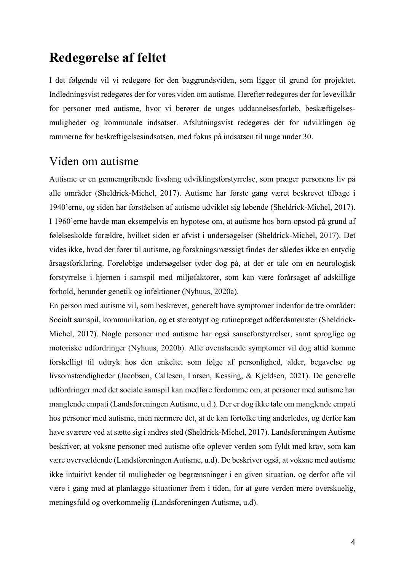## **Redegørelse af feltet**

I det følgende vil vi redegøre for den baggrundsviden, som ligger til grund for projektet. Indledningsvist redegøres der for vores viden om autisme. Herefter redegøres der for levevilkår for personer med autisme, hvor vi berører de unges uddannelsesforløb, beskæftigelsesmuligheder og kommunale indsatser. Afslutningsvist redegøres der for udviklingen og rammerne for beskæftigelsesindsatsen, med fokus på indsatsen til unge under 30.

#### Viden om autisme

Autisme er en gennemgribende livslang udviklingsforstyrrelse, som præger personens liv på alle områder (Sheldrick-Michel, 2017). Autisme har første gang været beskrevet tilbage i 1940'erne, og siden har forståelsen af autisme udviklet sig løbende (Sheldrick-Michel, 2017). I 1960'erne havde man eksempelvis en hypotese om, at autisme hos børn opstod på grund af følelseskolde forældre, hvilket siden er afvist i undersøgelser (Sheldrick-Michel, 2017). Det vides ikke, hvad der fører til autisme, og forskningsmæssigt findes der således ikke en entydig årsagsforklaring. Foreløbige undersøgelser tyder dog på, at der er tale om en neurologisk forstyrrelse i hjernen i samspil med miljøfaktorer, som kan være forårsaget af adskillige forhold, herunder genetik og infektioner (Nyhuus, 2020a).

En person med autisme vil, som beskrevet, generelt have symptomer indenfor de tre områder: Socialt samspil, kommunikation, og et stereotypt og rutinepræget adfærdsmønster (Sheldrick-Michel, 2017). Nogle personer med autisme har også sanseforstyrrelser, samt sproglige og motoriske udfordringer (Nyhuus, 2020b). Alle ovenstående symptomer vil dog altid komme forskelligt til udtryk hos den enkelte, som følge af personlighed, alder, begavelse og livsomstændigheder (Jacobsen, Callesen, Larsen, Kessing, & Kjeldsen, 2021). De generelle udfordringer med det sociale samspil kan medføre fordomme om, at personer med autisme har manglende empati (Landsforeningen Autisme, u.d.). Der er dog ikke tale om manglende empati hos personer med autisme, men nærmere det, at de kan fortolke ting anderledes, og derfor kan have sværere ved at sætte sig i andres sted (Sheldrick-Michel, 2017). Landsforeningen Autisme beskriver, at voksne personer med autisme ofte oplever verden som fyldt med krav, som kan være overvældende (Landsforeningen Autisme, u.d). De beskriver også, at voksne med autisme ikke intuitivt kender til muligheder og begrænsninger i en given situation, og derfor ofte vil være i gang med at planlægge situationer frem i tiden, for at gøre verden mere overskuelig, meningsfuld og overkommelig (Landsforeningen Autisme, u.d).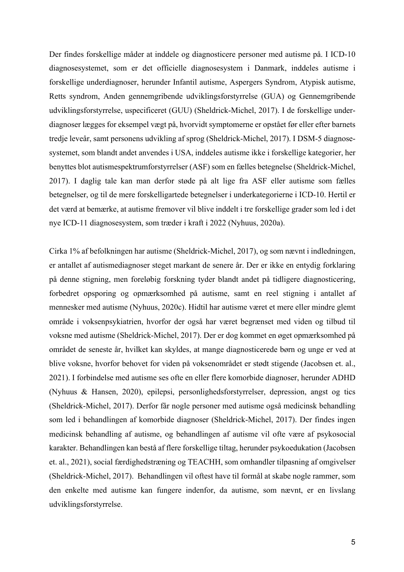Der findes forskellige måder at inddele og diagnosticere personer med autisme på. I ICD-10 diagnosesystemet, som er det officielle diagnosesystem i Danmark, inddeles autisme i forskellige underdiagnoser, herunder Infantil autisme, Aspergers Syndrom, Atypisk autisme, Retts syndrom, Anden gennemgribende udviklingsforstyrrelse (GUA) og Gennemgribende udviklingsforstyrrelse, uspecificeret (GUU) (Sheldrick-Michel, 2017). I de forskellige underdiagnoser lægges for eksempel vægt på, hvorvidt symptomerne er opstået før eller efter barnets tredje leveår, samt personens udvikling af sprog (Sheldrick-Michel, 2017). I DSM-5 diagnosesystemet, som blandt andet anvendes i USA, inddeles autisme ikke i forskellige kategorier, her benyttes blot autismespektrumforstyrrelser (ASF) som en fælles betegnelse (Sheldrick-Michel, 2017). I daglig tale kan man derfor støde på alt lige fra ASF eller autisme som fælles betegnelser, og til de mere forskelligartede betegnelser i underkategorierne i ICD-10. Hertil er det værd at bemærke, at autisme fremover vil blive inddelt i tre forskellige grader som led i det nye ICD-11 diagnosesystem, som træder i kraft i 2022 (Nyhuus, 2020a).

Cirka 1% af befolkningen har autisme (Sheldrick-Michel, 2017), og som nævnt i indledningen, er antallet af autismediagnoser steget markant de senere år. Der er ikke en entydig forklaring på denne stigning, men foreløbig forskning tyder blandt andet på tidligere diagnosticering, forbedret opsporing og opmærksomhed på autisme, samt en reel stigning i antallet af mennesker med autisme (Nyhuus, 2020c). Hidtil har autisme været et mere eller mindre glemt område i voksenpsykiatrien, hvorfor der også har været begrænset med viden og tilbud til voksne med autisme (Sheldrick-Michel, 2017). Der er dog kommet en øget opmærksomhed på området de seneste år, hvilket kan skyldes, at mange diagnosticerede børn og unge er ved at blive voksne, hvorfor behovet for viden på voksenområdet er stødt stigende (Jacobsen et. al., 2021). I forbindelse med autisme ses ofte en eller flere komorbide diagnoser, herunder ADHD (Nyhuus & Hansen, 2020), epilepsi, personlighedsforstyrrelser, depression, angst og tics (Sheldrick-Michel, 2017). Derfor får nogle personer med autisme også medicinsk behandling som led i behandlingen af komorbide diagnoser (Sheldrick-Michel, 2017). Der findes ingen medicinsk behandling af autisme, og behandlingen af autisme vil ofte være af psykosocial karakter. Behandlingen kan bestå af flere forskellige tiltag, herunder psykoedukation (Jacobsen et. al., 2021), social færdighedstræning og TEACHH, som omhandler tilpasning af omgivelser (Sheldrick-Michel, 2017). Behandlingen vil oftest have til formål at skabe nogle rammer, som den enkelte med autisme kan fungere indenfor, da autisme, som nævnt, er en livslang udviklingsforstyrrelse.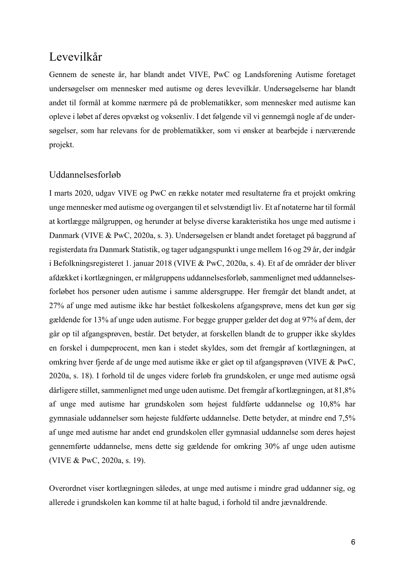#### Levevilkår

Gennem de seneste år, har blandt andet VIVE, PwC og Landsforening Autisme foretaget undersøgelser om mennesker med autisme og deres levevilkår. Undersøgelserne har blandt andet til formål at komme nærmere på de problematikker, som mennesker med autisme kan opleve i løbet af deres opvækst og voksenliv. I det følgende vil vi gennemgå nogle af de undersøgelser, som har relevans for de problematikker, som vi ønsker at bearbejde i nærværende projekt.

#### Uddannelsesforløb

I marts 2020, udgav VIVE og PwC en række notater med resultaterne fra et projekt omkring unge mennesker med autisme og overgangen til et selvstændigt liv. Et af notaterne har til formål at kortlægge målgruppen, og herunder at belyse diverse karakteristika hos unge med autisme i Danmark (VIVE & PwC, 2020a, s. 3). Undersøgelsen er blandt andet foretaget på baggrund af registerdata fra Danmark Statistik, og tager udgangspunkt i unge mellem 16 og 29 år, der indgår i Befolkningsregisteret 1. januar 2018 (VIVE & PwC, 2020a, s. 4). Et af de områder der bliver afdækket i kortlægningen, er målgruppens uddannelsesforløb, sammenlignet med uddannelsesforløbet hos personer uden autisme i samme aldersgruppe. Her fremgår det blandt andet, at 27% af unge med autisme ikke har bestået folkeskolens afgangsprøve, mens det kun gør sig gældende for 13% af unge uden autisme. For begge grupper gælder det dog at 97% af dem, der går op til afgangsprøven, består. Det betyder, at forskellen blandt de to grupper ikke skyldes en forskel i dumpeprocent, men kan i stedet skyldes, som det fremgår af kortlægningen, at omkring hver fjerde af de unge med autisme ikke er gået op til afgangsprøven (VIVE & PwC, 2020a, s. 18). I forhold til de unges videre forløb fra grundskolen, er unge med autisme også dårligere stillet, sammenlignet med unge uden autisme. Det fremgår af kortlægningen, at 81,8% af unge med autisme har grundskolen som højest fuldførte uddannelse og 10,8% har gymnasiale uddannelser som højeste fuldførte uddannelse. Dette betyder, at mindre end 7,5% af unge med autisme har andet end grundskolen eller gymnasial uddannelse som deres højest gennemførte uddannelse, mens dette sig gældende for omkring 30% af unge uden autisme (VIVE & PwC, 2020a, s. 19).

Overordnet viser kortlægningen således, at unge med autisme i mindre grad uddanner sig, og allerede i grundskolen kan komme til at halte bagud, i forhold til andre jævnaldrende.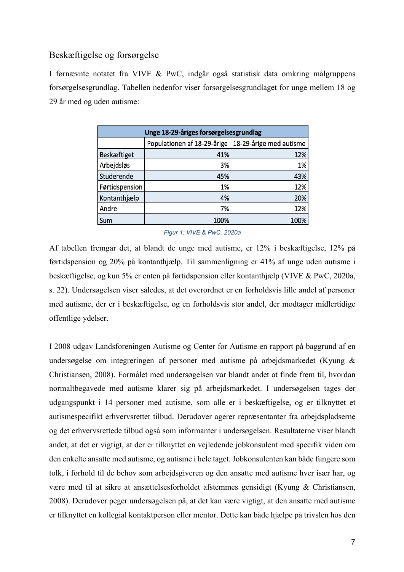#### Beskæftigelse og forsørgelse

I førnævnte notatet fra VIVE & PwC, indgår også statistisk data omkring målgruppens forsørgelsesgrundlag. Tabellen nedenfor viser forsørgelsesgrundlaget for unge mellem 18 og 29 år med og uden autisme:

| Unge 18-29-åriges forsørgelsesgrundlag |                             |                         |  |  |  |
|----------------------------------------|-----------------------------|-------------------------|--|--|--|
|                                        | Populationen af 18-29-årige | 18-29-årige med autisme |  |  |  |
| <b>Beskæftiget</b>                     | 41%                         | 12%                     |  |  |  |
| Arbejdsløs                             | 3%                          | 1%                      |  |  |  |
| Studerende                             | 45%                         | 43%                     |  |  |  |
| Førtidspension                         | 1%                          | 12%                     |  |  |  |
| Kontanthjælp                           | 4%                          | 20%                     |  |  |  |
| Andre                                  | 7%                          | 12%                     |  |  |  |
| Sum                                    | 100%                        | 100%                    |  |  |  |

*Figur 1: VIVE & PwC, 2020a*

Af tabellen fremgår det, at blandt de unge med autisme, er 12% i beskæftigelse, 12% på førtidspension og 20% på kontanthjælp. Til sammenligning er 41% af unge uden autisme i beskæftigelse, og kun 5% er enten på førtidspension eller kontanthjælp (VIVE & PwC, 2020a, s. 22). Undersøgelsen viser således, at det overordnet er en forholdsvis lille andel af personer med autisme, der er i beskæftigelse, og en forholdsvis stor andel, der modtager midlertidige offentlige ydelser.

I 2008 udgav Landsforeningen Autisme og Center for Autisme en rapport på baggrund af en undersøgelse om integreringen af personer med autisme på arbejdsmarkedet (Kyung & Christiansen, 2008). Formålet med undersøgelsen var blandt andet at finde frem til, hvordan normaltbegavede med autisme klarer sig på arbejdsmarkedet. I undersøgelsen tages der udgangspunkt i 14 personer med autisme, som alle er i beskæftigelse, og er tilknyttet et autismespecifikt erhvervsrettet tilbud. Derudover agerer repræsentanter fra arbejdspladserne og det erhvervsrettede tilbud også som informanter i undersøgelsen. Resultaterne viser blandt andet, at det er vigtigt, at der er tilknyttet en vejledende jobkonsulent med specifik viden om den enkelte ansatte med autisme, og autisme i hele taget. Jobkonsulenten kan både fungere som tolk, i forhold til de behov som arbejdsgiveren og den ansatte med autisme hver især har, og være med til at sikre at ansættelsesforholdet afstemmes gensidigt (Kyung & Christiansen, 2008). Derudover peger undersøgelsen på, at det kan være vigtigt, at den ansatte med autisme er tilknyttet en kollegial kontaktperson eller mentor. Dette kan både hjælpe på trivslen hos den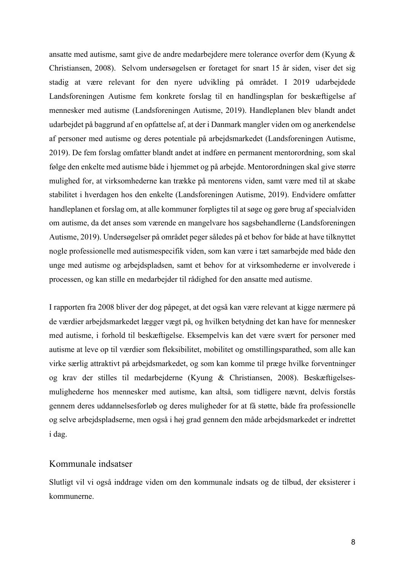ansatte med autisme, samt give de andre medarbejdere mere tolerance overfor dem (Kyung & Christiansen, 2008). Selvom undersøgelsen er foretaget for snart 15 år siden, viser det sig stadig at være relevant for den nyere udvikling på området. I 2019 udarbejdede Landsforeningen Autisme fem konkrete forslag til en handlingsplan for beskæftigelse af mennesker med autisme (Landsforeningen Autisme, 2019). Handleplanen blev blandt andet udarbejdet på baggrund af en opfattelse af, at der i Danmark mangler viden om og anerkendelse af personer med autisme og deres potentiale på arbejdsmarkedet (Landsforeningen Autisme, 2019). De fem forslag omfatter blandt andet at indføre en permanent mentorordning, som skal følge den enkelte med autisme både i hjemmet og på arbejde. Mentorordningen skal give større mulighed for, at virksomhederne kan trække på mentorens viden, samt være med til at skabe stabilitet i hverdagen hos den enkelte (Landsforeningen Autisme, 2019). Endvidere omfatter handleplanen et forslag om, at alle kommuner forpligtes til at søge og gøre brug af specialviden om autisme, da det anses som værende en mangelvare hos sagsbehandlerne (Landsforeningen Autisme, 2019). Undersøgelser på området peger således på et behov for både at have tilknyttet nogle professionelle med autismespecifik viden, som kan være i tæt samarbejde med både den unge med autisme og arbejdspladsen, samt et behov for at virksomhederne er involverede i processen, og kan stille en medarbejder til rådighed for den ansatte med autisme.

I rapporten fra 2008 bliver der dog påpeget, at det også kan være relevant at kigge nærmere på de værdier arbejdsmarkedet lægger vægt på, og hvilken betydning det kan have for mennesker med autisme, i forhold til beskæftigelse. Eksempelvis kan det være svært for personer med autisme at leve op til værdier som fleksibilitet, mobilitet og omstillingsparathed, som alle kan virke særlig attraktivt på arbejdsmarkedet, og som kan komme til præge hvilke forventninger og krav der stilles til medarbejderne (Kyung & Christiansen, 2008). Beskæftigelsesmulighederne hos mennesker med autisme, kan altså, som tidligere nævnt, delvis forstås gennem deres uddannelsesforløb og deres muligheder for at få støtte, både fra professionelle og selve arbejdspladserne, men også i høj grad gennem den måde arbejdsmarkedet er indrettet i dag.

#### Kommunale indsatser

Slutligt vil vi også inddrage viden om den kommunale indsats og de tilbud, der eksisterer i kommunerne.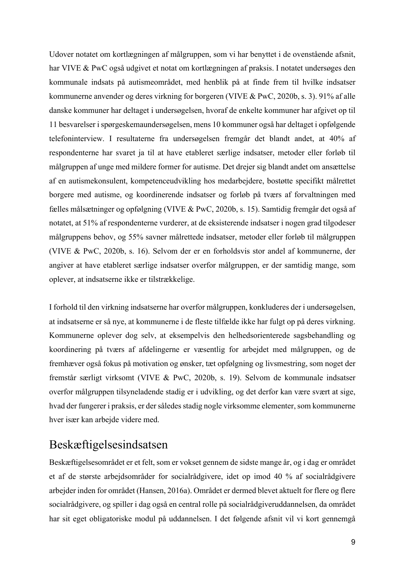Udover notatet om kortlægningen af målgruppen, som vi har benyttet i de ovenstående afsnit, har VIVE & PwC også udgivet et notat om kortlægningen af praksis. I notatet undersøges den kommunale indsats på autismeområdet, med henblik på at finde frem til hvilke indsatser kommunerne anvender og deres virkning for borgeren (VIVE & PwC, 2020b, s. 3). 91% af alle danske kommuner har deltaget i undersøgelsen, hvoraf de enkelte kommuner har afgivet op til 11 besvarelser i spørgeskemaundersøgelsen, mens 10 kommuner også har deltaget i opfølgende telefoninterview. I resultaterne fra undersøgelsen fremgår det blandt andet, at 40% af respondenterne har svaret ja til at have etableret særlige indsatser, metoder eller forløb til målgruppen af unge med mildere former for autisme. Det drejer sig blandt andet om ansættelse af en autismekonsulent, kompetenceudvikling hos medarbejdere, bostøtte specifikt målrettet borgere med autisme, og koordinerende indsatser og forløb på tværs af forvaltningen med fælles målsætninger og opfølgning (VIVE & PwC, 2020b, s. 15). Samtidig fremgår det også af notatet, at 51% af respondenterne vurderer, at de eksisterende indsatser i nogen grad tilgodeser målgruppens behov, og 55% savner målrettede indsatser, metoder eller forløb til målgruppen (VIVE & PwC, 2020b, s. 16). Selvom der er en forholdsvis stor andel af kommunerne, der angiver at have etableret særlige indsatser overfor målgruppen, er der samtidig mange, som oplever, at indsatserne ikke er tilstrækkelige.

I forhold til den virkning indsatserne har overfor målgruppen, konkluderes der i undersøgelsen, at indsatserne er så nye, at kommunerne i de fleste tilfælde ikke har fulgt op på deres virkning. Kommunerne oplever dog selv, at eksempelvis den helhedsorienterede sagsbehandling og koordinering på tværs af afdelingerne er væsentlig for arbejdet med målgruppen, og de fremhæver også fokus på motivation og ønsker, tæt opfølgning og livsmestring, som noget der fremstår særligt virksomt (VIVE & PwC, 2020b, s. 19). Selvom de kommunale indsatser overfor målgruppen tilsyneladende stadig er i udvikling, og det derfor kan være svært at sige, hvad der fungerer i praksis, er der således stadig nogle virksomme elementer, som kommunerne hver især kan arbejde videre med.

#### Beskæftigelsesindsatsen

Beskæftigelsesområdet er et felt, som er vokset gennem de sidste mange år, og i dag er området et af de største arbejdsområder for socialrådgivere, idet op imod 40 % af socialrådgivere arbejder inden for området (Hansen, 2016a). Området er dermed blevet aktuelt for flere og flere socialrådgivere, og spiller i dag også en central rolle på socialrådgiveruddannelsen, da området har sit eget obligatoriske modul på uddannelsen. I det følgende afsnit vil vi kort gennemgå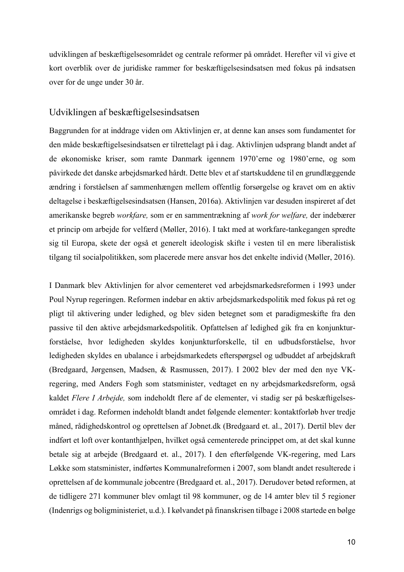udviklingen af beskæftigelsesområdet og centrale reformer på området. Herefter vil vi give et kort overblik over de juridiske rammer for beskæftigelsesindsatsen med fokus på indsatsen over for de unge under 30 år.

#### Udviklingen af beskæftigelsesindsatsen

Baggrunden for at inddrage viden om Aktivlinjen er, at denne kan anses som fundamentet for den måde beskæftigelsesindsatsen er tilrettelagt på i dag. Aktivlinjen udsprang blandt andet af de økonomiske kriser, som ramte Danmark igennem 1970'erne og 1980'erne, og som påvirkede det danske arbejdsmarked hårdt. Dette blev et af startskuddene til en grundlæggende ændring i forståelsen af sammenhængen mellem offentlig forsørgelse og kravet om en aktiv deltagelse i beskæftigelsesindsatsen (Hansen, 2016a). Aktivlinjen var desuden inspireret af det amerikanske begreb *workfare,* som er en sammentrækning af *work for welfare,* der indebærer et princip om arbejde for velfærd (Møller, 2016). I takt med at workfare-tankegangen spredte sig til Europa, skete der også et generelt ideologisk skifte i vesten til en mere liberalistisk tilgang til socialpolitikken, som placerede mere ansvar hos det enkelte individ (Møller, 2016).

I Danmark blev Aktivlinjen for alvor cementeret ved arbejdsmarkedsreformen i 1993 under Poul Nyrup regeringen. Reformen indebar en aktiv arbejdsmarkedspolitik med fokus på ret og pligt til aktivering under ledighed, og blev siden betegnet som et paradigmeskifte fra den passive til den aktive arbejdsmarkedspolitik. Opfattelsen af ledighed gik fra en konjunkturforståelse, hvor ledigheden skyldes konjunkturforskelle, til en udbudsforståelse, hvor ledigheden skyldes en ubalance i arbejdsmarkedets efterspørgsel og udbuddet af arbejdskraft (Bredgaard, Jørgensen, Madsen, & Rasmussen, 2017). I 2002 blev der med den nye VKregering, med Anders Fogh som statsminister, vedtaget en ny arbejdsmarkedsreform, også kaldet *Flere I Arbejde,* som indeholdt flere af de elementer, vi stadig ser på beskæftigelsesområdet i dag. Reformen indeholdt blandt andet følgende elementer: kontaktforløb hver tredje måned, rådighedskontrol og oprettelsen af Jobnet.dk (Bredgaard et. al., 2017). Dertil blev der indført et loft over kontanthjælpen, hvilket også cementerede princippet om, at det skal kunne betale sig at arbejde (Bredgaard et. al., 2017). I den efterfølgende VK-regering, med Lars Løkke som statsminister, indførtes Kommunalreformen i 2007, som blandt andet resulterede i oprettelsen af de kommunale jobcentre (Bredgaard et. al., 2017). Derudover betød reformen, at de tidligere 271 kommuner blev omlagt til 98 kommuner, og de 14 amter blev til 5 regioner (Indenrigs og boligministeriet, u.d.). I kølvandet på finanskrisen tilbage i 2008 startede en bølge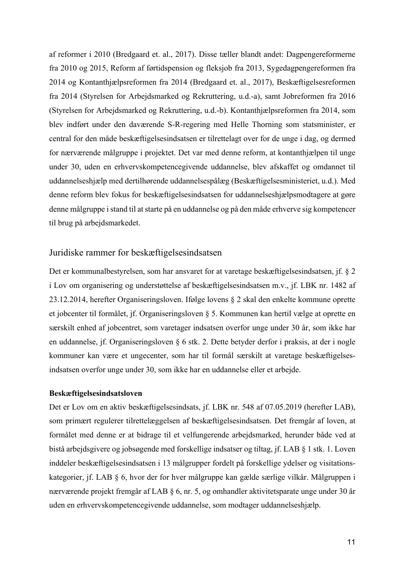af reformer i 2010 (Bredgaard et. al., 2017). Disse tæller blandt andet: Dagpengereformerne fra 2010 og 2015, Reform af førtidspension og fleksjob fra 2013, Sygedagpengereformen fra 2014 og Kontanthjælpsreformen fra 2014 (Bredgaard et. al., 2017), Beskæftigelsesreformen fra 2014 (Styrelsen for Arbejdsmarked og Rekruttering, u.d.-a), samt Jobreformen fra 2016 (Styrelsen for Arbejdsmarked og Rekruttering, u.d.-b). Kontanthjælpsreformen fra 2014, som blev indført under den daværende S-R-regering med Helle Thorning som statsminister, er central for den måde beskæftigelsesindsatsen er tilrettelagt over for de unge i dag, og dermed for nærværende målgruppe i projektet. Det var med denne reform, at kontanthjælpen til unge under 30, uden en erhvervskompetencegivende uddannelse, blev afskaffet og omdannet til uddannelseshjælp med dertilhørende uddannelsespålæg (Beskæftigelsesministeriet, u.d.). Med denne reform blev fokus for beskæftigelsesindsatsen for uddannelseshjælpsmodtagere at gøre denne målgruppe i stand til at starte på en uddannelse og på den måde erhverve sig kompetencer til brug på arbejdsmarkedet.

#### Juridiske rammer for beskæftigelsesindsatsen

Det er kommunalbestyrelsen, som har ansvaret for at varetage beskæftigelsesindsatsen, jf. § 2 i Lov om organisering og understøttelse af beskæftigelsesindsatsen m.v., jf. LBK nr. 1482 af 23.12.2014, herefter Organiseringsloven. Ifølge lovens § 2 skal den enkelte kommune oprette et jobcenter til formålet, jf. Organiseringsloven § 5. Kommunen kan hertil vælge at oprette en særskilt enhed af jobcentret, som varetager indsatsen overfor unge under 30 år, som ikke har en uddannelse, jf. Organiseringsloven § 6 stk. 2. Dette betyder derfor i praksis, at der i nogle kommuner kan være et ungecenter, som har til formål særskilt at varetage beskæftigelsesindsatsen overfor unge under 30, som ikke har en uddannelse eller et arbejde.

#### **Beskæftigelsesindsatsloven**

Det er Lov om en aktiv beskæftigelsesindsats, jf. LBK nr. 548 af 07.05.2019 (herefter LAB), som primært regulerer tilrettelæggelsen af beskæftigelsesindsatsen. Det fremgår af loven, at formålet med denne er at bidrage til et velfungerende arbejdsmarked, herunder både ved at bistå arbejdsgivere og jobsøgende med forskellige indsatser og tiltag, jf. LAB § 1 stk. 1. Loven inddeler beskæftigelsesindsatsen i 13 målgrupper fordelt på forskellige ydelser og visitationskategorier, jf. LAB § 6, hvor der for hver målgruppe kan gælde særlige vilkår. Målgruppen i nærværende projekt fremgår af LAB § 6, nr. 5, og omhandler aktivitetsparate unge under 30 år uden en erhvervskompetencegivende uddannelse, som modtager uddannelseshjælp.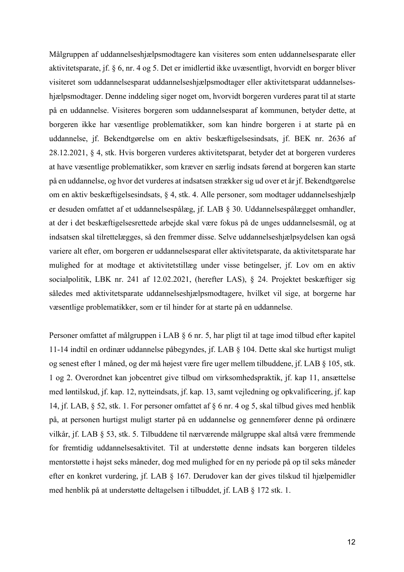Målgruppen af uddannelseshjælpsmodtagere kan visiteres som enten uddannelsesparate eller aktivitetsparate, jf. § 6, nr. 4 og 5. Det er imidlertid ikke uvæsentligt, hvorvidt en borger bliver visiteret som uddannelsesparat uddannelseshjælpsmodtager eller aktivitetsparat uddannelseshjælpsmodtager. Denne inddeling siger noget om, hvorvidt borgeren vurderes parat til at starte på en uddannelse. Visiteres borgeren som uddannelsesparat af kommunen, betyder dette, at borgeren ikke har væsentlige problematikker, som kan hindre borgeren i at starte på en uddannelse, jf. Bekendtgørelse om en aktiv beskæftigelsesindsats, jf. BEK nr. 2636 af 28.12.2021, § 4, stk. Hvis borgeren vurderes aktivitetsparat, betyder det at borgeren vurderes at have væsentlige problematikker, som kræver en særlig indsats førend at borgeren kan starte på en uddannelse, og hvor det vurderes at indsatsen strækker sig ud over et år jf. Bekendtgørelse om en aktiv beskæftigelsesindsats, § 4, stk. 4. Alle personer, som modtager uddannelseshjælp er desuden omfattet af et uddannelsespålæg, jf. LAB § 30. Uddannelsespålægget omhandler, at der i det beskæftigelsesrettede arbejde skal være fokus på de unges uddannelsesmål, og at indsatsen skal tilrettelægges, så den fremmer disse. Selve uddannelseshjælpsydelsen kan også variere alt efter, om borgeren er uddannelsesparat eller aktivitetsparate, da aktivitetsparate har mulighed for at modtage et aktivitetstillæg under visse betingelser, jf. Lov om en aktiv socialpolitik, LBK nr. 241 af 12.02.2021, (herefter LAS), § 24. Projektet beskæftiger sig således med aktivitetsparate uddannelseshjælpsmodtagere, hvilket vil sige, at borgerne har væsentlige problematikker, som er til hinder for at starte på en uddannelse.

Personer omfattet af målgruppen i LAB § 6 nr. 5, har pligt til at tage imod tilbud efter kapitel 11-14 indtil en ordinær uddannelse påbegyndes, jf. LAB § 104. Dette skal ske hurtigst muligt og senest efter 1 måned, og der må højest være fire uger mellem tilbuddene, jf. LAB § 105, stk. 1 og 2. Overordnet kan jobcentret give tilbud om virksomhedspraktik, jf. kap 11, ansættelse med løntilskud, jf. kap. 12, nytteindsats, jf. kap. 13, samt vejledning og opkvalificering, jf. kap 14, jf. LAB, § 52, stk. 1. For personer omfattet af § 6 nr. 4 og 5, skal tilbud gives med henblik på, at personen hurtigst muligt starter på en uddannelse og gennemfører denne på ordinære vilkår, jf. LAB § 53, stk. 5. Tilbuddene til nærværende målgruppe skal altså være fremmende for fremtidig uddannelsesaktivitet. Til at understøtte denne indsats kan borgeren tildeles mentorstøtte i højst seks måneder, dog med mulighed for en ny periode på op til seks måneder efter en konkret vurdering, jf. LAB § 167. Derudover kan der gives tilskud til hjælpemidler med henblik på at understøtte deltagelsen i tilbuddet, jf. LAB § 172 stk. 1.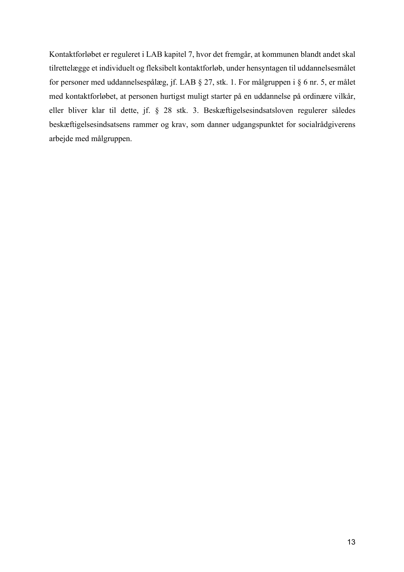Kontaktforløbet er reguleret i LAB kapitel 7, hvor det fremgår, at kommunen blandt andet skal tilrettelægge et individuelt og fleksibelt kontaktforløb, under hensyntagen til uddannelsesmålet for personer med uddannelsespålæg, jf. LAB § 27, stk. 1. For målgruppen i § 6 nr. 5, er målet med kontaktforløbet, at personen hurtigst muligt starter på en uddannelse på ordinære vilkår, eller bliver klar til dette, jf. § 28 stk. 3. Beskæftigelsesindsatsloven regulerer således beskæftigelsesindsatsens rammer og krav, som danner udgangspunktet for socialrådgiverens arbejde med målgruppen.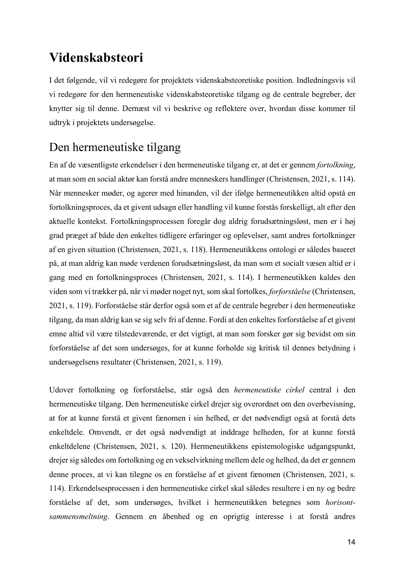## **Videnskabsteori**

I det følgende, vil vi redegøre for projektets videnskabsteoretiske position. Indledningsvis vil vi redegøre for den hermeneutiske videnskabsteoretiske tilgang og de centrale begreber, der knytter sig til denne. Dernæst vil vi beskrive og reflektere over, hvordan disse kommer til udtryk i projektets undersøgelse.

## Den hermeneutiske tilgang

En af de væsentligste erkendelser i den hermeneutiske tilgang er, at det er gennem *fortolkning*, at man som en social aktør kan forstå andre menneskers handlinger (Christensen, 2021, s. 114). Når mennesker møder, og agerer med hinanden, vil der ifølge hermeneutikken altid opstå en fortolkningsproces, da et givent udsagn eller handling vil kunne forstås forskelligt, alt efter den aktuelle kontekst. Fortolkningsprocessen foregår dog aldrig forudsætningsløst, men er i høj grad præget af både den enkeltes tidligere erfaringer og oplevelser, samt andres fortolkninger af en given situation (Christensen, 2021, s. 118). Hermeneutikkens ontologi er således baseret på, at man aldrig kan møde verdenen forudsætningsløst, da man som et socialt væsen altid er i gang med en fortolkningsproces (Christensen, 2021, s. 114). I hermeneutikken kaldes den viden som vi trækker på, når vi møder noget nyt, som skal fortolkes, *forforståelse* (Christensen, 2021, s. 119). Forforståelse står derfor også som et af de centrale begreber i den hermeneutiske tilgang, da man aldrig kan se sig selv fri af denne. Fordi at den enkeltes forforståelse af et givent emne altid vil være tilstedeværende, er det vigtigt, at man som forsker gør sig bevidst om sin forforståelse af det som undersøges, for at kunne forholde sig kritisk til dennes betydning i undersøgelsens resultater (Christensen, 2021, s. 119).

Udover fortolkning og forforståelse, står også den *hermeneutiske cirkel* central i den hermeneutiske tilgang. Den hermeneutiske cirkel drejer sig overordnet om den overbevisning, at for at kunne forstå et givent fænomen i sin helhed, er det nødvendigt også at forstå dets enkeltdele. Omvendt, er det også nødvendigt at inddrage helheden, for at kunne forstå enkeltdelene (Christensen, 2021, s. 120). Hermeneutikkens epistemologiske udgangspunkt, drejer sig således om fortolkning og en vekselvirkning mellem dele og helhed, da det er gennem denne proces, at vi kan tilegne os en forståelse af et givent fænomen (Christensen, 2021, s. 114). Erkendelsesprocessen i den hermeneutiske cirkel skal således resultere i en ny og bedre forståelse af det, som undersøges, hvilket i hermeneutikken betegnes som *horisontsammensmeltning*. Gennem en åbenhed og en oprigtig interesse i at forstå andres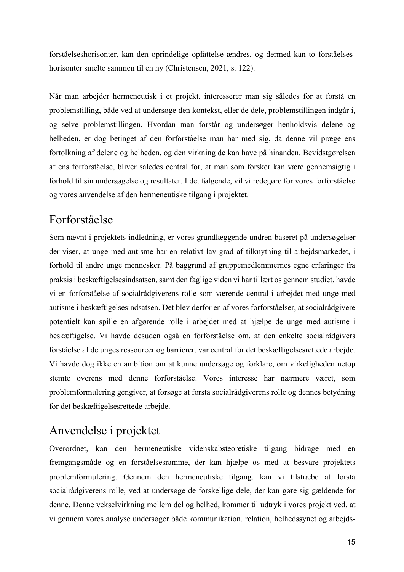forståelseshorisonter, kan den oprindelige opfattelse ændres, og dermed kan to forståelseshorisonter smelte sammen til en ny (Christensen, 2021, s. 122).

Når man arbejder hermeneutisk i et projekt, interesserer man sig således for at forstå en problemstilling, både ved at undersøge den kontekst, eller de dele, problemstillingen indgår i, og selve problemstillingen. Hvordan man forstår og undersøger henholdsvis delene og helheden, er dog betinget af den forforståelse man har med sig, da denne vil præge ens fortolkning af delene og helheden, og den virkning de kan have på hinanden. Bevidstgørelsen af ens forforståelse, bliver således central for, at man som forsker kan være gennemsigtig i forhold til sin undersøgelse og resultater. I det følgende, vil vi redegøre for vores forforståelse og vores anvendelse af den hermeneutiske tilgang i projektet.

#### Forforståelse

Som nævnt i projektets indledning, er vores grundlæggende undren baseret på undersøgelser der viser, at unge med autisme har en relativt lav grad af tilknytning til arbejdsmarkedet, i forhold til andre unge mennesker. På baggrund af gruppemedlemmernes egne erfaringer fra praksis i beskæftigelsesindsatsen, samt den faglige viden vi har tillært os gennem studiet, havde vi en forforståelse af socialrådgiverens rolle som værende central i arbejdet med unge med autisme i beskæftigelsesindsatsen. Det blev derfor en af vores forforståelser, at socialrådgivere potentielt kan spille en afgørende rolle i arbejdet med at hjælpe de unge med autisme i beskæftigelse. Vi havde desuden også en forforståelse om, at den enkelte socialrådgivers forståelse af de unges ressourcer og barrierer, var central for det beskæftigelsesrettede arbejde. Vi havde dog ikke en ambition om at kunne undersøge og forklare, om virkeligheden netop stemte overens med denne forforståelse. Vores interesse har nærmere været, som problemformulering gengiver, at forsøge at forstå socialrådgiverens rolle og dennes betydning for det beskæftigelsesrettede arbejde.

## Anvendelse i projektet

Overordnet, kan den hermeneutiske videnskabsteoretiske tilgang bidrage med en fremgangsmåde og en forståelsesramme, der kan hjælpe os med at besvare projektets problemformulering. Gennem den hermeneutiske tilgang, kan vi tilstræbe at forstå socialrådgiverens rolle, ved at undersøge de forskellige dele, der kan gøre sig gældende for denne. Denne vekselvirkning mellem del og helhed, kommer til udtryk i vores projekt ved, at vi gennem vores analyse undersøger både kommunikation, relation, helhedssynet og arbejds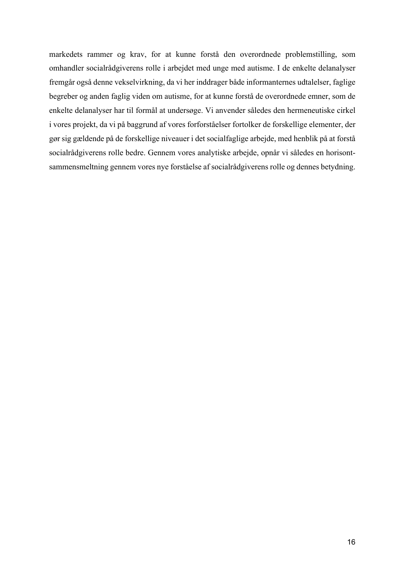markedets rammer og krav, for at kunne forstå den overordnede problemstilling, som omhandler socialrådgiverens rolle i arbejdet med unge med autisme. I de enkelte delanalyser fremgår også denne vekselvirkning, da vi her inddrager både informanternes udtalelser, faglige begreber og anden faglig viden om autisme, for at kunne forstå de overordnede emner, som de enkelte delanalyser har til formål at undersøge. Vi anvender således den hermeneutiske cirkel i vores projekt, da vi på baggrund af vores forforståelser fortolker de forskellige elementer, der gør sig gældende på de forskellige niveauer i det socialfaglige arbejde, med henblik på at forstå socialrådgiverens rolle bedre. Gennem vores analytiske arbejde, opnår vi således en horisontsammensmeltning gennem vores nye forståelse af socialrådgiverens rolle og dennes betydning.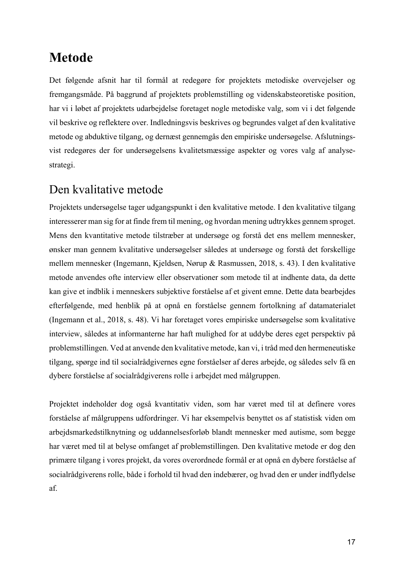## **Metode**

Det følgende afsnit har til formål at redegøre for projektets metodiske overvejelser og fremgangsmåde. På baggrund af projektets problemstilling og videnskabsteoretiske position, har vi i løbet af projektets udarbejdelse foretaget nogle metodiske valg, som vi i det følgende vil beskrive og reflektere over. Indledningsvis beskrives og begrundes valget af den kvalitative metode og abduktive tilgang, og dernæst gennemgås den empiriske undersøgelse. Afslutningsvist redegøres der for undersøgelsens kvalitetsmæssige aspekter og vores valg af analysestrategi.

#### Den kvalitative metode

Projektets undersøgelse tager udgangspunkt i den kvalitative metode. I den kvalitative tilgang interesserer man sig for at finde frem til mening, og hvordan mening udtrykkes gennem sproget. Mens den kvantitative metode tilstræber at undersøge og forstå det ens mellem mennesker, ønsker man gennem kvalitative undersøgelser således at undersøge og forstå det forskellige mellem mennesker (Ingemann, Kjeldsen, Nørup & Rasmussen, 2018, s. 43). I den kvalitative metode anvendes ofte interview eller observationer som metode til at indhente data, da dette kan give et indblik i menneskers subjektive forståelse af et givent emne. Dette data bearbejdes efterfølgende, med henblik på at opnå en forståelse gennem fortolkning af datamaterialet (Ingemann et al., 2018, s. 48). Vi har foretaget vores empiriske undersøgelse som kvalitative interview, således at informanterne har haft mulighed for at uddybe deres eget perspektiv på problemstillingen. Ved at anvende den kvalitative metode, kan vi, i tråd med den hermeneutiske tilgang, spørge ind til socialrådgivernes egne forståelser af deres arbejde, og således selv få en dybere forståelse af socialrådgiverens rolle i arbejdet med målgruppen.

Projektet indeholder dog også kvantitativ viden, som har været med til at definere vores forståelse af målgruppens udfordringer. Vi har eksempelvis benyttet os af statistisk viden om arbejdsmarkedstilknytning og uddannelsesforløb blandt mennesker med autisme, som begge har været med til at belyse omfanget af problemstillingen. Den kvalitative metode er dog den primære tilgang i vores projekt, da vores overordnede formål er at opnå en dybere forståelse af socialrådgiverens rolle, både i forhold til hvad den indebærer, og hvad den er under indflydelse af.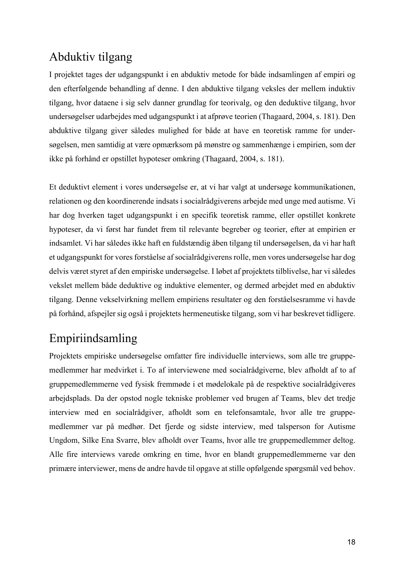### Abduktiv tilgang

I projektet tages der udgangspunkt i en abduktiv metode for både indsamlingen af empiri og den efterfølgende behandling af denne. I den abduktive tilgang veksles der mellem induktiv tilgang, hvor dataene i sig selv danner grundlag for teorivalg, og den deduktive tilgang, hvor undersøgelser udarbejdes med udgangspunkt i at afprøve teorien (Thagaard, 2004, s. 181). Den abduktive tilgang giver således mulighed for både at have en teoretisk ramme for undersøgelsen, men samtidig at være opmærksom på mønstre og sammenhænge i empirien, som der ikke på forhånd er opstillet hypoteser omkring (Thagaard, 2004, s. 181).

Et deduktivt element i vores undersøgelse er, at vi har valgt at undersøge kommunikationen, relationen og den koordinerende indsats i socialrådgiverens arbejde med unge med autisme. Vi har dog hverken taget udgangspunkt i en specifik teoretisk ramme, eller opstillet konkrete hypoteser, da vi først har fundet frem til relevante begreber og teorier, efter at empirien er indsamlet. Vi har således ikke haft en fuldstændig åben tilgang til undersøgelsen, da vi har haft et udgangspunkt for vores forståelse af socialrådgiverens rolle, men vores undersøgelse har dog delvis været styret af den empiriske undersøgelse. I løbet af projektets tilblivelse, har vi således vekslet mellem både deduktive og induktive elementer, og dermed arbejdet med en abduktiv tilgang. Denne vekselvirkning mellem empiriens resultater og den forståelsesramme vi havde på forhånd, afspejler sig også i projektets hermeneutiske tilgang, som vi har beskrevet tidligere.

## Empiriindsamling

Projektets empiriske undersøgelse omfatter fire individuelle interviews, som alle tre gruppemedlemmer har medvirket i. To af interviewene med socialrådgiverne, blev afholdt af to af gruppemedlemmerne ved fysisk fremmøde i et mødelokale på de respektive socialrådgiveres arbejdsplads. Da der opstod nogle tekniske problemer ved brugen af Teams, blev det tredje interview med en socialrådgiver, afholdt som en telefonsamtale, hvor alle tre gruppemedlemmer var på medhør. Det fjerde og sidste interview, med talsperson for Autisme Ungdom, Silke Ena Svarre, blev afholdt over Teams, hvor alle tre gruppemedlemmer deltog. Alle fire interviews varede omkring en time, hvor en blandt gruppemedlemmerne var den primære interviewer, mens de andre havde til opgave at stille opfølgende spørgsmål ved behov.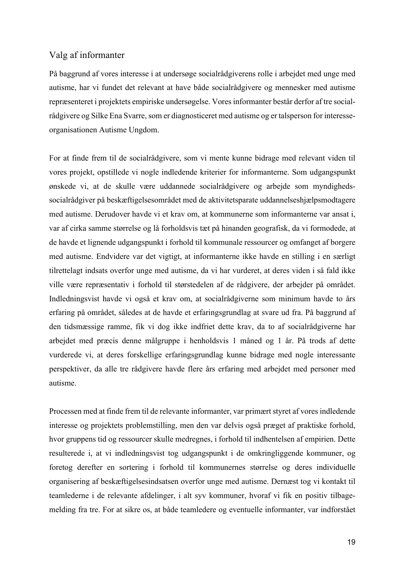#### Valg af informanter

På baggrund af vores interesse i at undersøge socialrådgiverens rolle i arbejdet med unge med autisme, har vi fundet det relevant at have både socialrådgivere og mennesker med autisme repræsenteret i projektets empiriske undersøgelse. Vores informanter består derfor af tre socialrådgivere og Silke Ena Svarre, som er diagnosticeret med autisme og er talsperson for interesseorganisationen Autisme Ungdom.

For at finde frem til de socialrådgivere, som vi mente kunne bidrage med relevant viden til vores projekt, opstillede vi nogle indledende kriterier for informanterne. Som udgangspunkt ønskede vi, at de skulle være uddannede socialrådgivere og arbejde som myndighedssocialrådgiver på beskæftigelsesområdet med de aktivitetsparate uddannelseshjælpsmodtagere med autisme. Derudover havde vi et krav om, at kommunerne som informanterne var ansat i, var af cirka samme størrelse og lå forholdsvis tæt på hinanden geografisk, da vi formodede, at de havde et lignende udgangspunkt i forhold til kommunale ressourcer og omfanget af borgere med autisme. Endvidere var det vigtigt, at informanterne ikke havde en stilling i en særligt tilrettelagt indsats overfor unge med autisme, da vi har vurderet, at deres viden i så fald ikke ville være repræsentativ i forhold til størstedelen af de rådgivere, der arbejder på området. Indledningsvist havde vi også et krav om, at socialrådgiverne som minimum havde to års erfaring på området, således at de havde et erfaringsgrundlag at svare ud fra. På baggrund af den tidsmæssige ramme, fik vi dog ikke indfriet dette krav, da to af socialrådgiverne har arbejdet med præcis denne målgruppe i henholdsvis 1 måned og 1 år. På trods af dette vurderede vi, at deres forskellige erfaringsgrundlag kunne bidrage med nogle interessante perspektiver, da alle tre rådgivere havde flere års erfaring med arbejdet med personer med autisme.

Processen med at finde frem til de relevante informanter, var primært styret af vores indledende interesse og projektets problemstilling, men den var delvis også præget af praktiske forhold, hvor gruppens tid og ressourcer skulle medregnes, i forhold til indhentelsen af empirien. Dette resulterede i, at vi indledningsvist tog udgangspunkt i de omkringliggende kommuner, og foretog derefter en sortering i forhold til kommunernes størrelse og deres individuelle organisering af beskæftigelsesindsatsen overfor unge med autisme. Dernæst tog vi kontakt til teamlederne i de relevante afdelinger, i alt syv kommuner, hvoraf vi fik en positiv tilbagemelding fra tre. For at sikre os, at både teamledere og eventuelle informanter, var indforstået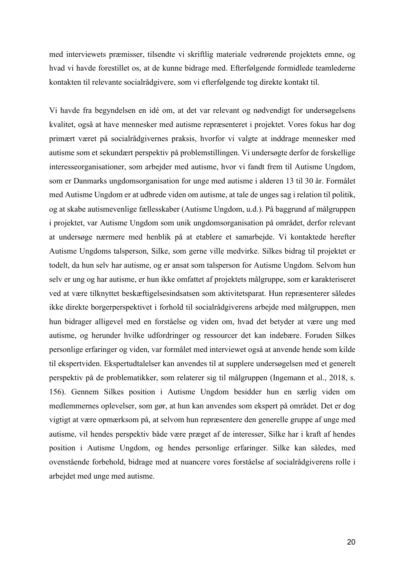med interviewets præmisser, tilsendte vi skriftlig materiale vedrørende projektets emne, og hvad vi havde forestillet os, at de kunne bidrage med. Efterfølgende formidlede teamlederne kontakten til relevante socialrådgivere, som vi efterfølgende tog direkte kontakt til.

Vi havde fra begyndelsen en idé om, at det var relevant og nødvendigt for undersøgelsens kvalitet, også at have mennesker med autisme repræsenteret i projektet. Vores fokus har dog primært været på socialrådgivernes praksis, hvorfor vi valgte at inddrage mennesker med autisme som et sekundært perspektiv på problemstillingen. Vi undersøgte derfor de forskellige interesseorganisationer, som arbejder med autisme, hvor vi fandt frem til Autisme Ungdom, som er Danmarks ungdomsorganisation for unge med autisme i alderen 13 til 30 år. Formålet med Autisme Ungdom er at udbrede viden om autisme, at tale de unges sag i relation til politik, og at skabe autismevenlige fællesskaber (Autisme Ungdom, u.d.). På baggrund af målgruppen i projektet, var Autisme Ungdom som unik ungdomsorganisation på området, derfor relevant at undersøge nærmere med henblik på at etablere et samarbejde. Vi kontaktede herefter Autisme Ungdoms talsperson, Silke, som gerne ville medvirke. Silkes bidrag til projektet er todelt, da hun selv har autisme, og er ansat som talsperson for Autisme Ungdom. Selvom hun selv er ung og har autisme, er hun ikke omfattet af projektets målgruppe, som er karakteriseret ved at være tilknyttet beskæftigelsesindsatsen som aktivitetsparat. Hun repræsenterer således ikke direkte borgerperspektivet i forhold til socialrådgiverens arbejde med målgruppen, men hun bidrager alligevel med en forståelse og viden om, hvad det betyder at være ung med autisme, og herunder hvilke udfordringer og ressourcer det kan indebære. Foruden Silkes personlige erfaringer og viden, var formålet med interviewet også at anvende hende som kilde til ekspertviden. Ekspertudtalelser kan anvendes til at supplere undersøgelsen med et generelt perspektiv på de problematikker, som relaterer sig til målgruppen (Ingemann et al., 2018, s. 156). Gennem Silkes position i Autisme Ungdom besidder hun en særlig viden om medlemmernes oplevelser, som gør, at hun kan anvendes som ekspert på området. Det er dog vigtigt at være opmærksom på, at selvom hun repræsentere den generelle gruppe af unge med autisme, vil hendes perspektiv både være præget af de interesser, Silke har i kraft af hendes position i Autisme Ungdom, og hendes personlige erfaringer. Silke kan således, med ovenstående forbehold, bidrage med at nuancere vores forståelse af socialrådgiverens rolle i arbejdet med unge med autisme.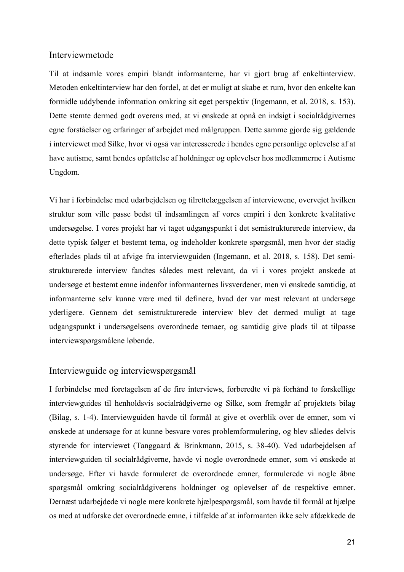#### Interviewmetode

Til at indsamle vores empiri blandt informanterne, har vi gjort brug af enkeltinterview. Metoden enkeltinterview har den fordel, at det er muligt at skabe et rum, hvor den enkelte kan formidle uddybende information omkring sit eget perspektiv (Ingemann, et al. 2018, s. 153). Dette stemte dermed godt overens med, at vi ønskede at opnå en indsigt i socialrådgivernes egne forståelser og erfaringer af arbejdet med målgruppen. Dette samme gjorde sig gældende i interviewet med Silke, hvor vi også var interesserede i hendes egne personlige oplevelse af at have autisme, samt hendes opfattelse af holdninger og oplevelser hos medlemmerne i Autisme Ungdom.

Vi har i forbindelse med udarbejdelsen og tilrettelæggelsen af interviewene, overvejet hvilken struktur som ville passe bedst til indsamlingen af vores empiri i den konkrete kvalitative undersøgelse. I vores projekt har vi taget udgangspunkt i det semistrukturerede interview, da dette typisk følger et bestemt tema, og indeholder konkrete spørgsmål, men hvor der stadig efterlades plads til at afvige fra interviewguiden (Ingemann, et al. 2018, s. 158). Det semistrukturerede interview fandtes således mest relevant, da vi i vores projekt ønskede at undersøge et bestemt emne indenfor informanternes livsverdener, men vi ønskede samtidig, at informanterne selv kunne være med til definere, hvad der var mest relevant at undersøge yderligere. Gennem det semistrukturerede interview blev det dermed muligt at tage udgangspunkt i undersøgelsens overordnede temaer, og samtidig give plads til at tilpasse interviewspørgsmålene løbende.

#### Interviewguide og interviewspørgsmål

I forbindelse med foretagelsen af de fire interviews, forberedte vi på forhånd to forskellige interviewguides til henholdsvis socialrådgiverne og Silke, som fremgår af projektets bilag (Bilag, s. 1-4). Interviewguiden havde til formål at give et overblik over de emner, som vi ønskede at undersøge for at kunne besvare vores problemformulering, og blev således delvis styrende for interviewet (Tanggaard & Brinkmann, 2015, s. 38-40). Ved udarbejdelsen af interviewguiden til socialrådgiverne, havde vi nogle overordnede emner, som vi ønskede at undersøge. Efter vi havde formuleret de overordnede emner, formulerede vi nogle åbne spørgsmål omkring socialrådgiverens holdninger og oplevelser af de respektive emner. Dernæst udarbejdede vi nogle mere konkrete hjælpespørgsmål, som havde til formål at hjælpe os med at udforske det overordnede emne, i tilfælde af at informanten ikke selv afdækkede de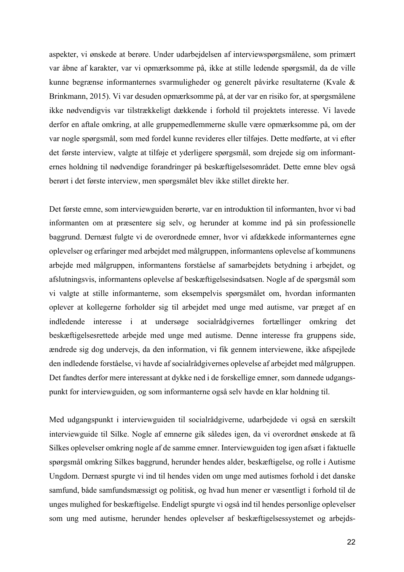aspekter, vi ønskede at berøre. Under udarbejdelsen af interviewspørgsmålene, som primært var åbne af karakter, var vi opmærksomme på, ikke at stille ledende spørgsmål, da de ville kunne begrænse informanternes svarmuligheder og generelt påvirke resultaterne (Kvale & Brinkmann, 2015). Vi var desuden opmærksomme på, at der var en risiko for, at spørgsmålene ikke nødvendigvis var tilstrækkeligt dækkende i forhold til projektets interesse. Vi lavede derfor en aftale omkring, at alle gruppemedlemmerne skulle være opmærksomme på, om der var nogle spørgsmål, som med fordel kunne revideres eller tilføjes. Dette medførte, at vi efter det første interview, valgte at tilføje et yderligere spørgsmål, som drejede sig om informanternes holdning til nødvendige forandringer på beskæftigelsesområdet. Dette emne blev også berørt i det første interview, men spørgsmålet blev ikke stillet direkte her.

Det første emne, som interviewguiden berørte, var en introduktion til informanten, hvor vi bad informanten om at præsentere sig selv, og herunder at komme ind på sin professionelle baggrund. Dernæst fulgte vi de overordnede emner, hvor vi afdækkede informanternes egne oplevelser og erfaringer med arbejdet med målgruppen, informantens oplevelse af kommunens arbejde med målgruppen, informantens forståelse af samarbejdets betydning i arbejdet, og afslutningsvis, informantens oplevelse af beskæftigelsesindsatsen. Nogle af de spørgsmål som vi valgte at stille informanterne, som eksempelvis spørgsmålet om, hvordan informanten oplever at kollegerne forholder sig til arbejdet med unge med autisme, var præget af en indledende interesse i at undersøge socialrådgivernes fortællinger omkring det beskæftigelsesrettede arbejde med unge med autisme. Denne interesse fra gruppens side, ændrede sig dog undervejs, da den information, vi fik gennem interviewene, ikke afspejlede den indledende forståelse, vi havde af socialrådgivernes oplevelse af arbejdet med målgruppen. Det fandtes derfor mere interessant at dykke ned i de forskellige emner, som dannede udgangspunkt for interviewguiden, og som informanterne også selv havde en klar holdning til.

Med udgangspunkt i interviewguiden til socialrådgiverne, udarbejdede vi også en særskilt interviewguide til Silke. Nogle af emnerne gik således igen, da vi overordnet ønskede at få Silkes oplevelser omkring nogle af de samme emner. Interviewguiden tog igen afsæt i faktuelle spørgsmål omkring Silkes baggrund, herunder hendes alder, beskæftigelse, og rolle i Autisme Ungdom. Dernæst spurgte vi ind til hendes viden om unge med autismes forhold i det danske samfund, både samfundsmæssigt og politisk, og hvad hun mener er væsentligt i forhold til de unges mulighed for beskæftigelse. Endeligt spurgte vi også ind til hendes personlige oplevelser som ung med autisme, herunder hendes oplevelser af beskæftigelsessystemet og arbejds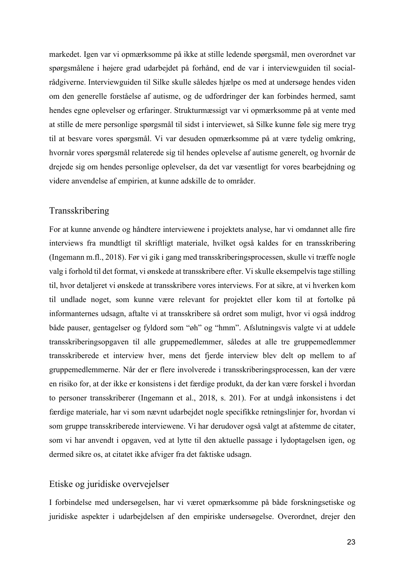markedet. Igen var vi opmærksomme på ikke at stille ledende spørgsmål, men overordnet var spørgsmålene i højere grad udarbejdet på forhånd, end de var i interviewguiden til socialrådgiverne. Interviewguiden til Silke skulle således hjælpe os med at undersøge hendes viden om den generelle forståelse af autisme, og de udfordringer der kan forbindes hermed, samt hendes egne oplevelser og erfaringer. Strukturmæssigt var vi opmærksomme på at vente med at stille de mere personlige spørgsmål til sidst i interviewet, så Silke kunne føle sig mere tryg til at besvare vores spørgsmål. Vi var desuden opmærksomme på at være tydelig omkring, hvornår vores spørgsmål relaterede sig til hendes oplevelse af autisme generelt, og hvornår de drejede sig om hendes personlige oplevelser, da det var væsentligt for vores bearbejdning og videre anvendelse af empirien, at kunne adskille de to områder.

#### Transskribering

For at kunne anvende og håndtere interviewene i projektets analyse, har vi omdannet alle fire interviews fra mundtligt til skriftligt materiale, hvilket også kaldes for en transskribering (Ingemann m.fl., 2018). Før vi gik i gang med transskriberingsprocessen, skulle vi træffe nogle valg i forhold til det format, vi ønskede at transskribere efter. Vi skulle eksempelvis tage stilling til, hvor detaljeret vi ønskede at transskribere vores interviews. For at sikre, at vi hverken kom til undlade noget, som kunne være relevant for projektet eller kom til at fortolke på informanternes udsagn, aftalte vi at transskribere så ordret som muligt, hvor vi også inddrog både pauser, gentagelser og fyldord som "øh" og "hmm". Afslutningsvis valgte vi at uddele transskriberingsopgaven til alle gruppemedlemmer, således at alle tre gruppemedlemmer transskriberede et interview hver, mens det fjerde interview blev delt op mellem to af gruppemedlemmerne. Når der er flere involverede i transskriberingsprocessen, kan der være en risiko for, at der ikke er konsistens i det færdige produkt, da der kan være forskel i hvordan to personer transskriberer (Ingemann et al., 2018, s. 201). For at undgå inkonsistens i det færdige materiale, har vi som nævnt udarbejdet nogle specifikke retningslinjer for, hvordan vi som gruppe transskriberede interviewene. Vi har derudover også valgt at afstemme de citater, som vi har anvendt i opgaven, ved at lytte til den aktuelle passage i lydoptagelsen igen, og dermed sikre os, at citatet ikke afviger fra det faktiske udsagn.

#### Etiske og juridiske overvejelser

I forbindelse med undersøgelsen, har vi været opmærksomme på både forskningsetiske og juridiske aspekter i udarbejdelsen af den empiriske undersøgelse. Overordnet, drejer den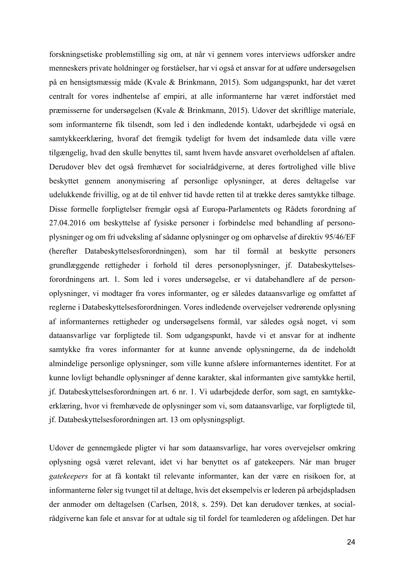forskningsetiske problemstilling sig om, at når vi gennem vores interviews udforsker andre menneskers private holdninger og forståelser, har vi også et ansvar for at udføre undersøgelsen på en hensigtsmæssig måde (Kvale & Brinkmann, 2015). Som udgangspunkt, har det været centralt for vores indhentelse af empiri, at alle informanterne har været indforstået med præmisserne for undersøgelsen (Kvale & Brinkmann, 2015). Udover det skriftlige materiale, som informanterne fik tilsendt, som led i den indledende kontakt, udarbejdede vi også en samtykkeerklæring, hvoraf det fremgik tydeligt for hvem det indsamlede data ville være tilgængelig, hvad den skulle benyttes til, samt hvem havde ansvaret overholdelsen af aftalen. Derudover blev det også fremhævet for socialrådgiverne, at deres fortrolighed ville blive beskyttet gennem anonymisering af personlige oplysninger, at deres deltagelse var udelukkende frivillig, og at de til enhver tid havde retten til at trække deres samtykke tilbage. Disse formelle forpligtelser fremgår også af Europa-Parlamentets og Rådets forordning af 27.04.2016 om beskyttelse af fysiske personer i forbindelse med behandling af personoplysninger og om fri udveksling af sådanne oplysninger og om ophævelse af direktiv 95/46/EF (herefter Databeskyttelsesforordningen), som har til formål at beskytte personers grundlæggende rettigheder i forhold til deres personoplysninger, jf. Databeskyttelsesforordningens art. 1. Som led i vores undersøgelse, er vi databehandlere af de personoplysninger, vi modtager fra vores informanter, og er således dataansvarlige og omfattet af reglerne i Databeskyttelsesforordningen. Vores indledende overvejelser vedrørende oplysning af informanternes rettigheder og undersøgelsens formål, var således også noget, vi som dataansvarlige var forpligtede til. Som udgangspunkt, havde vi et ansvar for at indhente samtykke fra vores informanter for at kunne anvende oplysningerne, da de indeholdt almindelige personlige oplysninger, som ville kunne afsløre informanternes identitet. For at kunne lovligt behandle oplysninger af denne karakter, skal informanten give samtykke hertil, jf. Databeskyttelsesforordningen art. 6 nr. 1. Vi udarbejdede derfor, som sagt, en samtykkeerklæring, hvor vi fremhævede de oplysninger som vi, som dataansvarlige, var forpligtede til, jf. Databeskyttelsesforordningen art. 13 om oplysningspligt.

Udover de gennemgåede pligter vi har som dataansvarlige, har vores overvejelser omkring oplysning også været relevant, idet vi har benyttet os af gatekeepers. Når man bruger *gatekeepers* for at få kontakt til relevante informanter, kan der være en risikoen for, at informanterne føler sig tvunget til at deltage, hvis det eksempelvis er lederen på arbejdspladsen der anmoder om deltagelsen (Carlsen, 2018, s. 259). Det kan derudover tænkes, at socialrådgiverne kan føle et ansvar for at udtale sig til fordel for teamlederen og afdelingen. Det har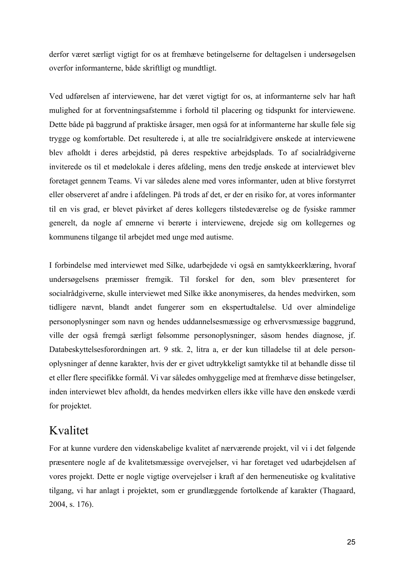derfor været særligt vigtigt for os at fremhæve betingelserne for deltagelsen i undersøgelsen overfor informanterne, både skriftligt og mundtligt.

Ved udførelsen af interviewene, har det været vigtigt for os, at informanterne selv har haft mulighed for at forventningsafstemme i forhold til placering og tidspunkt for interviewene. Dette både på baggrund af praktiske årsager, men også for at informanterne har skulle føle sig trygge og komfortable. Det resulterede i, at alle tre socialrådgivere ønskede at interviewene blev afholdt i deres arbejdstid, på deres respektive arbejdsplads. To af socialrådgiverne inviterede os til et mødelokale i deres afdeling, mens den tredje ønskede at interviewet blev foretaget gennem Teams. Vi var således alene med vores informanter, uden at blive forstyrret eller observeret af andre i afdelingen. På trods af det, er der en risiko for, at vores informanter til en vis grad, er blevet påvirket af deres kollegers tilstedeværelse og de fysiske rammer generelt, da nogle af emnerne vi berørte i interviewene, drejede sig om kollegernes og kommunens tilgange til arbejdet med unge med autisme.

I forbindelse med interviewet med Silke, udarbejdede vi også en samtykkeerklæring, hvoraf undersøgelsens præmisser fremgik. Til forskel for den, som blev præsenteret for socialrådgiverne, skulle interviewet med Silke ikke anonymiseres, da hendes medvirken, som tidligere nævnt, blandt andet fungerer som en ekspertudtalelse. Ud over almindelige personoplysninger som navn og hendes uddannelsesmæssige og erhvervsmæssige baggrund, ville der også fremgå særligt følsomme personoplysninger, såsom hendes diagnose, jf. Databeskyttelsesforordningen art. 9 stk. 2, litra a, er der kun tilladelse til at dele personoplysninger af denne karakter, hvis der er givet udtrykkeligt samtykke til at behandle disse til et eller flere specifikke formål. Vi var således omhyggelige med at fremhæve disse betingelser, inden interviewet blev afholdt, da hendes medvirken ellers ikke ville have den ønskede værdi for projektet.

#### Kvalitet

For at kunne vurdere den videnskabelige kvalitet af nærværende projekt, vil vi i det følgende præsentere nogle af de kvalitetsmæssige overvejelser, vi har foretaget ved udarbejdelsen af vores projekt. Dette er nogle vigtige overvejelser i kraft af den hermeneutiske og kvalitative tilgang, vi har anlagt i projektet, som er grundlæggende fortolkende af karakter (Thagaard, 2004, s. 176).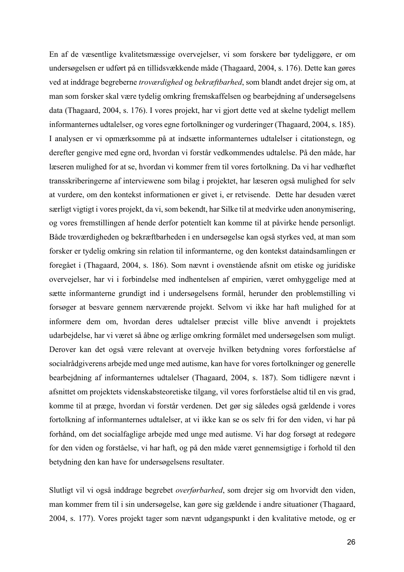En af de væsentlige kvalitetsmæssige overvejelser, vi som forskere bør tydeliggøre, er om undersøgelsen er udført på en tillidsvækkende måde (Thagaard, 2004, s. 176). Dette kan gøres ved at inddrage begreberne *troværdighed* og *bekræftbarhed*, som blandt andet drejer sig om, at man som forsker skal være tydelig omkring fremskaffelsen og bearbejdning af undersøgelsens data (Thagaard, 2004, s. 176). I vores projekt, har vi gjort dette ved at skelne tydeligt mellem informanternes udtalelser, og vores egne fortolkninger og vurderinger (Thagaard, 2004, s. 185). I analysen er vi opmærksomme på at indsætte informanternes udtalelser i citationstegn, og derefter gengive med egne ord, hvordan vi forstår vedkommendes udtalelse. På den måde, har læseren mulighed for at se, hvordan vi kommer frem til vores fortolkning. Da vi har vedhæftet transskriberingerne af interviewene som bilag i projektet, har læseren også mulighed for selv at vurdere, om den kontekst informationen er givet i, er retvisende. Dette har desuden været særligt vigtigt i vores projekt, da vi, som bekendt, har Silke til at medvirke uden anonymisering, og vores fremstillingen af hende derfor potentielt kan komme til at påvirke hende personligt. Både troværdigheden og bekræftbarheden i en undersøgelse kan også styrkes ved, at man som forsker er tydelig omkring sin relation til informanterne, og den kontekst dataindsamlingen er foregået i (Thagaard, 2004, s. 186). Som nævnt i ovenstående afsnit om etiske og juridiske overvejelser, har vi i forbindelse med indhentelsen af empirien, været omhyggelige med at sætte informanterne grundigt ind i undersøgelsens formål, herunder den problemstilling vi forsøger at besvare gennem nærværende projekt. Selvom vi ikke har haft mulighed for at informere dem om, hvordan deres udtalelser præcist ville blive anvendt i projektets udarbejdelse, har vi været så åbne og ærlige omkring formålet med undersøgelsen som muligt. Derover kan det også være relevant at overveje hvilken betydning vores forforståelse af socialrådgiverens arbejde med unge med autisme, kan have for vores fortolkninger og generelle bearbejdning af informanternes udtalelser (Thagaard, 2004, s. 187). Som tidligere nævnt i afsnittet om projektets videnskabsteoretiske tilgang, vil vores forforståelse altid til en vis grad, komme til at præge, hvordan vi forstår verdenen. Det gør sig således også gældende i vores fortolkning af informanternes udtalelser, at vi ikke kan se os selv fri for den viden, vi har på forhånd, om det socialfaglige arbejde med unge med autisme. Vi har dog forsøgt at redegøre for den viden og forståelse, vi har haft, og på den måde været gennemsigtige i forhold til den betydning den kan have for undersøgelsens resultater.

Slutligt vil vi også inddrage begrebet *overførbarhed*, som drejer sig om hvorvidt den viden, man kommer frem til i sin undersøgelse, kan gøre sig gældende i andre situationer (Thagaard, 2004, s. 177). Vores projekt tager som nævnt udgangspunkt i den kvalitative metode, og er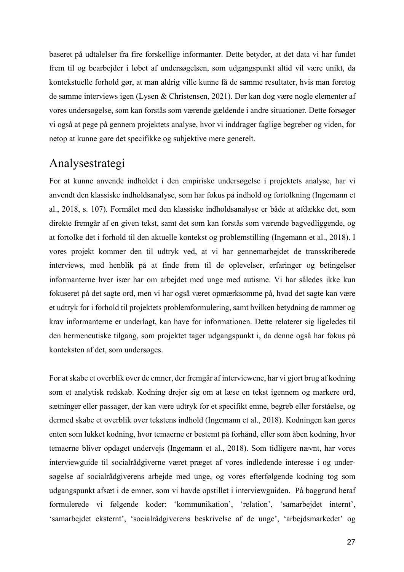baseret på udtalelser fra fire forskellige informanter. Dette betyder, at det data vi har fundet frem til og bearbejder i løbet af undersøgelsen, som udgangspunkt altid vil være unikt, da kontekstuelle forhold gør, at man aldrig ville kunne få de samme resultater, hvis man foretog de samme interviews igen (Lysen & Christensen, 2021). Der kan dog være nogle elementer af vores undersøgelse, som kan forstås som værende gældende i andre situationer. Dette forsøger vi også at pege på gennem projektets analyse, hvor vi inddrager faglige begreber og viden, for netop at kunne gøre det specifikke og subjektive mere generelt.

#### Analysestrategi

For at kunne anvende indholdet i den empiriske undersøgelse i projektets analyse, har vi anvendt den klassiske indholdsanalyse, som har fokus på indhold og fortolkning (Ingemann et al., 2018, s. 107). Formålet med den klassiske indholdsanalyse er både at afdække det, som direkte fremgår af en given tekst, samt det som kan forstås som værende bagvedliggende, og at fortolke det i forhold til den aktuelle kontekst og problemstilling (Ingemann et al., 2018). I vores projekt kommer den til udtryk ved, at vi har gennemarbejdet de transskriberede interviews, med henblik på at finde frem til de oplevelser, erfaringer og betingelser informanterne hver især har om arbejdet med unge med autisme. Vi har således ikke kun fokuseret på det sagte ord, men vi har også været opmærksomme på, hvad det sagte kan være et udtryk for i forhold til projektets problemformulering, samt hvilken betydning de rammer og krav informanterne er underlagt, kan have for informationen. Dette relaterer sig ligeledes til den hermeneutiske tilgang, som projektet tager udgangspunkt i, da denne også har fokus på konteksten af det, som undersøges.

For at skabe et overblik over de emner, der fremgår af interviewene, har vi gjort brug af kodning som et analytisk redskab. Kodning drejer sig om at læse en tekst igennem og markere ord, sætninger eller passager, der kan være udtryk for et specifikt emne, begreb eller forståelse, og dermed skabe et overblik over tekstens indhold (Ingemann et al., 2018). Kodningen kan gøres enten som lukket kodning, hvor temaerne er bestemt på forhånd, eller som åben kodning, hvor temaerne bliver opdaget undervejs (Ingemann et al., 2018). Som tidligere nævnt, har vores interviewguide til socialrådgiverne været præget af vores indledende interesse i og undersøgelse af socialrådgiverens arbejde med unge, og vores efterfølgende kodning tog som udgangspunkt afsæt i de emner, som vi havde opstillet i interviewguiden. På baggrund heraf formulerede vi følgende koder: 'kommunikation', 'relation', 'samarbejdet internt', 'samarbejdet eksternt', 'socialrådgiverens beskrivelse af de unge', 'arbejdsmarkedet' og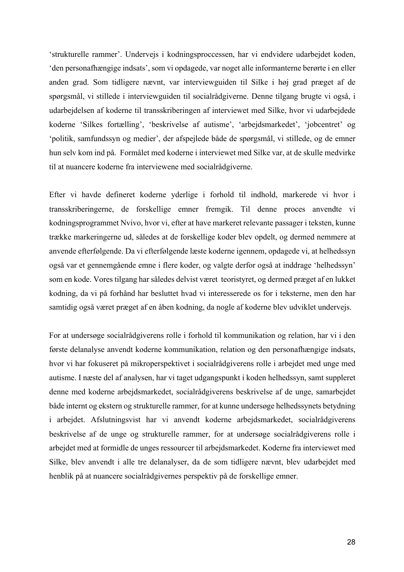'strukturelle rammer'. Undervejs i kodningsproccessen, har vi endvidere udarbejdet koden, 'den personafhængige indsats', som vi opdagede, var noget alle informanterne berørte i en eller anden grad. Som tidligere nævnt, var interviewguiden til Silke i høj grad præget af de spørgsmål, vi stillede i interviewguiden til socialrådgiverne. Denne tilgang brugte vi også, i udarbejdelsen af koderne til transskriberingen af interviewet med Silke, hvor vi udarbejdede koderne 'Silkes fortælling', 'beskrivelse af autisme', 'arbejdsmarkedet', 'jobcentret' og 'politik, samfundssyn og medier', der afspejlede både de spørgsmål, vi stillede, og de emner hun selv kom ind på. Formålet med koderne i interviewet med Silke var, at de skulle medvirke til at nuancere koderne fra interviewene med socialrådgiverne.

Efter vi havde defineret koderne yderlige i forhold til indhold, markerede vi hvor i transskriberingerne, de forskellige emner fremgik. Til denne proces anvendte vi kodningsprogrammet Nvivo, hvor vi, efter at have markeret relevante passager i teksten, kunne trække markeringerne ud, således at de forskellige koder blev opdelt, og dermed nemmere at anvende efterfølgende. Da vi efterfølgende læste koderne igennem, opdagede vi, at helhedssyn også var et gennemgående emne i flere koder, og valgte derfor også at inddrage 'helhedssyn' som en kode. Vores tilgang har således delvist været teoristyret, og dermed præget af en lukket kodning, da vi på forhånd har besluttet hvad vi interesserede os for i teksterne, men den har samtidig også været præget af en åben kodning, da nogle af koderne blev udviklet undervejs.

For at undersøge socialrådgiverens rolle i forhold til kommunikation og relation, har vi i den første delanalyse anvendt koderne kommunikation, relation og den personafhængige indsats, hvor vi har fokuseret på mikroperspektivet i socialrådgiverens rolle i arbejdet med unge med autisme. I næste del af analysen, har vi taget udgangspunkt i koden helhedssyn, samt suppleret denne med koderne arbejdsmarkedet, socialrådgiverens beskrivelse af de unge, samarbejdet både internt og ekstern og strukturelle rammer, for at kunne undersøge helhedssynets betydning i arbejdet. Afslutningsvist har vi anvendt koderne arbejdsmarkedet, socialrådgiverens beskrivelse af de unge og strukturelle rammer, for at undersøge socialrådgiverens rolle i arbejdet med at formidle de unges ressourcer til arbejdsmarkedet. Koderne fra interviewet med Silke, blev anvendt i alle tre delanalyser, da de som tidligere nævnt, blev udarbejdet med henblik på at nuancere socialrådgivernes perspektiv på de forskellige emner.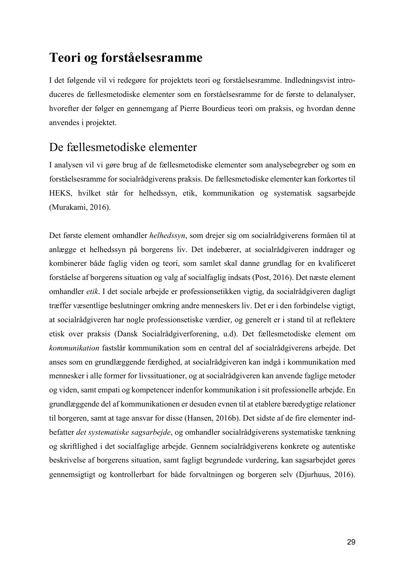## **Teori og forståelsesramme**

I det følgende vil vi redegøre for projektets teori og forståelsesramme. Indledningsvist introduceres de fællesmetodiske elementer som en forståelsesramme for de første to delanalyser, hvorefter der følger en gennemgang af Pierre Bourdieus teori om praksis, og hvordan denne anvendes i projektet.

#### De fællesmetodiske elementer

I analysen vil vi gøre brug af de fællesmetodiske elementer som analysebegreber og som en forståelsesramme for socialrådgiverens praksis. De fællesmetodiske elementer kan forkortes til HEKS, hvilket står for helhedssyn, etik, kommunikation og systematisk sagsarbejde (Murakami, 2016).

Det første element omhandler *helhedssyn*, som drejer sig om socialrådgiverens formåen til at anlægge et helhedssyn på borgerens liv. Det indebærer, at socialrådgiveren inddrager og kombinerer både faglig viden og teori, som samlet skal danne grundlag for en kvalificeret forståelse af borgerens situation og valg af socialfaglig indsats (Post, 2016). Det næste element omhandler *etik*. I det sociale arbejde er professionsetikken vigtig, da socialrådgiveren dagligt træffer væsentlige beslutninger omkring andre menneskers liv. Det er i den forbindelse vigtigt, at socialrådgiveren har nogle professionsetiske værdier, og generelt er i stand til at reflektere etisk over praksis (Dansk Socialrådgiverforening, u.d). Det fællesmetodiske element om *kommunikation* fastslår kommunikation som en central del af socialrådgiverens arbejde. Det anses som en grundlæggende færdighed, at socialrådgiveren kan indgå i kommunikation med mennesker i alle former for livssituationer, og at socialrådgiveren kan anvende faglige metoder og viden, samt empati og kompetencer indenfor kommunikation i sit professionelle arbejde. En grundlæggende del af kommunikationen er desuden evnen til at etablere bæredygtige relationer til borgeren, samt at tage ansvar for disse (Hansen, 2016b). Det sidste af de fire elementer indbefatter *det systematiske sagsarbejde*, og omhandler socialrådgiverens systematiske tænkning og skriftlighed i det socialfaglige arbejde. Gennem socialrådgiverens konkrete og autentiske beskrivelse af borgerens situation, samt fagligt begrundede vurdering, kan sagsarbejdet gøres gennemsigtigt og kontrollerbart for både forvaltningen og borgeren selv (Djurhuus, 2016).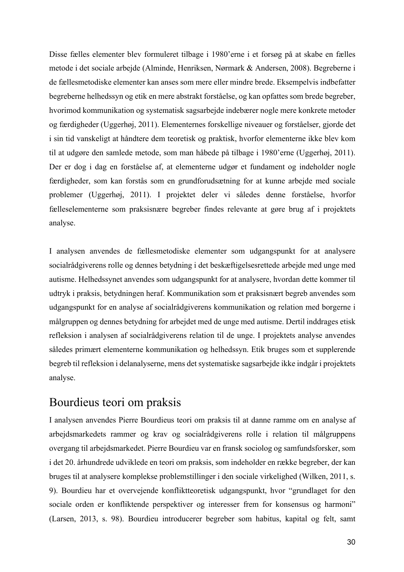Disse fælles elementer blev formuleret tilbage i 1980'erne i et forsøg på at skabe en fælles metode i det sociale arbejde (Alminde, Henriksen, Nørmark & Andersen, 2008). Begreberne i de fællesmetodiske elementer kan anses som mere eller mindre brede. Eksempelvis indbefatter begreberne helhedssyn og etik en mere abstrakt forståelse, og kan opfattes som brede begreber, hvorimod kommunikation og systematisk sagsarbejde indebærer nogle mere konkrete metoder og færdigheder (Uggerhøj, 2011). Elementernes forskellige niveauer og forståelser, gjorde det i sin tid vanskeligt at håndtere dem teoretisk og praktisk, hvorfor elementerne ikke blev kom til at udgøre den samlede metode, som man håbede på tilbage i 1980'erne (Uggerhøj, 2011). Der er dog i dag en forståelse af, at elementerne udgør et fundament og indeholder nogle færdigheder, som kan forstås som en grundforudsætning for at kunne arbejde med sociale problemer (Uggerhøj, 2011). I projektet deler vi således denne forståelse, hvorfor fælleselementerne som praksisnære begreber findes relevante at gøre brug af i projektets analyse.

I analysen anvendes de fællesmetodiske elementer som udgangspunkt for at analysere socialrådgiverens rolle og dennes betydning i det beskæftigelsesrettede arbejde med unge med autisme. Helhedssynet anvendes som udgangspunkt for at analysere, hvordan dette kommer til udtryk i praksis, betydningen heraf. Kommunikation som et praksisnært begreb anvendes som udgangspunkt for en analyse af socialrådgiverens kommunikation og relation med borgerne i målgruppen og dennes betydning for arbejdet med de unge med autisme. Dertil inddrages etisk refleksion i analysen af socialrådgiverens relation til de unge. I projektets analyse anvendes således primært elementerne kommunikation og helhedssyn. Etik bruges som et supplerende begreb til refleksion i delanalyserne, mens det systematiske sagsarbejde ikke indgår i projektets analyse.

#### Bourdieus teori om praksis

I analysen anvendes Pierre Bourdieus teori om praksis til at danne ramme om en analyse af arbejdsmarkedets rammer og krav og socialrådgiverens rolle i relation til målgruppens overgang til arbejdsmarkedet. Pierre Bourdieu var en fransk sociolog og samfundsforsker, som i det 20. århundrede udviklede en teori om praksis, som indeholder en række begreber, der kan bruges til at analysere komplekse problemstillinger i den sociale virkelighed (Wilken, 2011, s. 9). Bourdieu har et overvejende konfliktteoretisk udgangspunkt, hvor "grundlaget for den sociale orden er konfliktende perspektiver og interesser frem for konsensus og harmoni" (Larsen, 2013, s. 98). Bourdieu introducerer begreber som habitus, kapital og felt, samt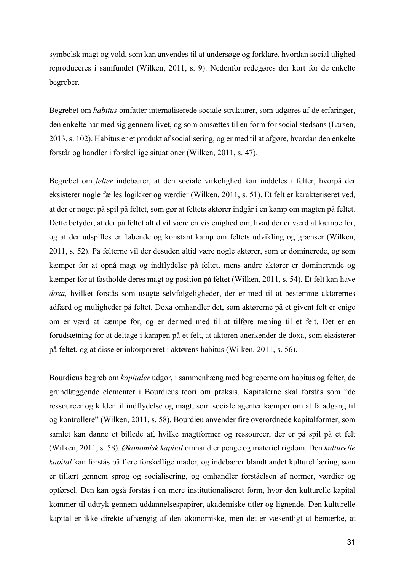symbolsk magt og vold, som kan anvendes til at undersøge og forklare, hvordan social ulighed reproduceres i samfundet (Wilken, 2011, s. 9). Nedenfor redegøres der kort for de enkelte begreber.

Begrebet om *habitus* omfatter internaliserede sociale strukturer, som udgøres af de erfaringer, den enkelte har med sig gennem livet, og som omsættes til en form for social stedsans (Larsen, 2013, s. 102). Habitus er et produkt af socialisering, og er med til at afgøre, hvordan den enkelte forstår og handler i forskellige situationer (Wilken, 2011, s. 47).

Begrebet om *felter* indebærer, at den sociale virkelighed kan inddeles i felter, hvorpå der eksisterer nogle fælles logikker og værdier (Wilken, 2011, s. 51). Et felt er karakteriseret ved, at der er noget på spil på feltet, som gør at feltets aktører indgår i en kamp om magten på feltet. Dette betyder, at der på feltet altid vil være en vis enighed om, hvad der er værd at kæmpe for, og at der udspilles en løbende og konstant kamp om feltets udvikling og grænser (Wilken, 2011, s. 52). På felterne vil der desuden altid være nogle aktører, som er dominerede, og som kæmper for at opnå magt og indflydelse på feltet, mens andre aktører er dominerende og kæmper for at fastholde deres magt og position på feltet (Wilken, 2011, s. 54). Et felt kan have *doxa,* hvilket forstås som usagte selvfølgeligheder, der er med til at bestemme aktørernes adfærd og muligheder på feltet. Doxa omhandler det, som aktørerne på et givent felt er enige om er værd at kæmpe for, og er dermed med til at tilføre mening til et felt. Det er en forudsætning for at deltage i kampen på et felt, at aktøren anerkender de doxa, som eksisterer på feltet, og at disse er inkorporeret i aktørens habitus (Wilken, 2011, s. 56).

Bourdieus begreb om *kapitaler* udgør, i sammenhæng med begreberne om habitus og felter, de grundlæggende elementer i Bourdieus teori om praksis. Kapitalerne skal forstås som "de ressourcer og kilder til indflydelse og magt, som sociale agenter kæmper om at få adgang til og kontrollere" (Wilken, 2011, s. 58). Bourdieu anvender fire overordnede kapitalformer, som samlet kan danne et billede af, hvilke magtformer og ressourcer, der er på spil på et felt (Wilken, 2011, s. 58). *Økonomisk kapital* omhandler penge og materiel rigdom. Den *kulturelle kapital* kan forstås på flere forskellige måder, og indebærer blandt andet kulturel læring, som er tillært gennem sprog og socialisering, og omhandler forståelsen af normer, værdier og opførsel. Den kan også forstås i en mere institutionaliseret form, hvor den kulturelle kapital kommer til udtryk gennem uddannelsespapirer, akademiske titler og lignende. Den kulturelle kapital er ikke direkte afhængig af den økonomiske, men det er væsentligt at bemærke, at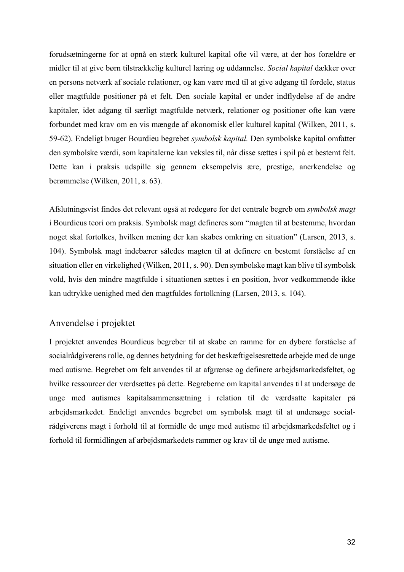forudsætningerne for at opnå en stærk kulturel kapital ofte vil være, at der hos forældre er midler til at give børn tilstrækkelig kulturel læring og uddannelse. *Social kapital* dækker over en persons netværk af sociale relationer, og kan være med til at give adgang til fordele, status eller magtfulde positioner på et felt. Den sociale kapital er under indflydelse af de andre kapitaler, idet adgang til særligt magtfulde netværk, relationer og positioner ofte kan være forbundet med krav om en vis mængde af økonomisk eller kulturel kapital (Wilken, 2011, s. 59-62). Endeligt bruger Bourdieu begrebet *symbolsk kapital.* Den symbolske kapital omfatter den symbolske værdi, som kapitalerne kan veksles til, når disse sættes i spil på et bestemt felt. Dette kan i praksis udspille sig gennem eksempelvis ære, prestige, anerkendelse og berømmelse (Wilken, 2011, s. 63).

Afslutningsvist findes det relevant også at redegøre for det centrale begreb om *symbolsk magt* i Bourdieus teori om praksis. Symbolsk magt defineres som "magten til at bestemme, hvordan noget skal fortolkes, hvilken mening der kan skabes omkring en situation" (Larsen, 2013, s. 104). Symbolsk magt indebærer således magten til at definere en bestemt forståelse af en situation eller en virkelighed (Wilken, 2011, s. 90). Den symbolske magt kan blive til symbolsk vold, hvis den mindre magtfulde i situationen sættes i en position, hvor vedkommende ikke kan udtrykke uenighed med den magtfuldes fortolkning (Larsen, 2013, s. 104).

#### Anvendelse i projektet

I projektet anvendes Bourdieus begreber til at skabe en ramme for en dybere forståelse af socialrådgiverens rolle, og dennes betydning for det beskæftigelsesrettede arbejde med de unge med autisme. Begrebet om felt anvendes til at afgrænse og definere arbejdsmarkedsfeltet, og hvilke ressourcer der værdsættes på dette. Begreberne om kapital anvendes til at undersøge de unge med autismes kapitalsammensætning i relation til de værdsatte kapitaler på arbejdsmarkedet. Endeligt anvendes begrebet om symbolsk magt til at undersøge socialrådgiverens magt i forhold til at formidle de unge med autisme til arbejdsmarkedsfeltet og i forhold til formidlingen af arbejdsmarkedets rammer og krav til de unge med autisme.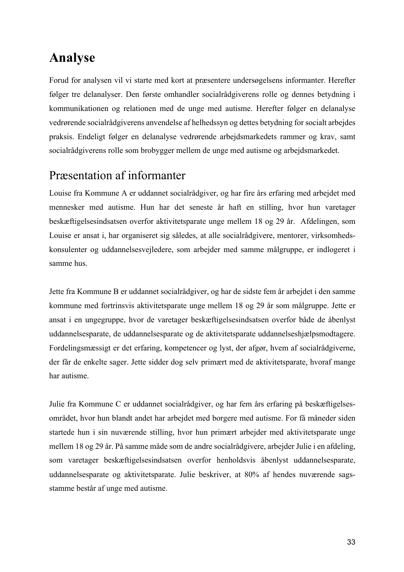# **Analyse**

Forud for analysen vil vi starte med kort at præsentere undersøgelsens informanter. Herefter følger tre delanalyser. Den første omhandler socialrådgiverens rolle og dennes betydning i kommunikationen og relationen med de unge med autisme. Herefter følger en delanalyse vedrørende socialrådgiverens anvendelse af helhedssyn og dettes betydning for socialt arbejdes praksis. Endeligt følger en delanalyse vedrørende arbejdsmarkedets rammer og krav, samt socialrådgiverens rolle som brobygger mellem de unge med autisme og arbejdsmarkedet.

## Præsentation af informanter

Louise fra Kommune A er uddannet socialrådgiver, og har fire års erfaring med arbejdet med mennesker med autisme. Hun har det seneste år haft en stilling, hvor hun varetager beskæftigelsesindsatsen overfor aktivitetsparate unge mellem 18 og 29 år. Afdelingen, som Louise er ansat i, har organiseret sig således, at alle socialrådgivere, mentorer, virksomhedskonsulenter og uddannelsesvejledere, som arbejder med samme målgruppe, er indlogeret i samme hus.

Jette fra Kommune B er uddannet socialrådgiver, og har de sidste fem år arbejdet i den samme kommune med fortrinsvis aktivitetsparate unge mellem 18 og 29 år som målgruppe. Jette er ansat i en ungegruppe, hvor de varetager beskæftigelsesindsatsen overfor både de åbenlyst uddannelsesparate, de uddannelsesparate og de aktivitetsparate uddannelseshjælpsmodtagere. Fordelingsmæssigt er det erfaring, kompetencer og lyst, der afgør, hvem af socialrådgiverne, der får de enkelte sager. Jette sidder dog selv primært med de aktivitetsparate, hvoraf mange har autisme.

Julie fra Kommune C er uddannet socialrådgiver, og har fem års erfaring på beskæftigelsesområdet, hvor hun blandt andet har arbejdet med borgere med autisme. For få måneder siden startede hun i sin nuværende stilling, hvor hun primært arbejder med aktivitetsparate unge mellem 18 og 29 år. På samme måde som de andre socialrådgivere, arbejder Julie i en afdeling, som varetager beskæftigelsesindsatsen overfor henholdsvis åbenlyst uddannelsesparate, uddannelsesparate og aktivitetsparate. Julie beskriver, at 80% af hendes nuværende sagsstamme består af unge med autisme.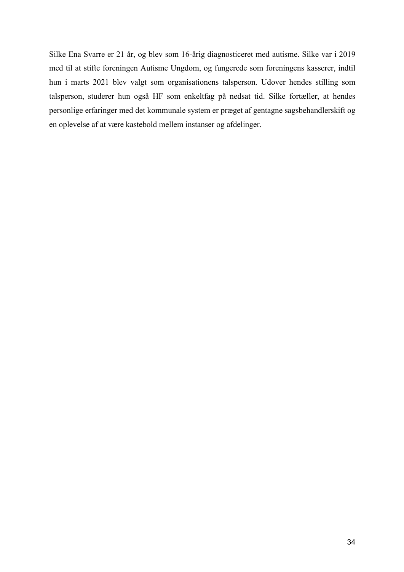Silke Ena Svarre er 21 år, og blev som 16-årig diagnosticeret med autisme. Silke var i 2019 med til at stifte foreningen Autisme Ungdom, og fungerede som foreningens kasserer, indtil hun i marts 2021 blev valgt som organisationens talsperson. Udover hendes stilling som talsperson, studerer hun også HF som enkeltfag på nedsat tid. Silke fortæller, at hendes personlige erfaringer med det kommunale system er præget af gentagne sagsbehandlerskift og en oplevelse af at være kastebold mellem instanser og afdelinger.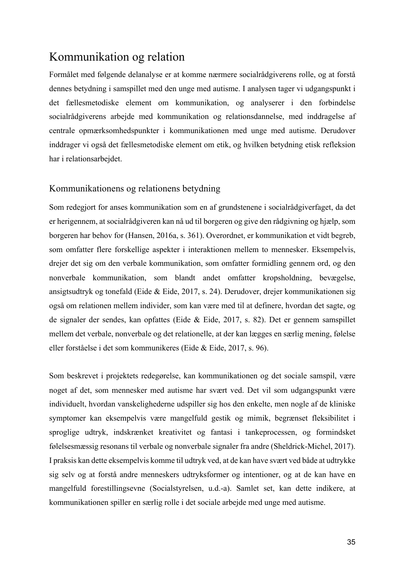## Kommunikation og relation

Formålet med følgende delanalyse er at komme nærmere socialrådgiverens rolle, og at forstå dennes betydning i samspillet med den unge med autisme. I analysen tager vi udgangspunkt i det fællesmetodiske element om kommunikation, og analyserer i den forbindelse socialrådgiverens arbejde med kommunikation og relationsdannelse, med inddragelse af centrale opmærksomhedspunkter i kommunikationen med unge med autisme. Derudover inddrager vi også det fællesmetodiske element om etik, og hvilken betydning etisk refleksion har i relationsarbejdet.

#### Kommunikationens og relationens betydning

Som redegjort for anses kommunikation som en af grundstenene i socialrådgiverfaget, da det er herigennem, at socialrådgiveren kan nå ud til borgeren og give den rådgivning og hjælp, som borgeren har behov for (Hansen, 2016a, s. 361). Overordnet, er kommunikation et vidt begreb, som omfatter flere forskellige aspekter i interaktionen mellem to mennesker. Eksempelvis, drejer det sig om den verbale kommunikation, som omfatter formidling gennem ord, og den nonverbale kommunikation, som blandt andet omfatter kropsholdning, bevægelse, ansigtsudtryk og tonefald (Eide & Eide, 2017, s. 24). Derudover, drejer kommunikationen sig også om relationen mellem individer, som kan være med til at definere, hvordan det sagte, og de signaler der sendes, kan opfattes (Eide & Eide, 2017, s. 82). Det er gennem samspillet mellem det verbale, nonverbale og det relationelle, at der kan lægges en særlig mening, følelse eller forståelse i det som kommunikeres (Eide & Eide, 2017, s. 96).

Som beskrevet i projektets redegørelse, kan kommunikationen og det sociale samspil, være noget af det, som mennesker med autisme har svært ved. Det vil som udgangspunkt være individuelt, hvordan vanskelighederne udspiller sig hos den enkelte, men nogle af de kliniske symptomer kan eksempelvis være mangelfuld gestik og mimik, begrænset fleksibilitet i sproglige udtryk, indskrænket kreativitet og fantasi i tankeprocessen, og formindsket følelsesmæssig resonans til verbale og nonverbale signaler fra andre (Sheldrick-Michel, 2017). I praksis kan dette eksempelvis komme til udtryk ved, at de kan have svært ved både at udtrykke sig selv og at forstå andre menneskers udtryksformer og intentioner, og at de kan have en mangelfuld forestillingsevne (Socialstyrelsen, u.d.-a). Samlet set, kan dette indikere, at kommunikationen spiller en særlig rolle i det sociale arbejde med unge med autisme.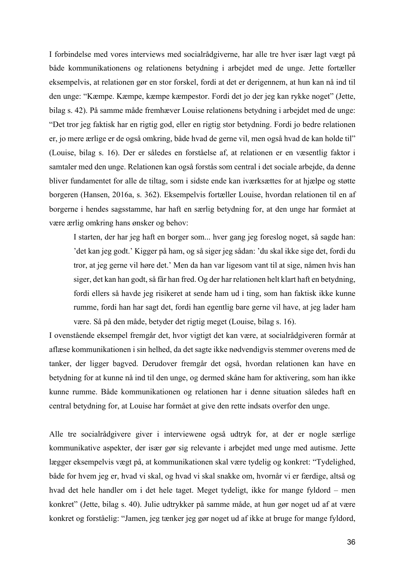I forbindelse med vores interviews med socialrådgiverne, har alle tre hver især lagt vægt på både kommunikationens og relationens betydning i arbejdet med de unge. Jette fortæller eksempelvis, at relationen gør en stor forskel, fordi at det er derigennem, at hun kan nå ind til den unge: "Kæmpe. Kæmpe, kæmpe kæmpestor. Fordi det jo der jeg kan rykke noget" (Jette, bilag s. 42). På samme måde fremhæver Louise relationens betydning i arbejdet med de unge: "Det tror jeg faktisk har en rigtig god, eller en rigtig stor betydning. Fordi jo bedre relationen er, jo mere ærlige er de også omkring, både hvad de gerne vil, men også hvad de kan holde til" (Louise, bilag s. 16). Der er således en forståelse af, at relationen er en væsentlig faktor i samtaler med den unge. Relationen kan også forstås som central i det sociale arbejde, da denne bliver fundamentet for alle de tiltag, som i sidste ende kan iværksættes for at hjælpe og støtte borgeren (Hansen, 2016a, s. 362). Eksempelvis fortæller Louise, hvordan relationen til en af borgerne i hendes sagsstamme, har haft en særlig betydning for, at den unge har formået at være ærlig omkring hans ønsker og behov:

I starten, der har jeg haft en borger som... hver gang jeg foreslog noget, så sagde han: 'det kan jeg godt.' Kigger på ham, og så siger jeg sådan: 'du skal ikke sige det, fordi du tror, at jeg gerne vil høre det.' Men da han var ligesom vant til at sige, nåmen hvis han siger, det kan han godt, så får han fred. Og der har relationen helt klart haft en betydning, fordi ellers så havde jeg risikeret at sende ham ud i ting, som han faktisk ikke kunne rumme, fordi han har sagt det, fordi han egentlig bare gerne vil have, at jeg lader ham være. Så på den måde, betyder det rigtig meget (Louise, bilag s. 16).

I ovenstående eksempel fremgår det, hvor vigtigt det kan være, at socialrådgiveren formår at aflæse kommunikationen i sin helhed, da det sagte ikke nødvendigvis stemmer overens med de tanker, der ligger bagved. Derudover fremgår det også, hvordan relationen kan have en betydning for at kunne nå ind til den unge, og dermed skåne ham for aktivering, som han ikke kunne rumme. Både kommunikationen og relationen har i denne situation således haft en central betydning for, at Louise har formået at give den rette indsats overfor den unge.

Alle tre socialrådgivere giver i interviewene også udtryk for, at der er nogle særlige kommunikative aspekter, der især gør sig relevante i arbejdet med unge med autisme. Jette lægger eksempelvis vægt på, at kommunikationen skal være tydelig og konkret: "Tydelighed, både for hvem jeg er, hvad vi skal, og hvad vi skal snakke om, hvornår vi er færdige, altså og hvad det hele handler om i det hele taget. Meget tydeligt, ikke for mange fyldord – men konkret" (Jette, bilag s. 40). Julie udtrykker på samme måde, at hun gør noget ud af at være konkret og forståelig: "Jamen, jeg tænker jeg gør noget ud af ikke at bruge for mange fyldord,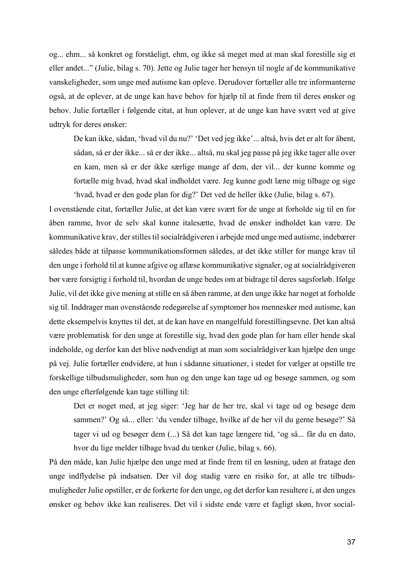og... ehm... så konkret og forståeligt, ehm, og ikke så meget med at man skal forestille sig et eller andet..." (Julie, bilag s. 70). Jette og Julie tager her hensyn til nogle af de kommunikative vanskeligheder, som unge med autisme kan opleve. Derudover fortæller alle tre informanterne også, at de oplever, at de unge kan have behov for hjælp til at finde frem til deres ønsker og behov. Julie fortæller i følgende citat, at hun oplever, at de unge kan have svært ved at give udtryk for deres ønsker:

De kan ikke, sådan, 'hvad vil du nu?' 'Det ved jeg ikke'... altså, hvis det er alt for åbent, sådan, så er der ikke... så er der ikke... altså, nu skal jeg passe på jeg ikke tager alle over en kam, men så er der ikke særlige mange af dem, der vil... der kunne komme og fortælle mig hvad, hvad skal indholdet være. Jeg kunne godt læne mig tilbage og sige 'hvad, hvad er den gode plan for dig?' Det ved de heller ikke (Julie, bilag s. 67).

I ovenstående citat, fortæller Julie, at det kan være svært for de unge at forholde sig til en for åben ramme, hvor de selv skal kunne italesætte, hvad de ønsker indholdet kan være. De kommunikative krav, der stilles til socialrådgiveren i arbejde med unge med autisme, indebærer således både at tilpasse kommunikationsformen således, at det ikke stiller for mange krav til den unge i forhold til at kunne afgive og aflæse kommunikative signaler, og at socialrådgiveren bør være forsigtig i forhold til, hvordan de unge bedes om at bidrage til deres sagsforløb. Ifølge Julie, vil det ikke give mening at stille en så åben ramme, at den unge ikke har noget at forholde sig til. Inddrager man ovenstående redegørelse af symptomer hos mennesker med autisme, kan dette eksempelvis knyttes til det, at de kan have en mangelfuld forestillingsevne. Det kan altså være problematisk for den unge at forestille sig, hvad den gode plan for ham eller hende skal indeholde, og derfor kan det blive nødvendigt at man som socialrådgiver kan hjælpe den unge på vej. Julie fortæller endvidere, at hun i sådanne situationer, i stedet for vælger at opstille tre forskellige tilbudsmuligheder, som hun og den unge kan tage ud og besøge sammen, og som den unge efterfølgende kan tage stilling til:

Det er noget med, at jeg siger: 'Jeg har de her tre, skal vi tage ud og besøge dem sammen?' Og så... eller: 'du vender tilbage, hvilke af de her vil du gerne besøge?' Så tager vi ud og besøger dem (...) Så det kan tage længere tid, 'og så... får du en dato, hvor du lige melder tilbage hvad du tænker (Julie, bilag s. 66).

På den måde, kan Julie hjælpe den unge med at finde frem til en løsning, uden at fratage den unge indflydelse på indsatsen. Der vil dog stadig være en risiko for, at alle tre tilbudsmuligheder Julie opstiller, er de forkerte for den unge, og det derfor kan resultere i, at den unges ønsker og behov ikke kan realiseres. Det vil i sidste ende være et fagligt skøn, hvor social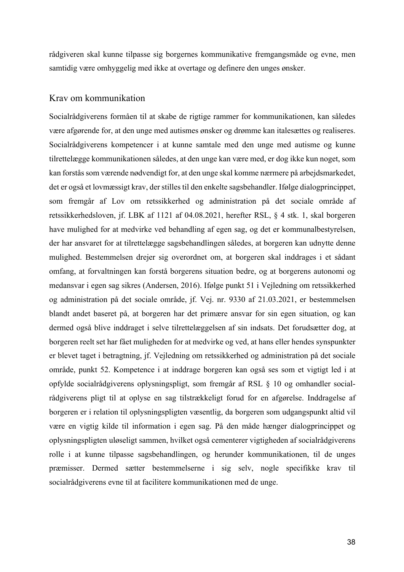rådgiveren skal kunne tilpasse sig borgernes kommunikative fremgangsmåde og evne, men samtidig være omhyggelig med ikke at overtage og definere den unges ønsker.

#### Krav om kommunikation

Socialrådgiverens formåen til at skabe de rigtige rammer for kommunikationen, kan således være afgørende for, at den unge med autismes ønsker og drømme kan italesættes og realiseres. Socialrådgiverens kompetencer i at kunne samtale med den unge med autisme og kunne tilrettelægge kommunikationen således, at den unge kan være med, er dog ikke kun noget, som kan forstås som værende nødvendigt for, at den unge skal komme nærmere på arbejdsmarkedet, det er også et lovmæssigt krav, der stilles til den enkelte sagsbehandler. Ifølge dialogprincippet, som fremgår af Lov om retssikkerhed og administration på det sociale område af retssikkerhedsloven, jf. LBK af 1121 af 04.08.2021, herefter RSL, § 4 stk. 1, skal borgeren have mulighed for at medvirke ved behandling af egen sag, og det er kommunalbestyrelsen, der har ansvaret for at tilrettelægge sagsbehandlingen således, at borgeren kan udnytte denne mulighed. Bestemmelsen drejer sig overordnet om, at borgeren skal inddrages i et sådant omfang, at forvaltningen kan forstå borgerens situation bedre, og at borgerens autonomi og medansvar i egen sag sikres (Andersen, 2016). Ifølge punkt 51 i Vejledning om retssikkerhed og administration på det sociale område, jf. Vej. nr. 9330 af 21.03.2021, er bestemmelsen blandt andet baseret på, at borgeren har det primære ansvar for sin egen situation, og kan dermed også blive inddraget i selve tilrettelæggelsen af sin indsats. Det forudsætter dog, at borgeren reelt set har fået muligheden for at medvirke og ved, at hans eller hendes synspunkter er blevet taget i betragtning, jf. Vejledning om retssikkerhed og administration på det sociale område, punkt 52. Kompetence i at inddrage borgeren kan også ses som et vigtigt led i at opfylde socialrådgiverens oplysningspligt, som fremgår af RSL § 10 og omhandler socialrådgiverens pligt til at oplyse en sag tilstrækkeligt forud for en afgørelse. Inddragelse af borgeren er i relation til oplysningspligten væsentlig, da borgeren som udgangspunkt altid vil være en vigtig kilde til information i egen sag. På den måde hænger dialogprincippet og oplysningspligten uløseligt sammen, hvilket også cementerer vigtigheden af socialrådgiverens rolle i at kunne tilpasse sagsbehandlingen, og herunder kommunikationen, til de unges præmisser. Dermed sætter bestemmelserne i sig selv, nogle specifikke krav til socialrådgiverens evne til at facilitere kommunikationen med de unge.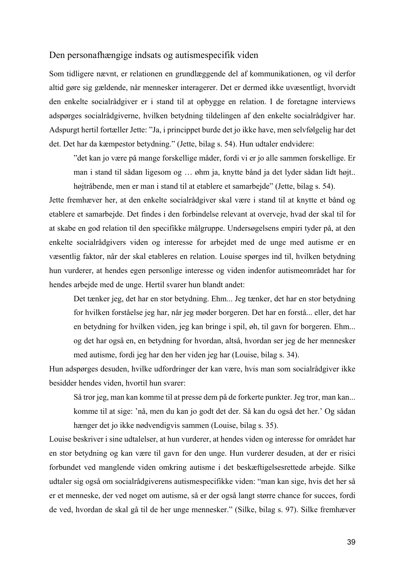#### Den personafhængige indsats og autismespecifik viden

Som tidligere nævnt, er relationen en grundlæggende del af kommunikationen, og vil derfor altid gøre sig gældende, når mennesker interagerer. Det er dermed ikke uvæsentligt, hvorvidt den enkelte socialrådgiver er i stand til at opbygge en relation. I de foretagne interviews adspørges socialrådgiverne, hvilken betydning tildelingen af den enkelte socialrådgiver har. Adspurgt hertil fortæller Jette: "Ja, i princippet burde det jo ikke have, men selvfølgelig har det det. Det har da kæmpestor betydning." (Jette, bilag s. 54). Hun udtaler endvidere:

"det kan jo være på mange forskellige måder, fordi vi er jo alle sammen forskellige. Er man i stand til sådan ligesom og … øhm ja, knytte bånd ja det lyder sådan lidt højt.. højtråbende, men er man i stand til at etablere et samarbejde" (Jette, bilag s. 54).

Jette fremhæver her, at den enkelte socialrådgiver skal være i stand til at knytte et bånd og etablere et samarbejde. Det findes i den forbindelse relevant at overveje, hvad der skal til for at skabe en god relation til den specifikke målgruppe. Undersøgelsens empiri tyder på, at den enkelte socialrådgivers viden og interesse for arbejdet med de unge med autisme er en væsentlig faktor, når der skal etableres en relation. Louise spørges ind til, hvilken betydning hun vurderer, at hendes egen personlige interesse og viden indenfor autismeområdet har for hendes arbejde med de unge. Hertil svarer hun blandt andet:

Det tænker jeg, det har en stor betydning. Ehm... Jeg tænker, det har en stor betydning for hvilken forståelse jeg har, når jeg møder borgeren. Det har en forstå... eller, det har en betydning for hvilken viden, jeg kan bringe i spil, øh, til gavn for borgeren. Ehm... og det har også en, en betydning for hvordan, altså, hvordan ser jeg de her mennesker med autisme, fordi jeg har den her viden jeg har (Louise, bilag s. 34).

Hun adspørges desuden, hvilke udfordringer der kan være, hvis man som socialrådgiver ikke besidder hendes viden, hvortil hun svarer:

Så tror jeg, man kan komme til at presse dem på de forkerte punkter. Jeg tror, man kan... komme til at sige: 'nå, men du kan jo godt det der. Så kan du også det her.' Og sådan hænger det jo ikke nødvendigvis sammen (Louise, bilag s. 35).

Louise beskriver i sine udtalelser, at hun vurderer, at hendes viden og interesse for området har en stor betydning og kan være til gavn for den unge. Hun vurderer desuden, at der er risici forbundet ved manglende viden omkring autisme i det beskæftigelsesrettede arbejde. Silke udtaler sig også om socialrådgiverens autismespecifikke viden: "man kan sige, hvis det her så er et menneske, der ved noget om autisme, så er der også langt større chance for succes, fordi de ved, hvordan de skal gå til de her unge mennesker." (Silke, bilag s. 97). Silke fremhæver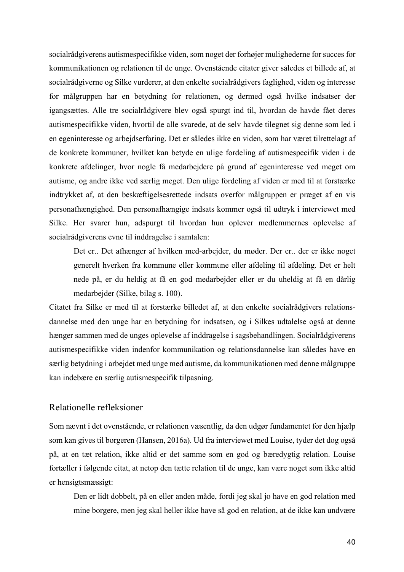socialrådgiverens autismespecifikke viden, som noget der forhøjer mulighederne for succes for kommunikationen og relationen til de unge. Ovenstående citater giver således et billede af, at socialrådgiverne og Silke vurderer, at den enkelte socialrådgivers faglighed, viden og interesse for målgruppen har en betydning for relationen, og dermed også hvilke indsatser der igangsættes. Alle tre socialrådgivere blev også spurgt ind til, hvordan de havde fået deres autismespecifikke viden, hvortil de alle svarede, at de selv havde tilegnet sig denne som led i en egeninteresse og arbejdserfaring. Det er således ikke en viden, som har været tilrettelagt af de konkrete kommuner, hvilket kan betyde en ulige fordeling af autismespecifik viden i de konkrete afdelinger, hvor nogle få medarbejdere på grund af egeninteresse ved meget om autisme, og andre ikke ved særlig meget. Den ulige fordeling af viden er med til at forstærke indtrykket af, at den beskæftigelsesrettede indsats overfor målgruppen er præget af en vis personafhængighed. Den personafhængige indsats kommer også til udtryk i interviewet med Silke. Her svarer hun, adspurgt til hvordan hun oplever medlemmernes oplevelse af socialrådgiverens evne til inddragelse i samtalen:

Det er.. Det afhænger af hvilken med-arbejder, du møder. Der er.. der er ikke noget generelt hverken fra kommune eller kommune eller afdeling til afdeling. Det er helt nede på, er du heldig at få en god medarbejder eller er du uheldig at få en dårlig medarbejder (Silke, bilag s. 100).

Citatet fra Silke er med til at forstærke billedet af, at den enkelte socialrådgivers relationsdannelse med den unge har en betydning for indsatsen, og i Silkes udtalelse også at denne hænger sammen med de unges oplevelse af inddragelse i sagsbehandlingen. Socialrådgiverens autismespecifikke viden indenfor kommunikation og relationsdannelse kan således have en særlig betydning i arbejdet med unge med autisme, da kommunikationen med denne målgruppe kan indebære en særlig autismespecifik tilpasning.

### Relationelle refleksioner

Som nævnt i det ovenstående, er relationen væsentlig, da den udgør fundamentet for den hjælp som kan gives til borgeren (Hansen, 2016a). Ud fra interviewet med Louise, tyder det dog også på, at en tæt relation, ikke altid er det samme som en god og bæredygtig relation. Louise fortæller i følgende citat, at netop den tætte relation til de unge, kan være noget som ikke altid er hensigtsmæssigt:

Den er lidt dobbelt, på en eller anden måde, fordi jeg skal jo have en god relation med mine borgere, men jeg skal heller ikke have så god en relation, at de ikke kan undvære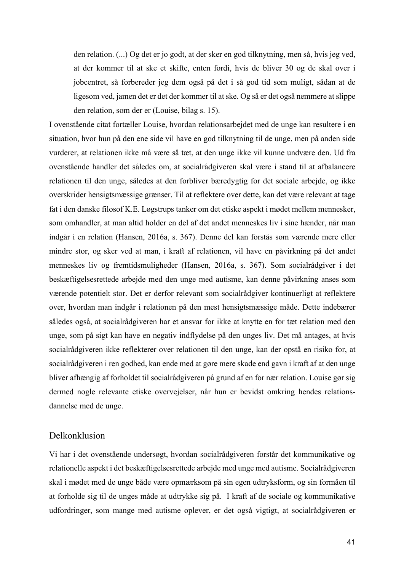den relation. (...) Og det er jo godt, at der sker en god tilknytning, men så, hvis jeg ved, at der kommer til at ske et skifte, enten fordi, hvis de bliver 30 og de skal over i jobcentret, så forbereder jeg dem også på det i så god tid som muligt, sådan at de ligesom ved, jamen det er det der kommer til at ske. Og så er det også nemmere at slippe den relation, som der er (Louise, bilag s. 15).

I ovenstående citat fortæller Louise, hvordan relationsarbejdet med de unge kan resultere i en situation, hvor hun på den ene side vil have en god tilknytning til de unge, men på anden side vurderer, at relationen ikke må være så tæt, at den unge ikke vil kunne undvære den. Ud fra ovenstående handler det således om, at socialrådgiveren skal være i stand til at afbalancere relationen til den unge, således at den forbliver bæredygtig for det sociale arbejde, og ikke overskrider hensigtsmæssige grænser. Til at reflektere over dette, kan det være relevant at tage fat i den danske filosof K.E. Løgstrups tanker om det etiske aspekt i mødet mellem mennesker, som omhandler, at man altid holder en del af det andet menneskes liv i sine hænder, når man indgår i en relation (Hansen, 2016a, s. 367). Denne del kan forstås som værende mere eller mindre stor, og sker ved at man, i kraft af relationen, vil have en påvirkning på det andet menneskes liv og fremtidsmuligheder (Hansen, 2016a, s. 367). Som socialrådgiver i det beskæftigelsesrettede arbejde med den unge med autisme, kan denne påvirkning anses som værende potentielt stor. Det er derfor relevant som socialrådgiver kontinuerligt at reflektere over, hvordan man indgår i relationen på den mest hensigtsmæssige måde. Dette indebærer således også, at socialrådgiveren har et ansvar for ikke at knytte en for tæt relation med den unge, som på sigt kan have en negativ indflydelse på den unges liv. Det må antages, at hvis socialrådgiveren ikke reflekterer over relationen til den unge, kan der opstå en risiko for, at socialrådgiveren i ren godhed, kan ende med at gøre mere skade end gavn i kraft af at den unge bliver afhængig af forholdet til socialrådgiveren på grund af en for nær relation. Louise gør sig dermed nogle relevante etiske overvejelser, når hun er bevidst omkring hendes relationsdannelse med de unge.

#### Delkonklusion

Vi har i det ovenstående undersøgt, hvordan socialrådgiveren forstår det kommunikative og relationelle aspekt i det beskæftigelsesrettede arbejde med unge med autisme. Socialrådgiveren skal i mødet med de unge både være opmærksom på sin egen udtryksform, og sin formåen til at forholde sig til de unges måde at udtrykke sig på. I kraft af de sociale og kommunikative udfordringer, som mange med autisme oplever, er det også vigtigt, at socialrådgiveren er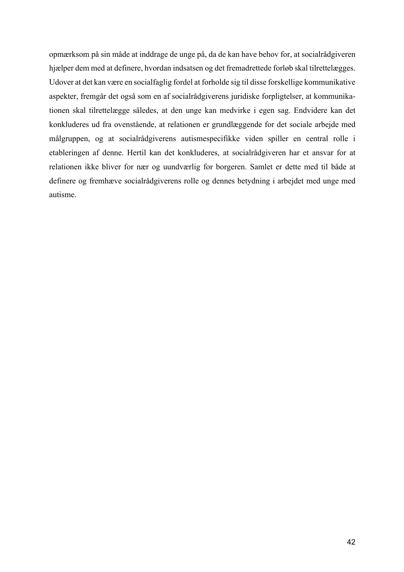opmærksom på sin måde at inddrage de unge på, da de kan have behov for, at socialrådgiveren hjælper dem med at definere, hvordan indsatsen og det fremadrettede forløb skal tilrettelægges. Udover at det kan være en socialfaglig fordel at forholde sig til disse forskellige kommunikative aspekter, fremgår det også som en af socialrådgiverens juridiske forpligtelser, at kommunikationen skal tilrettelægge således, at den unge kan medvirke i egen sag. Endvidere kan det konkluderes ud fra ovenstående, at relationen er grundlæggende for det sociale arbejde med målgruppen, og at socialrådgiverens autismespecifikke viden spiller en central rolle i etableringen af denne. Hertil kan det konkluderes, at socialrådgiveren har et ansvar for at relationen ikke bliver for nær og uundværlig for borgeren. Samlet er dette med til både at definere og fremhæve socialrådgiverens rolle og dennes betydning i arbejdet med unge med autisme.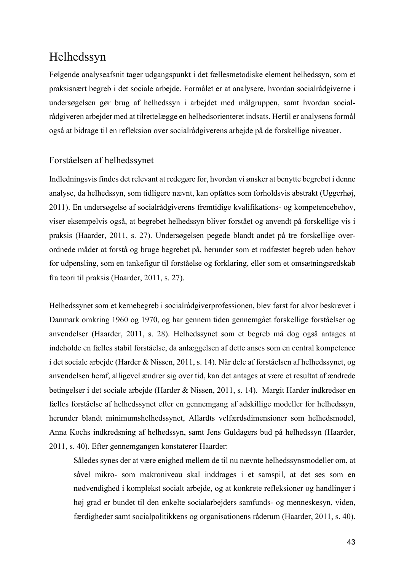## Helhedssyn

Følgende analyseafsnit tager udgangspunkt i det fællesmetodiske element helhedssyn, som et praksisnært begreb i det sociale arbejde. Formålet er at analysere, hvordan socialrådgiverne i undersøgelsen gør brug af helhedssyn i arbejdet med målgruppen, samt hvordan socialrådgiveren arbejder med at tilrettelægge en helhedsorienteret indsats. Hertil er analysens formål også at bidrage til en refleksion over socialrådgiverens arbejde på de forskellige niveauer.

## Forståelsen af helhedssynet

Indledningsvis findes det relevant at redegøre for, hvordan vi ønsker at benytte begrebet i denne analyse, da helhedssyn, som tidligere nævnt, kan opfattes som forholdsvis abstrakt (Uggerhøj, 2011). En undersøgelse af socialrådgiverens fremtidige kvalifikations- og kompetencebehov, viser eksempelvis også, at begrebet helhedssyn bliver forstået og anvendt på forskellige vis i praksis (Haarder, 2011, s. 27). Undersøgelsen pegede blandt andet på tre forskellige overordnede måder at forstå og bruge begrebet på, herunder som et rodfæstet begreb uden behov for udpensling, som en tankefigur til forståelse og forklaring, eller som et omsætningsredskab fra teori til praksis (Haarder, 2011, s. 27).

Helhedssynet som et kernebegreb i socialrådgiverprofessionen, blev først for alvor beskrevet i Danmark omkring 1960 og 1970, og har gennem tiden gennemgået forskellige forståelser og anvendelser (Haarder, 2011, s. 28). Helhedssynet som et begreb må dog også antages at indeholde en fælles stabil forståelse, da anlæggelsen af dette anses som en central kompetence i det sociale arbejde (Harder & Nissen, 2011, s. 14). Når dele af forståelsen af helhedssynet, og anvendelsen heraf, alligevel ændrer sig over tid, kan det antages at være et resultat af ændrede betingelser i det sociale arbejde (Harder & Nissen, 2011, s. 14). Margit Harder indkredser en fælles forståelse af helhedssynet efter en gennemgang af adskillige modeller for helhedssyn, herunder blandt minimumshelhedssynet, Allardts velfærdsdimensioner som helhedsmodel, Anna Kochs indkredsning af helhedssyn, samt Jens Guldagers bud på helhedssyn (Haarder, 2011, s. 40). Efter gennemgangen konstaterer Haarder:

Således synes der at være enighed mellem de til nu nævnte helhedssynsmodeller om, at såvel mikro- som makroniveau skal inddrages i et samspil, at det ses som en nødvendighed i komplekst socialt arbejde, og at konkrete refleksioner og handlinger i høj grad er bundet til den enkelte socialarbejders samfunds- og menneskesyn, viden, færdigheder samt socialpolitikkens og organisationens råderum (Haarder, 2011, s. 40).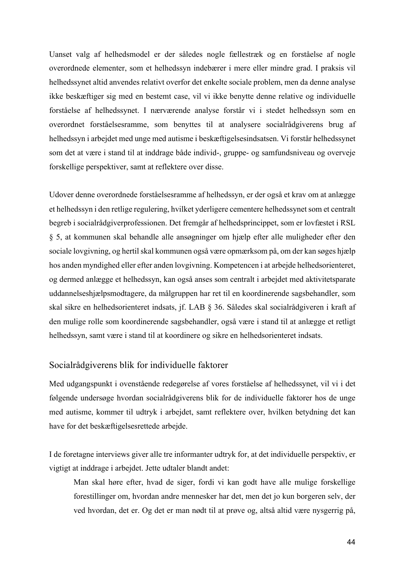Uanset valg af helhedsmodel er der således nogle fællestræk og en forståelse af nogle overordnede elementer, som et helhedssyn indebærer i mere eller mindre grad. I praksis vil helhedssynet altid anvendes relativt overfor det enkelte sociale problem, men da denne analyse ikke beskæftiger sig med en bestemt case, vil vi ikke benytte denne relative og individuelle forståelse af helhedssynet. I nærværende analyse forstår vi i stedet helhedssyn som en overordnet forståelsesramme, som benyttes til at analysere socialrådgiverens brug af helhedssyn i arbejdet med unge med autisme i beskæftigelsesindsatsen. Vi forstår helhedssynet som det at være i stand til at inddrage både individ-, gruppe- og samfundsniveau og overveje forskellige perspektiver, samt at reflektere over disse.

Udover denne overordnede forståelsesramme af helhedssyn, er der også et krav om at anlægge et helhedssyn i den retlige regulering, hvilket yderligere cementere helhedssynet som et centralt begreb i socialrådgiverprofessionen. Det fremgår af helhedsprincippet, som er lovfæstet i RSL § 5, at kommunen skal behandle alle ansøgninger om hjælp efter alle muligheder efter den sociale lovgivning, og hertil skal kommunen også være opmærksom på, om der kan søges hjælp hos anden myndighed eller efter anden lovgivning. Kompetencen i at arbejde helhedsorienteret, og dermed anlægge et helhedssyn, kan også anses som centralt i arbejdet med aktivitetsparate uddannelseshjælpsmodtagere, da målgruppen har ret til en koordinerende sagsbehandler, som skal sikre en helhedsorienteret indsats, jf. LAB § 36. Således skal socialrådgiveren i kraft af den mulige rolle som koordinerende sagsbehandler, også være i stand til at anlægge et retligt helhedssyn, samt være i stand til at koordinere og sikre en helhedsorienteret indsats.

#### Socialrådgiverens blik for individuelle faktorer

Med udgangspunkt i ovenstående redegørelse af vores forståelse af helhedssynet, vil vi i det følgende undersøge hvordan socialrådgiverens blik for de individuelle faktorer hos de unge med autisme, kommer til udtryk i arbejdet, samt reflektere over, hvilken betydning det kan have for det beskæftigelsesrettede arbejde.

I de foretagne interviews giver alle tre informanter udtryk for, at det individuelle perspektiv, er vigtigt at inddrage i arbejdet. Jette udtaler blandt andet:

Man skal høre efter, hvad de siger, fordi vi kan godt have alle mulige forskellige forestillinger om, hvordan andre mennesker har det, men det jo kun borgeren selv, der ved hvordan, det er. Og det er man nødt til at prøve og, altså altid være nysgerrig på,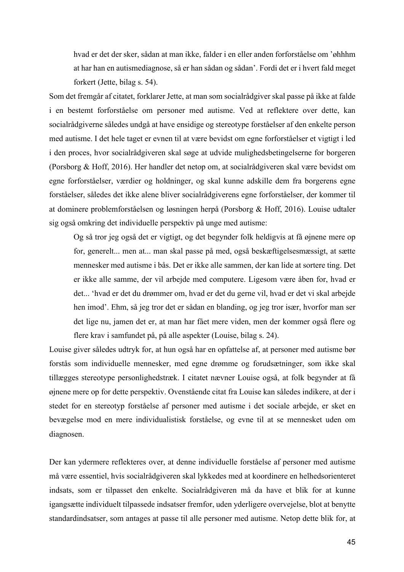hvad er det der sker, sådan at man ikke, falder i en eller anden forforståelse om 'øhhhm at har han en autismediagnose, så er han sådan og sådan'. Fordi det er i hvert fald meget forkert (Jette, bilag s. 54).

Som det fremgår af citatet, forklarer Jette, at man som socialrådgiver skal passe på ikke at falde i en bestemt forforståelse om personer med autisme. Ved at reflektere over dette, kan socialrådgiverne således undgå at have ensidige og stereotype forståelser af den enkelte person med autisme. I det hele taget er evnen til at være bevidst om egne forforståelser et vigtigt i led i den proces, hvor socialrådgiveren skal søge at udvide mulighedsbetingelserne for borgeren (Porsborg & Hoff, 2016). Her handler det netop om, at socialrådgiveren skal være bevidst om egne forforståelser, værdier og holdninger, og skal kunne adskille dem fra borgerens egne forståelser, således det ikke alene bliver socialrådgiverens egne forforståelser, der kommer til at dominere problemforståelsen og løsningen herpå (Porsborg & Hoff, 2016). Louise udtaler sig også omkring det individuelle perspektiv på unge med autisme:

Og så tror jeg også det er vigtigt, og det begynder folk heldigvis at få øjnene mere op for, generelt... men at... man skal passe på med, også beskæftigelsesmæssigt, at sætte mennesker med autisme i bås. Det er ikke alle sammen, der kan lide at sortere ting. Det er ikke alle samme, der vil arbejde med computere. Ligesom være åben for, hvad er det... 'hvad er det du drømmer om, hvad er det du gerne vil, hvad er det vi skal arbejde hen imod'. Ehm, så jeg tror det er sådan en blanding, og jeg tror især, hvorfor man ser det lige nu, jamen det er, at man har fået mere viden, men der kommer også flere og flere krav i samfundet på, på alle aspekter (Louise, bilag s. 24).

Louise giver således udtryk for, at hun også har en opfattelse af, at personer med autisme bør forstås som individuelle mennesker, med egne drømme og forudsætninger, som ikke skal tillægges stereotype personlighedstræk. I citatet nævner Louise også, at folk begynder at få øjnene mere op for dette perspektiv. Ovenstående citat fra Louise kan således indikere, at der i stedet for en stereotyp forståelse af personer med autisme i det sociale arbejde, er sket en bevægelse mod en mere individualistisk forståelse, og evne til at se mennesket uden om diagnosen.

Der kan ydermere reflekteres over, at denne individuelle forståelse af personer med autisme må være essentiel, hvis socialrådgiveren skal lykkedes med at koordinere en helhedsorienteret indsats, som er tilpasset den enkelte. Socialrådgiveren må da have et blik for at kunne igangsætte individuelt tilpassede indsatser fremfor, uden yderligere overvejelse, blot at benytte standardindsatser, som antages at passe til alle personer med autisme. Netop dette blik for, at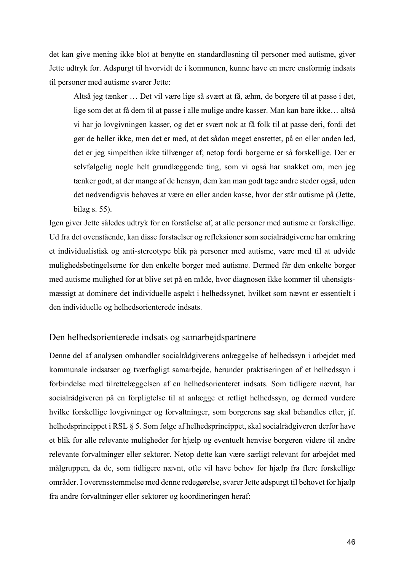det kan give mening ikke blot at benytte en standardløsning til personer med autisme, giver Jette udtryk for. Adspurgt til hvorvidt de i kommunen, kunne have en mere ensformig indsats til personer med autisme svarer Jette:

Altså jeg tænker … Det vil være lige så svært at få, æhm, de borgere til at passe i det, lige som det at få dem til at passe i alle mulige andre kasser. Man kan bare ikke… altså vi har jo lovgivningen kasser, og det er svært nok at få folk til at passe deri, fordi det gør de heller ikke, men det er med, at det sådan meget ensrettet, på en eller anden led, det er jeg simpelthen ikke tilhænger af, netop fordi borgerne er så forskellige. Der er selvfølgelig nogle helt grundlæggende ting, som vi også har snakket om, men jeg tænker godt, at der mange af de hensyn, dem kan man godt tage andre steder også, uden det nødvendigvis behøves at være en eller anden kasse, hvor der står autisme på (Jette, bilag s. 55).

Igen giver Jette således udtryk for en forståelse af, at alle personer med autisme er forskellige. Ud fra det ovenstående, kan disse forståelser og refleksioner som socialrådgiverne har omkring et individualistisk og anti-stereotype blik på personer med autisme, være med til at udvide mulighedsbetingelserne for den enkelte borger med autisme. Dermed får den enkelte borger med autisme mulighed for at blive set på en måde, hvor diagnosen ikke kommer til uhensigtsmæssigt at dominere det individuelle aspekt i helhedssynet, hvilket som nævnt er essentielt i den individuelle og helhedsorienterede indsats.

## Den helhedsorienterede indsats og samarbejdspartnere

Denne del af analysen omhandler socialrådgiverens anlæggelse af helhedssyn i arbejdet med kommunale indsatser og tværfagligt samarbejde, herunder praktiseringen af et helhedssyn i forbindelse med tilrettelæggelsen af en helhedsorienteret indsats. Som tidligere nævnt, har socialrådgiveren på en forpligtelse til at anlægge et retligt helhedssyn, og dermed vurdere hvilke forskellige lovgivninger og forvaltninger, som borgerens sag skal behandles efter, jf. helhedsprincippet i RSL § 5. Som følge af helhedsprincippet, skal socialrådgiveren derfor have et blik for alle relevante muligheder for hjælp og eventuelt henvise borgeren videre til andre relevante forvaltninger eller sektorer. Netop dette kan være særligt relevant for arbejdet med målgruppen, da de, som tidligere nævnt, ofte vil have behov for hjælp fra flere forskellige områder. I overensstemmelse med denne redegørelse, svarer Jette adspurgt til behovet for hjælp fra andre forvaltninger eller sektorer og koordineringen heraf: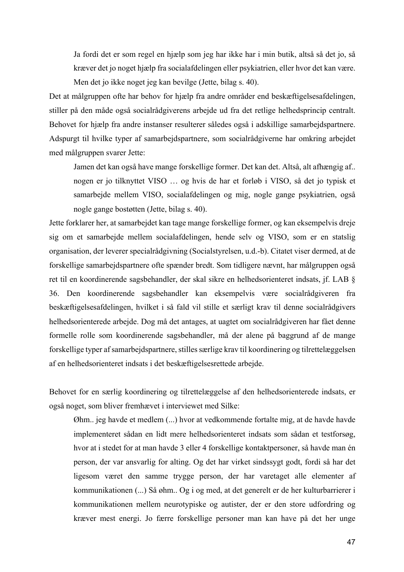Ja fordi det er som regel en hjælp som jeg har ikke har i min butik, altså så det jo, så kræver det jo noget hjælp fra socialafdelingen eller psykiatrien, eller hvor det kan være. Men det jo ikke noget jeg kan bevilge (Jette, bilag s. 40).

Det at målgruppen ofte har behov for hjælp fra andre områder end beskæftigelsesafdelingen, stiller på den måde også socialrådgiverens arbejde ud fra det retlige helhedsprincip centralt. Behovet for hjælp fra andre instanser resulterer således også i adskillige samarbejdspartnere. Adspurgt til hvilke typer af samarbejdspartnere, som socialrådgiverne har omkring arbejdet med målgruppen svarer Jette:

Jamen det kan også have mange forskellige former. Det kan det. Altså, alt afhængig af.. nogen er jo tilknyttet VISO … og hvis de har et forløb i VISO, så det jo typisk et samarbejde mellem VISO, socialafdelingen og mig, nogle gange psykiatrien, også nogle gange bostøtten (Jette, bilag s. 40).

Jette forklarer her, at samarbejdet kan tage mange forskellige former, og kan eksempelvis dreje sig om et samarbejde mellem socialafdelingen, hende selv og VISO, som er en statslig organisation, der leverer specialrådgivning (Socialstyrelsen, u.d.-b). Citatet viser dermed, at de forskellige samarbejdspartnere ofte spænder bredt. Som tidligere nævnt, har målgruppen også ret til en koordinerende sagsbehandler, der skal sikre en helhedsorienteret indsats, jf. LAB § 36. Den koordinerende sagsbehandler kan eksempelvis være socialrådgiveren fra beskæftigelsesafdelingen, hvilket i så fald vil stille et særligt krav til denne socialrådgivers helhedsorienterede arbejde. Dog må det antages, at uagtet om socialrådgiveren har fået denne formelle rolle som koordinerende sagsbehandler, må der alene på baggrund af de mange forskellige typer af samarbejdspartnere, stilles særlige krav til koordinering og tilrettelæggelsen af en helhedsorienteret indsats i det beskæftigelsesrettede arbejde.

Behovet for en særlig koordinering og tilrettelæggelse af den helhedsorienterede indsats, er også noget, som bliver fremhævet i interviewet med Silke:

Øhm.. jeg havde et medlem (...) hvor at vedkommende fortalte mig, at de havde havde implementeret sådan en lidt mere helhedsorienteret indsats som sådan et testforsøg, hvor at i stedet for at man havde 3 eller 4 forskellige kontaktpersoner, så havde man én person, der var ansvarlig for alting. Og det har virket sindssygt godt, fordi så har det ligesom været den samme trygge person, der har varetaget alle elementer af kommunikationen (...) Så øhm.. Og i og med, at det generelt er de her kulturbarrierer i kommunikationen mellem neurotypiske og autister, der er den store udfordring og kræver mest energi. Jo færre forskellige personer man kan have på det her unge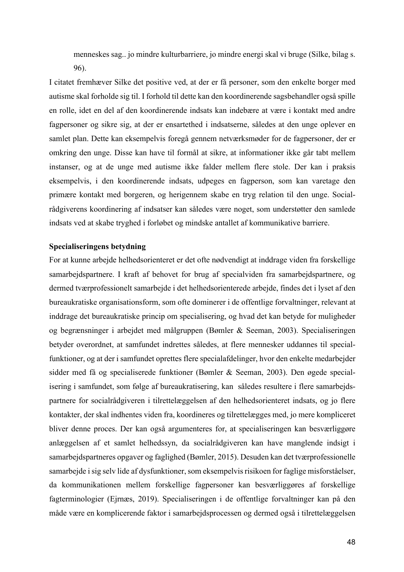menneskes sag.. jo mindre kulturbarriere, jo mindre energi skal vi bruge (Silke, bilag s. 96).

I citatet fremhæver Silke det positive ved, at der er få personer, som den enkelte borger med autisme skal forholde sig til. I forhold til dette kan den koordinerende sagsbehandler også spille en rolle, idet en del af den koordinerende indsats kan indebære at være i kontakt med andre fagpersoner og sikre sig, at der er ensartethed i indsatserne, således at den unge oplever en samlet plan. Dette kan eksempelvis foregå gennem netværksmøder for de fagpersoner, der er omkring den unge. Disse kan have til formål at sikre, at informationer ikke går tabt mellem instanser, og at de unge med autisme ikke falder mellem flere stole. Der kan i praksis eksempelvis, i den koordinerende indsats, udpeges en fagperson, som kan varetage den primære kontakt med borgeren, og herigennem skabe en tryg relation til den unge. Socialrådgiverens koordinering af indsatser kan således være noget, som understøtter den samlede indsats ved at skabe tryghed i forløbet og mindske antallet af kommunikative barriere.

#### **Specialiseringens betydning**

For at kunne arbejde helhedsorienteret er det ofte nødvendigt at inddrage viden fra forskellige samarbejdspartnere. I kraft af behovet for brug af specialviden fra samarbejdspartnere, og dermed tværprofessionelt samarbejde i det helhedsorienterede arbejde, findes det i lyset af den bureaukratiske organisationsform, som ofte dominerer i de offentlige forvaltninger, relevant at inddrage det bureaukratiske princip om specialisering, og hvad det kan betyde for muligheder og begrænsninger i arbejdet med målgruppen (Bømler & Seeman, 2003). Specialiseringen betyder overordnet, at samfundet indrettes således, at flere mennesker uddannes til specialfunktioner, og at der i samfundet oprettes flere specialafdelinger, hvor den enkelte medarbejder sidder med få og specialiserede funktioner (Bømler & Seeman, 2003). Den øgede specialisering i samfundet, som følge af bureaukratisering, kan således resultere i flere samarbejdspartnere for socialrådgiveren i tilrettelæggelsen af den helhedsorienteret indsats, og jo flere kontakter, der skal indhentes viden fra, koordineres og tilrettelægges med, jo mere kompliceret bliver denne proces. Der kan også argumenteres for, at specialiseringen kan besværliggøre anlæggelsen af et samlet helhedssyn, da socialrådgiveren kan have manglende indsigt i samarbejdspartneres opgaver og faglighed (Bømler, 2015). Desuden kan det tværprofessionelle samarbejde i sig selv lide af dysfunktioner, som eksempelvis risikoen for faglige misforståelser, da kommunikationen mellem forskellige fagpersoner kan besværliggøres af forskellige fagterminologier (Ejrnæs, 2019). Specialiseringen i de offentlige forvaltninger kan på den måde være en komplicerende faktor i samarbejdsprocessen og dermed også i tilrettelæggelsen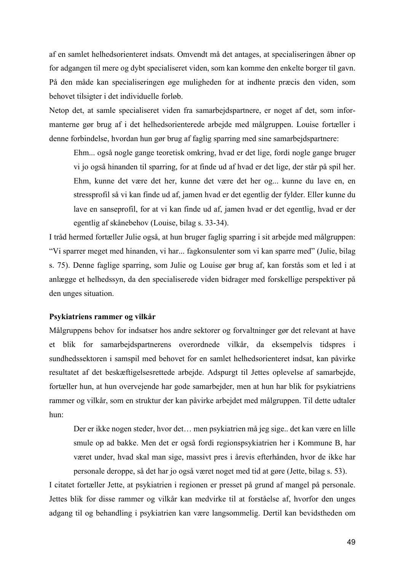af en samlet helhedsorienteret indsats. Omvendt må det antages, at specialiseringen åbner op for adgangen til mere og dybt specialiseret viden, som kan komme den enkelte borger til gavn. På den måde kan specialiseringen øge muligheden for at indhente præcis den viden, som behovet tilsigter i det individuelle forløb.

Netop det, at samle specialiseret viden fra samarbejdspartnere, er noget af det, som informanterne gør brug af i det helhedsorienterede arbejde med målgruppen. Louise fortæller i denne forbindelse, hvordan hun gør brug af faglig sparring med sine samarbejdspartnere:

Ehm... også nogle gange teoretisk omkring, hvad er det lige, fordi nogle gange bruger vi jo også hinanden til sparring, for at finde ud af hvad er det lige, der står på spil her. Ehm, kunne det være det her, kunne det være det her og... kunne du lave en, en stressprofil så vi kan finde ud af, jamen hvad er det egentlig der fylder. Eller kunne du lave en sanseprofil, for at vi kan finde ud af, jamen hvad er det egentlig, hvad er der egentlig af skånebehov (Louise, bilag s. 33-34).

I tråd hermed fortæller Julie også, at hun bruger faglig sparring i sit arbejde med målgruppen: "Vi sparrer meget med hinanden, vi har... fagkonsulenter som vi kan sparre med" (Julie, bilag s. 75). Denne faglige sparring, som Julie og Louise gør brug af, kan forstås som et led i at anlægge et helhedssyn, da den specialiserede viden bidrager med forskellige perspektiver på den unges situation.

#### **Psykiatriens rammer og vilkår**

Målgruppens behov for indsatser hos andre sektorer og forvaltninger gør det relevant at have et blik for samarbejdspartnerens overordnede vilkår, da eksempelvis tidspres i sundhedssektoren i samspil med behovet for en samlet helhedsorienteret indsat, kan påvirke resultatet af det beskæftigelsesrettede arbejde. Adspurgt til Jettes oplevelse af samarbejde, fortæller hun, at hun overvejende har gode samarbejder, men at hun har blik for psykiatriens rammer og vilkår, som en struktur der kan påvirke arbejdet med målgruppen. Til dette udtaler hun:

Der er ikke nogen steder, hvor det… men psykiatrien må jeg sige.. det kan være en lille smule op ad bakke. Men det er også fordi regionspsykiatrien her i Kommune B, har været under, hvad skal man sige, massivt pres i årevis efterhånden, hvor de ikke har personale deroppe, så det har jo også været noget med tid at gøre (Jette, bilag s. 53).

I citatet fortæller Jette, at psykiatrien i regionen er presset på grund af mangel på personale. Jettes blik for disse rammer og vilkår kan medvirke til at forståelse af, hvorfor den unges adgang til og behandling i psykiatrien kan være langsommelig. Dertil kan bevidstheden om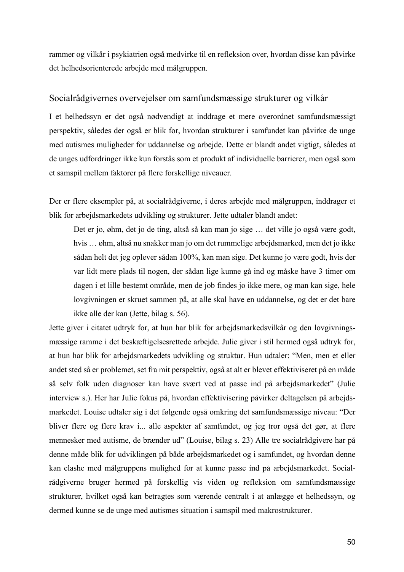rammer og vilkår i psykiatrien også medvirke til en refleksion over, hvordan disse kan påvirke det helhedsorienterede arbejde med målgruppen.

#### Socialrådgivernes overvejelser om samfundsmæssige strukturer og vilkår

I et helhedssyn er det også nødvendigt at inddrage et mere overordnet samfundsmæssigt perspektiv, således der også er blik for, hvordan strukturer i samfundet kan påvirke de unge med autismes muligheder for uddannelse og arbejde. Dette er blandt andet vigtigt, således at de unges udfordringer ikke kun forstås som et produkt af individuelle barrierer, men også som et samspil mellem faktorer på flere forskellige niveauer.

Der er flere eksempler på, at socialrådgiverne, i deres arbejde med målgruppen, inddrager et blik for arbejdsmarkedets udvikling og strukturer. Jette udtaler blandt andet:

Det er jo, øhm, det jo de ting, altså så kan man jo sige … det ville jo også være godt, hvis … øhm, altså nu snakker man jo om det rummelige arbejdsmarked, men det jo ikke sådan helt det jeg oplever sådan 100%, kan man sige. Det kunne jo være godt, hvis der var lidt mere plads til nogen, der sådan lige kunne gå ind og måske have 3 timer om dagen i et lille bestemt område, men de job findes jo ikke mere, og man kan sige, hele lovgivningen er skruet sammen på, at alle skal have en uddannelse, og det er det bare ikke alle der kan (Jette, bilag s. 56).

Jette giver i citatet udtryk for, at hun har blik for arbejdsmarkedsvilkår og den lovgivningsmæssige ramme i det beskæftigelsesrettede arbejde. Julie giver i stil hermed også udtryk for, at hun har blik for arbejdsmarkedets udvikling og struktur. Hun udtaler: "Men, men et eller andet sted så er problemet, set fra mit perspektiv, også at alt er blevet effektiviseret på en måde så selv folk uden diagnoser kan have svært ved at passe ind på arbejdsmarkedet" (Julie interview s.). Her har Julie fokus på, hvordan effektivisering påvirker deltagelsen på arbejdsmarkedet. Louise udtaler sig i det følgende også omkring det samfundsmæssige niveau: "Der bliver flere og flere krav i... alle aspekter af samfundet, og jeg tror også det gør, at flere mennesker med autisme, de brænder ud" (Louise, bilag s. 23) Alle tre socialrådgivere har på denne måde blik for udviklingen på både arbejdsmarkedet og i samfundet, og hvordan denne kan clashe med målgruppens mulighed for at kunne passe ind på arbejdsmarkedet. Socialrådgiverne bruger hermed på forskellig vis viden og refleksion om samfundsmæssige strukturer, hvilket også kan betragtes som værende centralt i at anlægge et helhedssyn, og dermed kunne se de unge med autismes situation i samspil med makrostrukturer.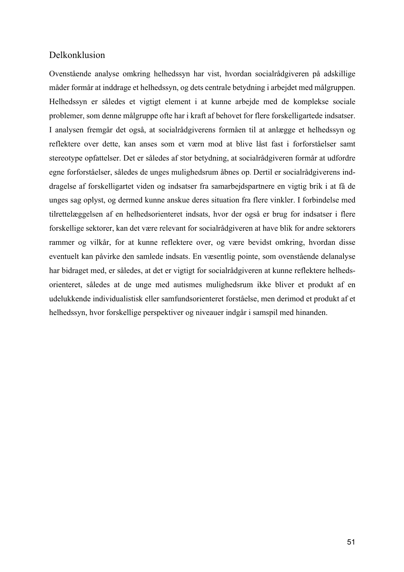## Delkonklusion

Ovenstående analyse omkring helhedssyn har vist, hvordan socialrådgiveren på adskillige måder formår at inddrage et helhedssyn, og dets centrale betydning i arbejdet med målgruppen. Helhedssyn er således et vigtigt element i at kunne arbejde med de komplekse sociale problemer, som denne målgruppe ofte har i kraft af behovet for flere forskelligartede indsatser. I analysen fremgår det også, at socialrådgiverens formåen til at anlægge et helhedssyn og reflektere over dette, kan anses som et værn mod at blive låst fast i forforståelser samt stereotype opfattelser. Det er således af stor betydning, at socialrådgiveren formår at udfordre egne forforståelser, således de unges mulighedsrum åbnes op. Dertil er socialrådgiverens inddragelse af forskelligartet viden og indsatser fra samarbejdspartnere en vigtig brik i at få de unges sag oplyst, og dermed kunne anskue deres situation fra flere vinkler. I forbindelse med tilrettelæggelsen af en helhedsorienteret indsats, hvor der også er brug for indsatser i flere forskellige sektorer, kan det være relevant for socialrådgiveren at have blik for andre sektorers rammer og vilkår, for at kunne reflektere over, og være bevidst omkring, hvordan disse eventuelt kan påvirke den samlede indsats. En væsentlig pointe, som ovenstående delanalyse har bidraget med, er således, at det er vigtigt for socialrådgiveren at kunne reflektere helhedsorienteret, således at de unge med autismes mulighedsrum ikke bliver et produkt af en udelukkende individualistisk eller samfundsorienteret forståelse, men derimod et produkt af et helhedssyn, hvor forskellige perspektiver og niveauer indgår i samspil med hinanden.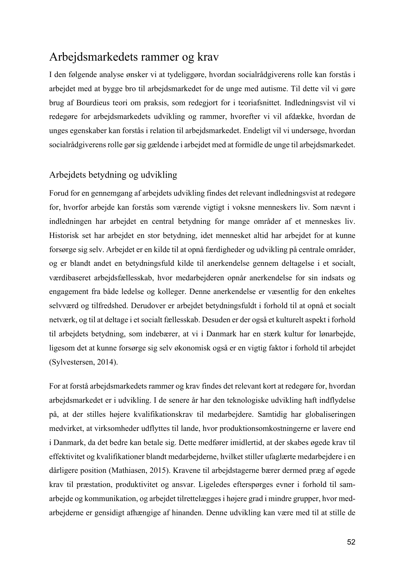## Arbejdsmarkedets rammer og krav

I den følgende analyse ønsker vi at tydeliggøre, hvordan socialrådgiverens rolle kan forstås i arbejdet med at bygge bro til arbejdsmarkedet for de unge med autisme. Til dette vil vi gøre brug af Bourdieus teori om praksis, som redegjort for i teoriafsnittet. Indledningsvist vil vi redegøre for arbejdsmarkedets udvikling og rammer, hvorefter vi vil afdække, hvordan de unges egenskaber kan forstås i relation til arbejdsmarkedet. Endeligt vil vi undersøge, hvordan socialrådgiverens rolle gør sig gældende i arbejdet med at formidle de unge til arbejdsmarkedet.

## Arbejdets betydning og udvikling

Forud for en gennemgang af arbejdets udvikling findes det relevant indledningsvist at redegøre for, hvorfor arbejde kan forstås som værende vigtigt i voksne menneskers liv. Som nævnt i indledningen har arbejdet en central betydning for mange områder af et menneskes liv. Historisk set har arbejdet en stor betydning, idet mennesket altid har arbejdet for at kunne forsørge sig selv. Arbejdet er en kilde til at opnå færdigheder og udvikling på centrale områder, og er blandt andet en betydningsfuld kilde til anerkendelse gennem deltagelse i et socialt, værdibaseret arbejdsfællesskab, hvor medarbejderen opnår anerkendelse for sin indsats og engagement fra både ledelse og kolleger. Denne anerkendelse er væsentlig for den enkeltes selvværd og tilfredshed. Derudover er arbejdet betydningsfuldt i forhold til at opnå et socialt netværk, og til at deltage i et socialt fællesskab. Desuden er der også et kulturelt aspekt i forhold til arbejdets betydning, som indebærer, at vi i Danmark har en stærk kultur for lønarbejde, ligesom det at kunne forsørge sig selv økonomisk også er en vigtig faktor i forhold til arbejdet (Sylvestersen, 2014).

For at forstå arbejdsmarkedets rammer og krav findes det relevant kort at redegøre for, hvordan arbejdsmarkedet er i udvikling. I de senere år har den teknologiske udvikling haft indflydelse på, at der stilles højere kvalifikationskrav til medarbejdere. Samtidig har globaliseringen medvirket, at virksomheder udflyttes til lande, hvor produktionsomkostningerne er lavere end i Danmark, da det bedre kan betale sig. Dette medfører imidlertid, at der skabes øgede krav til effektivitet og kvalifikationer blandt medarbejderne, hvilket stiller ufaglærte medarbejdere i en dårligere position (Mathiasen, 2015). Kravene til arbejdstagerne bærer dermed præg af øgede krav til præstation, produktivitet og ansvar. Ligeledes efterspørges evner i forhold til samarbejde og kommunikation, og arbejdet tilrettelægges i højere grad i mindre grupper, hvor medarbejderne er gensidigt afhængige af hinanden. Denne udvikling kan være med til at stille de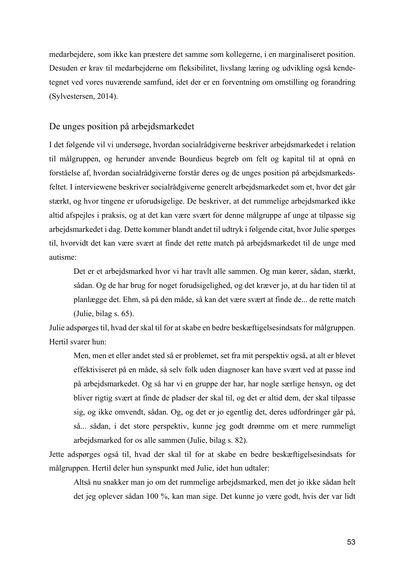medarbejdere, som ikke kan præstere det samme som kollegerne, i en marginaliseret position. Desuden er krav til medarbejderne om fleksibilitet, livslang læring og udvikling også kendetegnet ved vores nuværende samfund, idet der er en forventning om omstilling og forandring (Sylvestersen, 2014).

#### De unges position på arbejdsmarkedet

I det følgende vil vi undersøge, hvordan socialrådgiverne beskriver arbejdsmarkedet i relation til målgruppen, og herunder anvende Bourdieus begreb om felt og kapital til at opnå en forståelse af, hvordan socialrådgiverne forstår deres og de unges position på arbejdsmarkedsfeltet. I interviewene beskriver socialrådgiverne generelt arbejdsmarkedet som et, hvor det går stærkt, og hvor tingene er uforudsigelige. De beskriver, at det rummelige arbejdsmarked ikke altid afspejles i praksis, og at det kan være svært for denne målgruppe af unge at tilpasse sig arbejdsmarkedet i dag. Dette kommer blandt andet til udtryk i følgende citat, hvor Julie spørges til, hvorvidt det kan være svært at finde det rette match på arbejdsmarkedet til de unge med autisme:

Det er et arbejdsmarked hvor vi har travlt alle sammen. Og man kører, sådan, stærkt, sådan. Og de har brug for noget forudsigelighed, og det kræver jo, at du har tiden til at planlægge det. Ehm, så på den måde, så kan det være svært at finde de... de rette match (Julie, bilag s. 65).

Julie adspørges til, hvad der skal til for at skabe en bedre beskæftigelsesindsats for målgruppen. Hertil svarer hun:

Men, men et eller andet sted så er problemet, set fra mit perspektiv også, at alt er blevet effektiviseret på en måde, så selv folk uden diagnoser kan have svært ved at passe ind på arbejdsmarkedet. Og så har vi en gruppe der har, har nogle særlige hensyn, og det bliver rigtig svært at finde de pladser der skal til, og det er altid dem, der skal tilpasse sig, og ikke omvendt, sådan. Og, og det er jo egentlig det, deres udfordringer går på, så... sådan, i det store perspektiv, kunne jeg godt drømme om et mere rummeligt arbejdsmarked for os alle sammen (Julie, bilag s. 82).

Jette adspørges også til, hvad der skal til for at skabe en bedre beskæftigelsesindsats for målgruppen. Hertil deler hun synspunkt med Julie, idet hun udtaler:

Altså nu snakker man jo om det rummelige arbejdsmarked, men det jo ikke sådan helt det jeg oplever sådan 100 %, kan man sige. Det kunne jo være godt, hvis der var lidt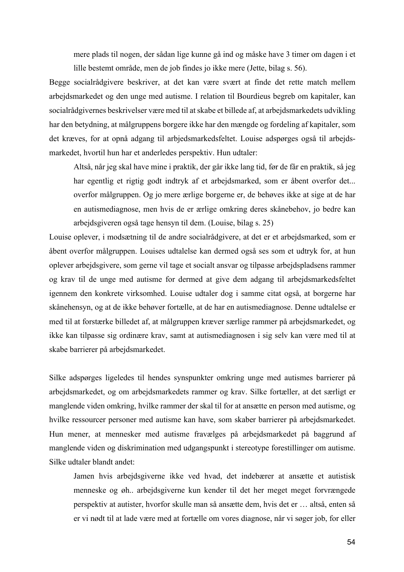mere plads til nogen, der sådan lige kunne gå ind og måske have 3 timer om dagen i et lille bestemt område, men de job findes jo ikke mere (Jette, bilag s. 56).

Begge socialrådgivere beskriver, at det kan være svært at finde det rette match mellem arbejdsmarkedet og den unge med autisme. I relation til Bourdieus begreb om kapitaler, kan socialrådgivernes beskrivelser være med til at skabe et billede af, at arbejdsmarkedets udvikling har den betydning, at målgruppens borgere ikke har den mængde og fordeling af kapitaler, som det kræves, for at opnå adgang til arbjedsmarkedsfeltet. Louise adspørges også til arbejdsmarkedet, hvortil hun har et anderledes perspektiv. Hun udtaler:

Altså, når jeg skal have mine i praktik, der går ikke lang tid, før de får en praktik, så jeg har egentlig et rigtig godt indtryk af et arbejdsmarked, som er åbent overfor det... overfor målgruppen. Og jo mere ærlige borgerne er, de behøves ikke at sige at de har en autismediagnose, men hvis de er ærlige omkring deres skånebehov, jo bedre kan arbejdsgiveren også tage hensyn til dem. (Louise, bilag s. 25)

Louise oplever, i modsætning til de andre socialrådgivere, at det er et arbejdsmarked, som er åbent overfor målgruppen. Louises udtalelse kan dermed også ses som et udtryk for, at hun oplever arbejdsgivere, som gerne vil tage et socialt ansvar og tilpasse arbejdspladsens rammer og krav til de unge med autisme for dermed at give dem adgang til arbejdsmarkedsfeltet igennem den konkrete virksomhed. Louise udtaler dog i samme citat også, at borgerne har skånehensyn, og at de ikke behøver fortælle, at de har en autismediagnose. Denne udtalelse er med til at forstærke billedet af, at målgruppen kræver særlige rammer på arbejdsmarkedet, og ikke kan tilpasse sig ordinære krav, samt at autismediagnosen i sig selv kan være med til at skabe barrierer på arbejdsmarkedet.

Silke adspørges ligeledes til hendes synspunkter omkring unge med autismes barrierer på arbejdsmarkedet, og om arbejdsmarkedets rammer og krav. Silke fortæller, at det særligt er manglende viden omkring, hvilke rammer der skal til for at ansætte en person med autisme, og hvilke ressourcer personer med autisme kan have, som skaber barrierer på arbejdsmarkedet. Hun mener, at mennesker med autisme fravælges på arbejdsmarkedet på baggrund af manglende viden og diskrimination med udgangspunkt i stereotype forestillinger om autisme. Silke udtaler blandt andet:

Jamen hvis arbejdsgiverne ikke ved hvad, det indebærer at ansætte et autistisk menneske og øh.. arbejdsgiverne kun kender til det her meget meget forvrængede perspektiv at autister, hvorfor skulle man så ansætte dem, hvis det er … altså, enten så er vi nødt til at lade være med at fortælle om vores diagnose, når vi søger job, for eller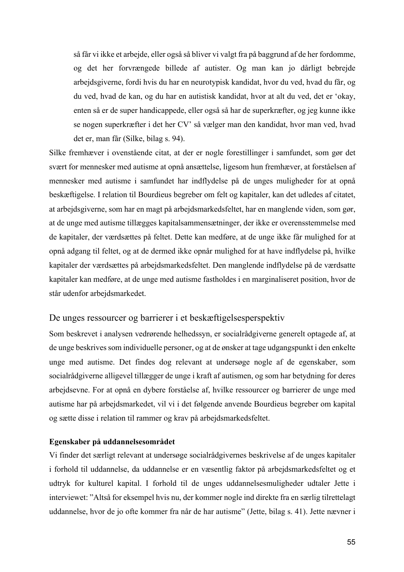så får vi ikke et arbejde, eller også så bliver vi valgt fra på baggrund af de her fordomme, og det her forvrængede billede af autister. Og man kan jo dårligt bebrejde arbejdsgiverne, fordi hvis du har en neurotypisk kandidat, hvor du ved, hvad du får, og du ved, hvad de kan, og du har en autistisk kandidat, hvor at alt du ved, det er 'okay, enten så er de super handicappede, eller også så har de superkræfter, og jeg kunne ikke se nogen superkræfter i det her CV' så vælger man den kandidat, hvor man ved, hvad det er, man får (Silke, bilag s. 94).

Silke fremhæver i ovenstående citat, at der er nogle forestillinger i samfundet, som gør det svært for mennesker med autisme at opnå ansættelse, ligesom hun fremhæver, at forståelsen af mennesker med autisme i samfundet har indflydelse på de unges muligheder for at opnå beskæftigelse. I relation til Bourdieus begreber om felt og kapitaler, kan det udledes af citatet, at arbejdsgiverne, som har en magt på arbejdsmarkedsfeltet, har en manglende viden, som gør, at de unge med autisme tillægges kapitalsammensætninger, der ikke er overensstemmelse med de kapitaler, der værdsættes på feltet. Dette kan medføre, at de unge ikke får mulighed for at opnå adgang til feltet, og at de dermed ikke opnår mulighed for at have indflydelse på, hvilke kapitaler der værdsættes på arbejdsmarkedsfeltet. Den manglende indflydelse på de værdsatte kapitaler kan medføre, at de unge med autisme fastholdes i en marginaliseret position, hvor de står udenfor arbejdsmarkedet.

#### De unges ressourcer og barrierer i et beskæftigelsesperspektiv

Som beskrevet i analysen vedrørende helhedssyn, er socialrådgiverne generelt optagede af, at de unge beskrives som individuelle personer, og at de ønsker at tage udgangspunkt i den enkelte unge med autisme. Det findes dog relevant at undersøge nogle af de egenskaber, som socialrådgiverne alligevel tillægger de unge i kraft af autismen, og som har betydning for deres arbejdsevne. For at opnå en dybere forståelse af, hvilke ressourcer og barrierer de unge med autisme har på arbejdsmarkedet, vil vi i det følgende anvende Bourdieus begreber om kapital og sætte disse i relation til rammer og krav på arbejdsmarkedsfeltet.

#### **Egenskaber på uddannelsesområdet**

Vi finder det særligt relevant at undersøge socialrådgivernes beskrivelse af de unges kapitaler i forhold til uddannelse, da uddannelse er en væsentlig faktor på arbejdsmarkedsfeltet og et udtryk for kulturel kapital. I forhold til de unges uddannelsesmuligheder udtaler Jette i interviewet: "Altså for eksempel hvis nu, der kommer nogle ind direkte fra en særlig tilrettelagt uddannelse, hvor de jo ofte kommer fra når de har autisme" (Jette, bilag s. 41). Jette nævner i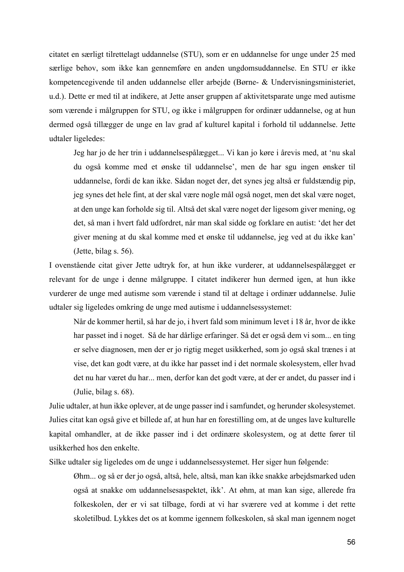citatet en særligt tilrettelagt uddannelse (STU), som er en uddannelse for unge under 25 med særlige behov, som ikke kan gennemføre en anden ungdomsuddannelse. En STU er ikke kompetencegivende til anden uddannelse eller arbejde (Børne- & Undervisningsministeriet, u.d.). Dette er med til at indikere, at Jette anser gruppen af aktivitetsparate unge med autisme som værende i målgruppen for STU, og ikke i målgruppen for ordinær uddannelse, og at hun dermed også tillægger de unge en lav grad af kulturel kapital i forhold til uddannelse. Jette udtaler ligeledes:

Jeg har jo de her trin i uddannelsespålægget... Vi kan jo køre i årevis med, at 'nu skal du også komme med et ønske til uddannelse', men de har sgu ingen ønsker til uddannelse, fordi de kan ikke. Sådan noget der, det synes jeg altså er fuldstændig pip, jeg synes det hele fint, at der skal være nogle mål også noget, men det skal være noget, at den unge kan forholde sig til. Altså det skal være noget der ligesom giver mening, og det, så man i hvert fald udfordret, når man skal sidde og forklare en autist: 'det her det giver mening at du skal komme med et ønske til uddannelse, jeg ved at du ikke kan' (Jette, bilag s. 56).

I ovenstående citat giver Jette udtryk for, at hun ikke vurderer, at uddannelsespålægget er relevant for de unge i denne målgruppe. I citatet indikerer hun dermed igen, at hun ikke vurderer de unge med autisme som værende i stand til at deltage i ordinær uddannelse. Julie udtaler sig ligeledes omkring de unge med autisme i uddannelsessystemet:

Når de kommer hertil, så har de jo, i hvert fald som minimum levet i 18 år, hvor de ikke har passet ind i noget. Så de har dårlige erfaringer. Så det er også dem vi som... en ting er selve diagnosen, men der er jo rigtig meget usikkerhed, som jo også skal trænes i at vise, det kan godt være, at du ikke har passet ind i det normale skolesystem, eller hvad det nu har været du har... men, derfor kan det godt være, at der er andet, du passer ind i (Julie, bilag s. 68).

Julie udtaler, at hun ikke oplever, at de unge passer ind i samfundet, og herunder skolesystemet. Julies citat kan også give et billede af, at hun har en forestilling om, at de unges lave kulturelle kapital omhandler, at de ikke passer ind i det ordinære skolesystem, og at dette fører til usikkerhed hos den enkelte.

Silke udtaler sig ligeledes om de unge i uddannelsessystemet. Her siger hun følgende:

Øhm... og så er der jo også, altså, hele, altså, man kan ikke snakke arbejdsmarked uden også at snakke om uddannelsesaspektet, ikk'. At øhm, at man kan sige, allerede fra folkeskolen, der er vi sat tilbage, fordi at vi har sværere ved at komme i det rette skoletilbud. Lykkes det os at komme igennem folkeskolen, så skal man igennem noget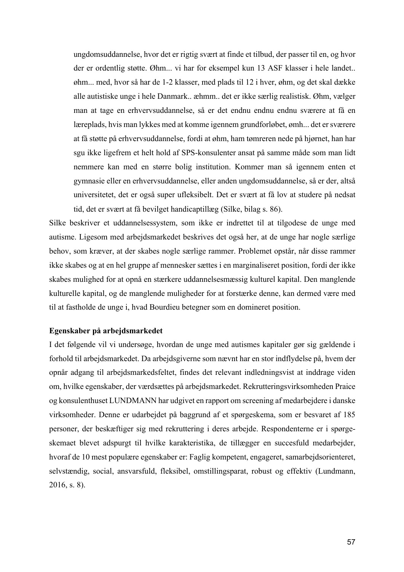ungdomsuddannelse, hvor det er rigtig svært at finde et tilbud, der passer til en, og hvor der er ordentlig støtte. Øhm... vi har for eksempel kun 13 ASF klasser i hele landet.. øhm... med, hvor så har de 1-2 klasser, med plads til 12 i hver, øhm, og det skal dække alle autistiske unge i hele Danmark.. æhmm.. det er ikke særlig realistisk. Øhm, vælger man at tage en erhvervsuddannelse, så er det endnu endnu endnu sværere at få en læreplads, hvis man lykkes med at komme igennem grundforløbet, ømh... det er sværere at få støtte på erhvervsuddannelse, fordi at øhm, ham tømreren nede på hjørnet, han har sgu ikke ligefrem et helt hold af SPS-konsulenter ansat på samme måde som man lidt nemmere kan med en større bolig institution. Kommer man så igennem enten et gymnasie eller en erhvervsuddannelse, eller anden ungdomsuddannelse, så er der, altså universitetet, det er også super ufleksibelt. Det er svært at få lov at studere på nedsat tid, det er svært at få bevilget handicaptillæg (Silke, bilag s. 86).

Silke beskriver et uddannelsessystem, som ikke er indrettet til at tilgodese de unge med autisme. Ligesom med arbejdsmarkedet beskrives det også her, at de unge har nogle særlige behov, som kræver, at der skabes nogle særlige rammer. Problemet opstår, når disse rammer ikke skabes og at en hel gruppe af mennesker sættes i en marginaliseret position, fordi der ikke skabes mulighed for at opnå en stærkere uddannelsesmæssig kulturel kapital. Den manglende kulturelle kapital, og de manglende muligheder for at forstærke denne, kan dermed være med til at fastholde de unge i, hvad Bourdieu betegner som en domineret position.

#### **Egenskaber på arbejdsmarkedet**

I det følgende vil vi undersøge, hvordan de unge med autismes kapitaler gør sig gældende i forhold til arbejdsmarkedet. Da arbejdsgiverne som nævnt har en stor indflydelse på, hvem der opnår adgang til arbejdsmarkedsfeltet, findes det relevant indledningsvist at inddrage viden om, hvilke egenskaber, der værdsættes på arbejdsmarkedet. Rekrutteringsvirksomheden Praice og konsulenthuset LUNDMANN har udgivet en rapport om screening af medarbejdere i danske virksomheder. Denne er udarbejdet på baggrund af et spørgeskema, som er besvaret af 185 personer, der beskæftiger sig med rekruttering i deres arbejde. Respondenterne er i spørgeskemaet blevet adspurgt til hvilke karakteristika, de tillægger en succesfuld medarbejder, hvoraf de 10 mest populære egenskaber er: Faglig kompetent, engageret, samarbejdsorienteret, selvstændig, social, ansvarsfuld, fleksibel, omstillingsparat, robust og effektiv (Lundmann, 2016, s. 8).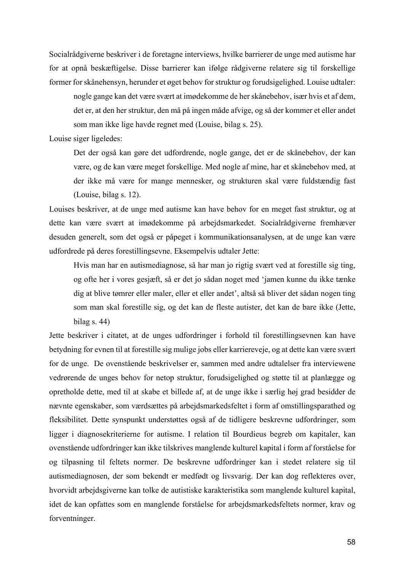Socialrådgiverne beskriver i de foretagne interviews, hvilke barrierer de unge med autisme har for at opnå beskæftigelse. Disse barrierer kan ifølge rådgiverne relatere sig til forskellige former for skånehensyn, herunder et øget behov for struktur og forudsigelighed. Louise udtaler:

nogle gange kan det være svært at imødekomme de her skånebehov, især hvis et af dem, det er, at den her struktur, den må på ingen måde afvige, og så der kommer et eller andet som man ikke lige havde regnet med (Louise, bilag s. 25).

Louise siger ligeledes:

Det der også kan gøre det udfordrende, nogle gange, det er de skånebehov, der kan være, og de kan være meget forskellige. Med nogle af mine, har et skånebehov med, at der ikke må være for mange mennesker, og strukturen skal være fuldstændig fast (Louise, bilag s. 12).

Louises beskriver, at de unge med autisme kan have behov for en meget fast struktur, og at dette kan være svært at imødekomme på arbejdsmarkedet. Socialrådgiverne fremhæver desuden generelt, som det også er påpeget i kommunikationsanalysen, at de unge kan være udfordrede på deres forestillingsevne. Eksempelvis udtaler Jette:

Hvis man har en autismediagnose, så har man jo rigtig svært ved at forestille sig ting, og ofte her i vores gesjæft, så er det jo sådan noget med 'jamen kunne du ikke tænke dig at blive tømrer eller maler, eller et eller andet', altså så bliver det sådan nogen ting som man skal forestille sig, og det kan de fleste autister, det kan de bare ikke (Jette, bilag s. 44)

Jette beskriver i citatet, at de unges udfordringer i forhold til forestillingsevnen kan have betydning for evnen til at forestille sig mulige jobs eller karriereveje, og at dette kan være svært for de unge. De ovenstående beskrivelser er, sammen med andre udtalelser fra interviewene vedrørende de unges behov for netop struktur, forudsigelighed og støtte til at planlægge og opretholde dette, med til at skabe et billede af, at de unge ikke i særlig høj grad besidder de nævnte egenskaber, som værdsættes på arbejdsmarkedsfeltet i form af omstillingsparathed og fleksibilitet. Dette synspunkt understøttes også af de tidligere beskrevne udfordringer, som ligger i diagnosekriterierne for autisme. I relation til Bourdieus begreb om kapitaler, kan ovenstående udfordringer kan ikke tilskrives manglende kulturel kapital i form af forståelse for og tilpasning til feltets normer. De beskrevne udfordringer kan i stedet relatere sig til autismediagnosen, der som bekendt er medfødt og livsvarig. Der kan dog reflekteres over, hvorvidt arbejdsgiverne kan tolke de autistiske karakteristika som manglende kulturel kapital, idet de kan opfattes som en manglende forståelse for arbejdsmarkedsfeltets normer, krav og forventninger.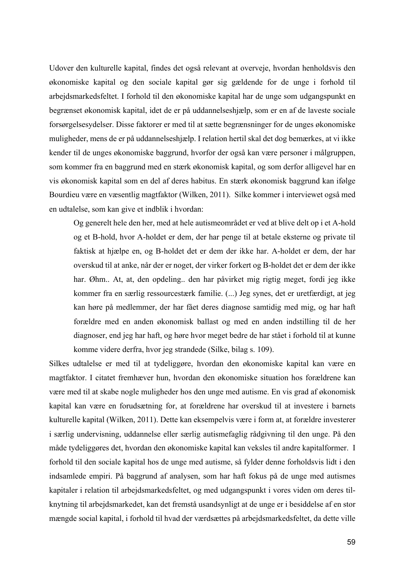Udover den kulturelle kapital, findes det også relevant at overveje, hvordan henholdsvis den økonomiske kapital og den sociale kapital gør sig gældende for de unge i forhold til arbejdsmarkedsfeltet. I forhold til den økonomiske kapital har de unge som udgangspunkt en begrænset økonomisk kapital, idet de er på uddannelseshjælp, som er en af de laveste sociale forsørgelsesydelser. Disse faktorer er med til at sætte begrænsninger for de unges økonomiske muligheder, mens de er på uddannelseshjælp. I relation hertil skal det dog bemærkes, at vi ikke kender til de unges økonomiske baggrund, hvorfor der også kan være personer i målgruppen, som kommer fra en baggrund med en stærk økonomisk kapital, og som derfor alligevel har en vis økonomisk kapital som en del af deres habitus. En stærk økonomisk baggrund kan ifølge Bourdieu være en væsentlig magtfaktor (Wilken, 2011). Silke kommer i interviewet også med en udtalelse, som kan give et indblik i hvordan:

Og generelt hele den her, med at hele autismeområdet er ved at blive delt op i et A-hold og et B-hold, hvor A-holdet er dem, der har penge til at betale eksterne og private til faktisk at hjælpe en, og B-holdet det er dem der ikke har. A-holdet er dem, der har overskud til at anke, når der er noget, der virker forkert og B-holdet det er dem der ikke har. Øhm.. At, at, den opdeling.. den har påvirket mig rigtig meget, fordi jeg ikke kommer fra en særlig ressourcestærk familie. (...) Jeg synes, det er uretfærdigt, at jeg kan høre på medlemmer, der har fået deres diagnose samtidig med mig, og har haft forældre med en anden økonomisk ballast og med en anden indstilling til de her diagnoser, end jeg har haft, og høre hvor meget bedre de har stået i forhold til at kunne komme videre derfra, hvor jeg strandede (Silke, bilag s. 109).

Silkes udtalelse er med til at tydeliggøre, hvordan den økonomiske kapital kan være en magtfaktor. I citatet fremhæver hun, hvordan den økonomiske situation hos forældrene kan være med til at skabe nogle muligheder hos den unge med autisme. En vis grad af økonomisk kapital kan være en forudsætning for, at forældrene har overskud til at investere i barnets kulturelle kapital (Wilken, 2011). Dette kan eksempelvis være i form at, at forældre investerer i særlig undervisning, uddannelse eller særlig autismefaglig rådgivning til den unge. På den måde tydeliggøres det, hvordan den økonomiske kapital kan veksles til andre kapitalformer. I forhold til den sociale kapital hos de unge med autisme, så fylder denne forholdsvis lidt i den indsamlede empiri. På baggrund af analysen, som har haft fokus på de unge med autismes kapitaler i relation til arbejdsmarkedsfeltet, og med udgangspunkt i vores viden om deres tilknytning til arbejdsmarkedet, kan det fremstå usandsynligt at de unge er i besiddelse af en stor mængde social kapital, i forhold til hvad der værdsættes på arbejdsmarkedsfeltet, da dette ville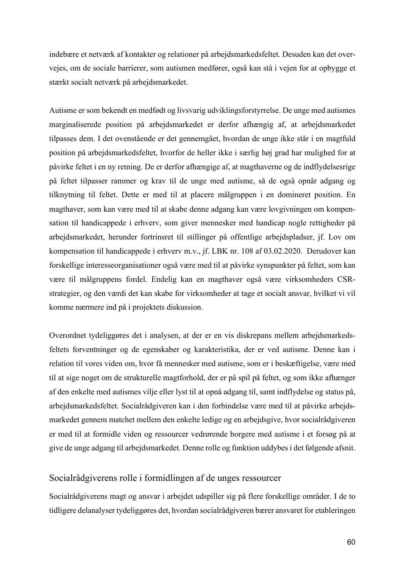indebære et netværk af kontakter og relationer på arbejdsmarkedsfeltet. Desuden kan det overvejes, om de sociale barrierer, som autismen medfører, også kan stå i vejen for at opbygge et stærkt socialt netværk på arbejdsmarkedet.

Autisme er som bekendt en medfødt og livsvarig udviklingsforstyrrelse. De unge med autismes marginaliserede position på arbejdsmarkedet er derfor afhængig af, at arbejdsmarkedet tilpasses dem. I det ovenstående er det gennemgået, hvordan de unge ikke står i en magtfuld position på arbejdsmarkedsfeltet, hvorfor de heller ikke i særlig høj grad har mulighed for at påvirke feltet i en ny retning. De er derfor afhængige af, at magthaverne og de indflydelsesrige på feltet tilpasser rammer og krav til de unge med autisme, så de også opnår adgang og tilknytning til feltet. Dette er med til at placere målgruppen i en domineret position. En magthaver, som kan være med til at skabe denne adgang kan være lovgivningen om kompensation til handicappede i erhverv, som giver mennesker med handicap nogle rettigheder på arbejdsmarkedet, herunder fortrinsret til stillinger på offentlige arbejdspladser, jf. Lov om kompensation til handicappede i erhverv m.v., jf. LBK nr. 108 af 03.02.2020. Derudover kan forskellige interesseorganisationer også være med til at påvirke synspunkter på feltet, som kan være til målgruppens fordel. Endelig kan en magthaver også være virksomheders CSRstrategier, og den værdi det kan skabe for virksomheder at tage et socialt ansvar, hvilket vi vil komme nærmere ind på i projektets diskussion.

Overordnet tydeliggøres det i analysen, at der er en vis diskrepans mellem arbejdsmarkedsfeltets forventninger og de egenskaber og karakteristika, der er ved autisme. Denne kan i relation til vores viden om, hvor få mennesker med autisme, som er i beskæftigelse, være med til at sige noget om de strukturelle magtforhold, der er på spil på feltet, og som ikke afhænger af den enkelte med autismes vilje eller lyst til at opnå adgang til, samt indflydelse og status på, arbejdsmarkedsfeltet. Socialrådgiveren kan i den forbindelse være med til at påvirke arbejdsmarkedet gennem matchet mellem den enkelte ledige og en arbejdsgive, hvor socialrådgiveren er med til at formidle viden og ressourcer vedrørende borgere med autisme i et forsøg på at give de unge adgang til arbejdsmarkedet. Denne rolle og funktion uddybes i det følgende afsnit.

## Socialrådgiverens rolle i formidlingen af de unges ressourcer

Socialrådgiverens magt og ansvar i arbejdet udspiller sig på flere forskellige områder. I de to tidligere delanalyser tydeliggøres det, hvordan socialrådgiveren bærer ansvaret for etableringen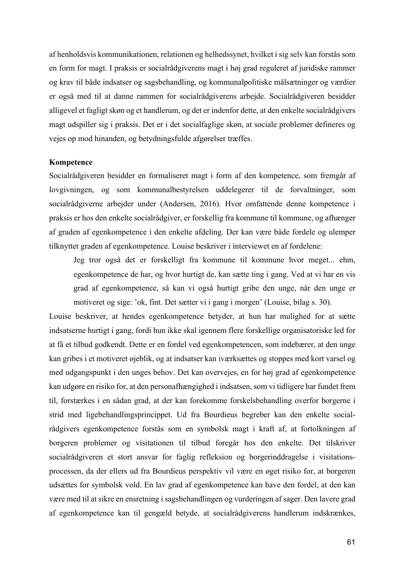af henholdsvis kommunikationen, relationen og helhedssynet, hvilket i sig selv kan forstås som en form for magt. I praksis er socialrådgiverens magt i høj grad reguleret af juridiske rammer og krav til både indsatser og sagsbehandling, og kommunalpolitiske målsætninger og værdier er også med til at danne rammen for socialrådgiverens arbejde. Socialrådgiveren besidder alligevel et fagligt skøn og et handlerum, og det er indenfor dette, at den enkelte socialrådgivers magt udspiller sig i praksis. Det er i det socialfaglige skøn, at sociale problemer defineres og vejes op mod hinanden, og betydningsfulde afgørelser træffes.

#### **Kompetence**

Socialrådgiveren besidder en formaliseret magt i form af den kompetence, som fremgår af lovgivningen, og som kommunalbestyrelsen uddelegerer til de forvaltninger, som socialrådgiverne arbejder under (Andersen, 2016). Hvor omfattende denne kompetence i praksis er hos den enkelte socialrådgiver, er forskellig fra kommune til kommune, og afhænger af graden af egenkompetence i den enkelte afdeling. Der kan være både fordele og ulemper tilknyttet graden af egenkompetence. Louise beskriver i interviewet en af fordelene:

Jeg tror også det er forskelligt fra kommune til kommune hvor meget... ehm, egenkompetence de har, og hvor hurtigt de, kan sætte ting i gang. Ved at vi har en vis grad af egenkompetence, så kan vi også hurtigt gribe den unge, når den unge er motiveret og sige: 'ok, fint. Det sætter vi i gang i morgen' (Louise, bilag s. 30).

Louise beskriver, at hendes egenkompetence betyder, at hun har mulighed for at sætte indsatserne hurtigt i gang, fordi hun ikke skal igennem flere forskellige organisatoriske led for at få et tilbud godkendt. Dette er en fordel ved egenkompetencen, som indebærer, at den unge kan gribes i et motiveret øjeblik, og at indsatser kan iværksættes og stoppes med kort varsel og med udgangspunkt i den unges behov. Det kan overvejes, en for høj grad af egenkompetence kan udgøre en risiko for, at den personafhængighed i indsatsen, som vi tidligere har fundet frem til, forstærkes i en sådan grad, at der kan forekomme forskelsbehandling overfor borgerne i strid med ligebehandlingsprincippet. Ud fra Bourdieus begreber kan den enkelte socialrådgivers egenkompetence forstås som en symbolsk magt i kraft af, at fortolkningen af borgeren problemer og visitationen til tilbud foregår hos den enkelte. Det tilskriver socialrådgiveren et stort ansvar for faglig refleksion og borgerinddragelse i visitationsprocessen, da der ellers ud fra Bourdieus perspektiv vil være en øget risiko for, at borgeren udsættes for symbolsk vold. En lav grad af egenkompetence kan have den fordel, at den kan være med til at sikre en ensretning i sagsbehandlingen og vurderingen af sager. Den lavere grad af egenkompetence kan til gengæld betyde, at socialrådgiverens handlerum indskrænkes,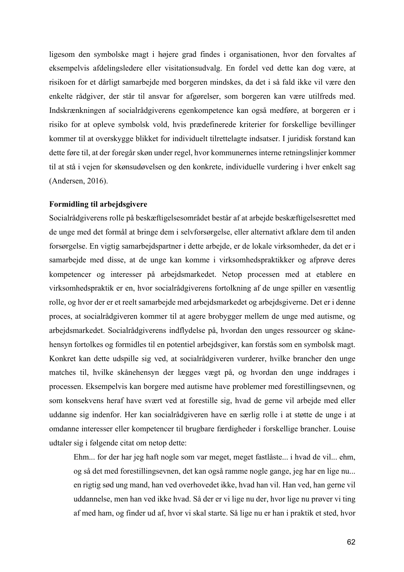ligesom den symbolske magt i højere grad findes i organisationen, hvor den forvaltes af eksempelvis afdelingsledere eller visitationsudvalg. En fordel ved dette kan dog være, at risikoen for et dårligt samarbejde med borgeren mindskes, da det i så fald ikke vil være den enkelte rådgiver, der står til ansvar for afgørelser, som borgeren kan være utilfreds med. Indskrænkningen af socialrådgiverens egenkompetence kan også medføre, at borgeren er i risiko for at opleve symbolsk vold, hvis prædefinerede kriterier for forskellige bevillinger kommer til at overskygge blikket for individuelt tilrettelagte indsatser. I juridisk forstand kan dette føre til, at der foregår skøn under regel, hvor kommunernes interne retningslinjer kommer til at stå i vejen for skønsudøvelsen og den konkrete, individuelle vurdering i hver enkelt sag (Andersen, 2016).

#### **Formidling til arbejdsgivere**

Socialrådgiverens rolle på beskæftigelsesområdet består af at arbejde beskæftigelsesrettet med de unge med det formål at bringe dem i selvforsørgelse, eller alternativt afklare dem til anden forsørgelse. En vigtig samarbejdspartner i dette arbejde, er de lokale virksomheder, da det er i samarbejde med disse, at de unge kan komme i virksomhedspraktikker og afprøve deres kompetencer og interesser på arbejdsmarkedet. Netop processen med at etablere en virksomhedspraktik er en, hvor socialrådgiverens fortolkning af de unge spiller en væsentlig rolle, og hvor der er et reelt samarbejde med arbejdsmarkedet og arbejdsgiverne. Det er i denne proces, at socialrådgiveren kommer til at agere brobygger mellem de unge med autisme, og arbejdsmarkedet. Socialrådgiverens indflydelse på, hvordan den unges ressourcer og skånehensyn fortolkes og formidles til en potentiel arbejdsgiver, kan forstås som en symbolsk magt. Konkret kan dette udspille sig ved, at socialrådgiveren vurderer, hvilke brancher den unge matches til, hvilke skånehensyn der lægges vægt på, og hvordan den unge inddrages i processen. Eksempelvis kan borgere med autisme have problemer med forestillingsevnen, og som konsekvens heraf have svært ved at forestille sig, hvad de gerne vil arbejde med eller uddanne sig indenfor. Her kan socialrådgiveren have en særlig rolle i at støtte de unge i at omdanne interesser eller kompetencer til brugbare færdigheder i forskellige brancher. Louise udtaler sig i følgende citat om netop dette:

Ehm... for der har jeg haft nogle som var meget, meget fastlåste... i hvad de vil... ehm, og så det med forestillingsevnen, det kan også ramme nogle gange, jeg har en lige nu... en rigtig sød ung mand, han ved overhovedet ikke, hvad han vil. Han ved, han gerne vil uddannelse, men han ved ikke hvad. Så der er vi lige nu der, hvor lige nu prøver vi ting af med ham, og finder ud af, hvor vi skal starte. Så lige nu er han i praktik et sted, hvor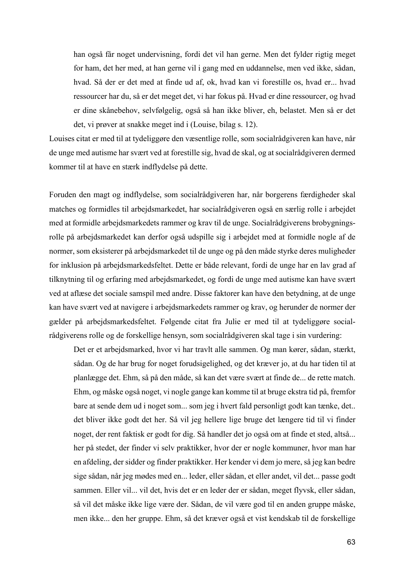han også får noget undervisning, fordi det vil han gerne. Men det fylder rigtig meget for ham, det her med, at han gerne vil i gang med en uddannelse, men ved ikke, sådan, hvad. Så der er det med at finde ud af, ok, hvad kan vi forestille os, hvad er... hvad ressourcer har du, så er det meget det, vi har fokus på. Hvad er dine ressourcer, og hvad er dine skånebehov, selvfølgelig, også så han ikke bliver, eh, belastet. Men så er det det, vi prøver at snakke meget ind i (Louise, bilag s. 12).

Louises citat er med til at tydeliggøre den væsentlige rolle, som socialrådgiveren kan have, når de unge med autisme har svært ved at forestille sig, hvad de skal, og at socialrådgiveren dermed kommer til at have en stærk indflydelse på dette.

Foruden den magt og indflydelse, som socialrådgiveren har, når borgerens færdigheder skal matches og formidles til arbejdsmarkedet, har socialrådgiveren også en særlig rolle i arbejdet med at formidle arbejdsmarkedets rammer og krav til de unge. Socialrådgiverens brobygningsrolle på arbejdsmarkedet kan derfor også udspille sig i arbejdet med at formidle nogle af de normer, som eksisterer på arbejdsmarkedet til de unge og på den måde styrke deres muligheder for inklusion på arbejdsmarkedsfeltet. Dette er både relevant, fordi de unge har en lav grad af tilknytning til og erfaring med arbejdsmarkedet, og fordi de unge med autisme kan have svært ved at aflæse det sociale samspil med andre. Disse faktorer kan have den betydning, at de unge kan have svært ved at navigere i arbejdsmarkedets rammer og krav, og herunder de normer der gælder på arbejdsmarkedsfeltet. Følgende citat fra Julie er med til at tydeliggøre socialrådgiverens rolle og de forskellige hensyn, som socialrådgiveren skal tage i sin vurdering:

Det er et arbejdsmarked, hvor vi har travlt alle sammen. Og man kører, sådan, stærkt, sådan. Og de har brug for noget forudsigelighed, og det kræver jo, at du har tiden til at planlægge det. Ehm, så på den måde, så kan det være svært at finde de... de rette match. Ehm, og måske også noget, vi nogle gange kan komme til at bruge ekstra tid på, fremfor bare at sende dem ud i noget som... som jeg i hvert fald personligt godt kan tænke, det.. det bliver ikke godt det her. Så vil jeg hellere lige bruge det længere tid til vi finder noget, der rent faktisk er godt for dig. Så handler det jo også om at finde et sted, altså... her på stedet, der finder vi selv praktikker, hvor der er nogle kommuner, hvor man har en afdeling, der sidder og finder praktikker. Her kender vi dem jo mere, så jeg kan bedre sige sådan, når jeg mødes med en... leder, eller sådan, et eller andet, vil det... passe godt sammen. Eller vil... vil det, hvis det er en leder der er sådan, meget flyvsk, eller sådan, så vil det måske ikke lige være der. Sådan, de vil være god til en anden gruppe måske, men ikke... den her gruppe. Ehm, så det kræver også et vist kendskab til de forskellige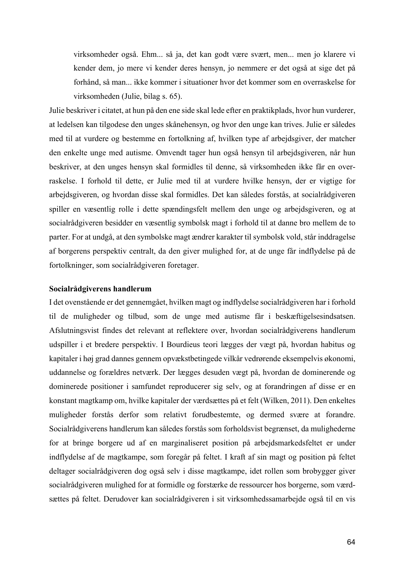virksomheder også. Ehm... så ja, det kan godt være svært, men... men jo klarere vi kender dem, jo mere vi kender deres hensyn, jo nemmere er det også at sige det på forhånd, så man... ikke kommer i situationer hvor det kommer som en overraskelse for virksomheden (Julie, bilag s. 65).

Julie beskriver i citatet, at hun på den ene side skal lede efter en praktikplads, hvor hun vurderer, at ledelsen kan tilgodese den unges skånehensyn, og hvor den unge kan trives. Julie er således med til at vurdere og bestemme en fortolkning af, hvilken type af arbejdsgiver, der matcher den enkelte unge med autisme. Omvendt tager hun også hensyn til arbejdsgiveren, når hun beskriver, at den unges hensyn skal formidles til denne, så virksomheden ikke får en overraskelse. I forhold til dette, er Julie med til at vurdere hvilke hensyn, der er vigtige for arbejdsgiveren, og hvordan disse skal formidles. Det kan således forstås, at socialrådgiveren spiller en væsentlig rolle i dette spændingsfelt mellem den unge og arbejdsgiveren, og at socialrådgiveren besidder en væsentlig symbolsk magt i forhold til at danne bro mellem de to parter. For at undgå, at den symbolske magt ændrer karakter til symbolsk vold, står inddragelse af borgerens perspektiv centralt, da den giver mulighed for, at de unge får indflydelse på de fortolkninger, som socialrådgiveren foretager.

#### **Socialrådgiverens handlerum**

I det ovenstående er det gennemgået, hvilken magt og indflydelse socialrådgiveren har i forhold til de muligheder og tilbud, som de unge med autisme får i beskæftigelsesindsatsen. Afslutningsvist findes det relevant at reflektere over, hvordan socialrådgiverens handlerum udspiller i et bredere perspektiv. I Bourdieus teori lægges der vægt på, hvordan habitus og kapitaler i høj grad dannes gennem opvækstbetingede vilkår vedrørende eksempelvis økonomi, uddannelse og forældres netværk. Der lægges desuden vægt på, hvordan de dominerende og dominerede positioner i samfundet reproducerer sig selv, og at forandringen af disse er en konstant magtkamp om, hvilke kapitaler der værdsættes på et felt (Wilken, 2011). Den enkeltes muligheder forstås derfor som relativt forudbestemte, og dermed svære at forandre. Socialrådgiverens handlerum kan således forstås som forholdsvist begrænset, da mulighederne for at bringe borgere ud af en marginaliseret position på arbejdsmarkedsfeltet er under indflydelse af de magtkampe, som foregår på feltet. I kraft af sin magt og position på feltet deltager socialrådgiveren dog også selv i disse magtkampe, idet rollen som brobygger giver socialrådgiveren mulighed for at formidle og forstærke de ressourcer hos borgerne, som værdsættes på feltet. Derudover kan socialrådgiveren i sit virksomhedssamarbejde også til en vis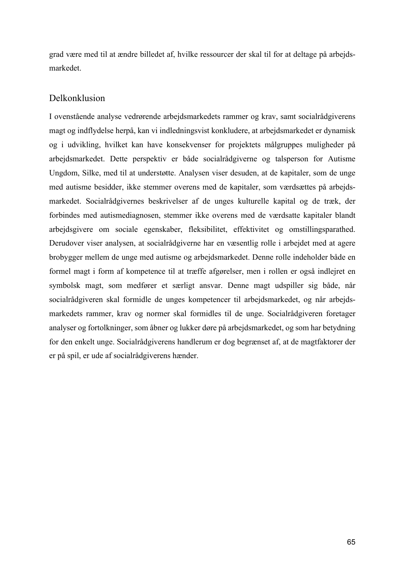grad være med til at ændre billedet af, hvilke ressourcer der skal til for at deltage på arbejdsmarkedet.

## Delkonklusion

I ovenstående analyse vedrørende arbejdsmarkedets rammer og krav, samt socialrådgiverens magt og indflydelse herpå, kan vi indledningsvist konkludere, at arbejdsmarkedet er dynamisk og i udvikling, hvilket kan have konsekvenser for projektets målgruppes muligheder på arbejdsmarkedet. Dette perspektiv er både socialrådgiverne og talsperson for Autisme Ungdom, Silke, med til at understøtte. Analysen viser desuden, at de kapitaler, som de unge med autisme besidder, ikke stemmer overens med de kapitaler, som værdsættes på arbejdsmarkedet. Socialrådgivernes beskrivelser af de unges kulturelle kapital og de træk, der forbindes med autismediagnosen, stemmer ikke overens med de værdsatte kapitaler blandt arbejdsgivere om sociale egenskaber, fleksibilitet, effektivitet og omstillingsparathed. Derudover viser analysen, at socialrådgiverne har en væsentlig rolle i arbejdet med at agere brobygger mellem de unge med autisme og arbejdsmarkedet. Denne rolle indeholder både en formel magt i form af kompetence til at træffe afgørelser, men i rollen er også indlejret en symbolsk magt, som medfører et særligt ansvar. Denne magt udspiller sig både, når socialrådgiveren skal formidle de unges kompetencer til arbejdsmarkedet, og når arbejdsmarkedets rammer, krav og normer skal formidles til de unge. Socialrådgiveren foretager analyser og fortolkninger, som åbner og lukker døre på arbejdsmarkedet, og som har betydning for den enkelt unge. Socialrådgiverens handlerum er dog begrænset af, at de magtfaktorer der er på spil, er ude af socialrådgiverens hænder.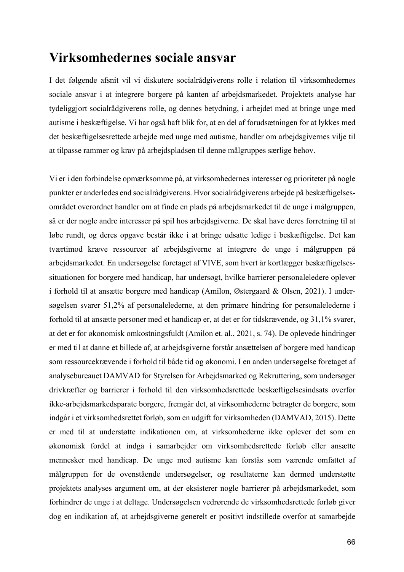# **Virksomhedernes sociale ansvar**

I det følgende afsnit vil vi diskutere socialrådgiverens rolle i relation til virksomhedernes sociale ansvar i at integrere borgere på kanten af arbejdsmarkedet. Projektets analyse har tydeliggjort socialrådgiverens rolle, og dennes betydning, i arbejdet med at bringe unge med autisme i beskæftigelse. Vi har også haft blik for, at en del af forudsætningen for at lykkes med det beskæftigelsesrettede arbejde med unge med autisme, handler om arbejdsgivernes vilje til at tilpasse rammer og krav på arbejdspladsen til denne målgruppes særlige behov.

Vi er i den forbindelse opmærksomme på, at virksomhedernes interesser og prioriteter på nogle punkter er anderledes end socialrådgiverens. Hvor socialrådgiverens arbejde på beskæftigelsesområdet overordnet handler om at finde en plads på arbejdsmarkedet til de unge i målgruppen, så er der nogle andre interesser på spil hos arbejdsgiverne. De skal have deres forretning til at løbe rundt, og deres opgave består ikke i at bringe udsatte ledige i beskæftigelse. Det kan tværtimod kræve ressourcer af arbejdsgiverne at integrere de unge i målgruppen på arbejdsmarkedet. En undersøgelse foretaget af VIVE, som hvert år kortlægger beskæftigelsessituationen for borgere med handicap, har undersøgt, hvilke barrierer personaleledere oplever i forhold til at ansætte borgere med handicap (Amilon, Østergaard & Olsen, 2021). I undersøgelsen svarer 51,2% af personalelederne, at den primære hindring for personalelederne i forhold til at ansætte personer med et handicap er, at det er for tidskrævende, og 31,1% svarer, at det er for økonomisk omkostningsfuldt (Amilon et. al., 2021, s. 74). De oplevede hindringer er med til at danne et billede af, at arbejdsgiverne forstår ansættelsen af borgere med handicap som ressourcekrævende i forhold til både tid og økonomi. I en anden undersøgelse foretaget af analysebureauet DAMVAD for Styrelsen for Arbejdsmarked og Rekruttering, som undersøger drivkræfter og barrierer i forhold til den virksomhedsrettede beskæftigelsesindsats overfor ikke-arbejdsmarkedsparate borgere, fremgår det, at virksomhederne betragter de borgere, som indgår i et virksomhedsrettet forløb, som en udgift for virksomheden (DAMVAD, 2015). Dette er med til at understøtte indikationen om, at virksomhederne ikke oplever det som en økonomisk fordel at indgå i samarbejder om virksomhedsrettede forløb eller ansætte mennesker med handicap. De unge med autisme kan forstås som værende omfattet af målgruppen for de ovenstående undersøgelser, og resultaterne kan dermed understøtte projektets analyses argument om, at der eksisterer nogle barrierer på arbejdsmarkedet, som forhindrer de unge i at deltage. Undersøgelsen vedrørende de virksomhedsrettede forløb giver dog en indikation af, at arbejdsgiverne generelt er positivt indstillede overfor at samarbejde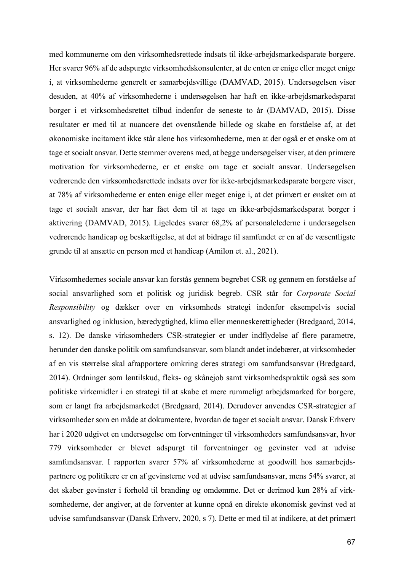med kommunerne om den virksomhedsrettede indsats til ikke-arbejdsmarkedsparate borgere. Her svarer 96% af de adspurgte virksomhedskonsulenter, at de enten er enige eller meget enige i, at virksomhederne generelt er samarbejdsvillige (DAMVAD, 2015). Undersøgelsen viser desuden, at 40% af virksomhederne i undersøgelsen har haft en ikke-arbejdsmarkedsparat borger i et virksomhedsrettet tilbud indenfor de seneste to år (DAMVAD, 2015). Disse resultater er med til at nuancere det ovenstående billede og skabe en forståelse af, at det økonomiske incitament ikke står alene hos virksomhederne, men at der også er et ønske om at tage et socialt ansvar. Dette stemmer overens med, at begge undersøgelser viser, at den primære motivation for virksomhederne, er et ønske om tage et socialt ansvar. Undersøgelsen vedrørende den virksomhedsrettede indsats over for ikke-arbejdsmarkedsparate borgere viser, at 78% af virksomhederne er enten enige eller meget enige i, at det primært er ønsket om at tage et socialt ansvar, der har fået dem til at tage en ikke-arbejdsmarkedsparat borger i aktivering (DAMVAD, 2015). Ligeledes svarer 68,2% af personalelederne i undersøgelsen vedrørende handicap og beskæftigelse, at det at bidrage til samfundet er en af de væsentligste grunde til at ansætte en person med et handicap (Amilon et. al., 2021).

Virksomhedernes sociale ansvar kan forstås gennem begrebet CSR og gennem en forståelse af social ansvarlighed som et politisk og juridisk begreb. CSR står for *Corporate Social Responsibility* og dækker over en virksomheds strategi indenfor eksempelvis social ansvarlighed og inklusion, bæredygtighed, klima eller menneskerettigheder (Bredgaard, 2014, s. 12). De danske virksomheders CSR-strategier er under indflydelse af flere parametre, herunder den danske politik om samfundsansvar, som blandt andet indebærer, at virksomheder af en vis størrelse skal afrapportere omkring deres strategi om samfundsansvar (Bredgaard, 2014). Ordninger som løntilskud, fleks- og skånejob samt virksomhedspraktik også ses som politiske virkemidler i en strategi til at skabe et mere rummeligt arbejdsmarked for borgere, som er langt fra arbejdsmarkedet (Bredgaard, 2014). Derudover anvendes CSR-strategier af virksomheder som en måde at dokumentere, hvordan de tager et socialt ansvar. Dansk Erhverv har i 2020 udgivet en undersøgelse om forventninger til virksomheders samfundsansvar, hvor 779 virksomheder er blevet adspurgt til forventninger og gevinster ved at udvise samfundsansvar. I rapporten svarer 57% af virksomhederne at goodwill hos samarbejdspartnere og politikere er en af gevinsterne ved at udvise samfundsansvar, mens 54% svarer, at det skaber gevinster i forhold til branding og omdømme. Det er derimod kun 28% af virksomhederne, der angiver, at de forventer at kunne opnå en direkte økonomisk gevinst ved at udvise samfundsansvar (Dansk Erhverv, 2020, s 7). Dette er med til at indikere, at det primært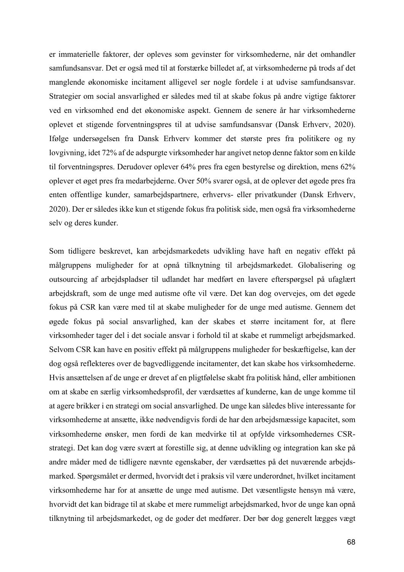er immaterielle faktorer, der opleves som gevinster for virksomhederne, når det omhandler samfundsansvar. Det er også med til at forstærke billedet af, at virksomhederne på trods af det manglende økonomiske incitament alligevel ser nogle fordele i at udvise samfundsansvar. Strategier om social ansvarlighed er således med til at skabe fokus på andre vigtige faktorer ved en virksomhed end det økonomiske aspekt. Gennem de senere år har virksomhederne oplevet et stigende forventningspres til at udvise samfundsansvar (Dansk Erhverv, 2020). Ifølge undersøgelsen fra Dansk Erhverv kommer det største pres fra politikere og ny lovgivning, idet 72% af de adspurgte virksomheder har angivet netop denne faktor som en kilde til forventningspres. Derudover oplever 64% pres fra egen bestyrelse og direktion, mens 62% oplever et øget pres fra medarbejderne. Over 50% svarer også, at de oplever det øgede pres fra enten offentlige kunder, samarbejdspartnere, erhvervs- eller privatkunder (Dansk Erhverv, 2020). Der er således ikke kun et stigende fokus fra politisk side, men også fra virksomhederne selv og deres kunder.

Som tidligere beskrevet, kan arbejdsmarkedets udvikling have haft en negativ effekt på målgruppens muligheder for at opnå tilknytning til arbejdsmarkedet. Globalisering og outsourcing af arbejdspladser til udlandet har medført en lavere efterspørgsel på ufaglært arbejdskraft, som de unge med autisme ofte vil være. Det kan dog overvejes, om det øgede fokus på CSR kan være med til at skabe muligheder for de unge med autisme. Gennem det øgede fokus på social ansvarlighed, kan der skabes et større incitament for, at flere virksomheder tager del i det sociale ansvar i forhold til at skabe et rummeligt arbejdsmarked. Selvom CSR kan have en positiv effekt på målgruppens muligheder for beskæftigelse, kan der dog også reflekteres over de bagvedliggende incitamenter, det kan skabe hos virksomhederne. Hvis ansættelsen af de unge er drevet af en pligtfølelse skabt fra politisk hånd, eller ambitionen om at skabe en særlig virksomhedsprofil, der værdsættes af kunderne, kan de unge komme til at agere brikker i en strategi om social ansvarlighed. De unge kan således blive interessante for virksomhederne at ansætte, ikke nødvendigvis fordi de har den arbejdsmæssige kapacitet, som virksomhederne ønsker, men fordi de kan medvirke til at opfylde virksomhedernes CSRstrategi. Det kan dog være svært at forestille sig, at denne udvikling og integration kan ske på andre måder med de tidligere nævnte egenskaber, der værdsættes på det nuværende arbejdsmarked. Spørgsmålet er dermed, hvorvidt det i praksis vil være underordnet, hvilket incitament virksomhederne har for at ansætte de unge med autisme. Det væsentligste hensyn må være, hvorvidt det kan bidrage til at skabe et mere rummeligt arbejdsmarked, hvor de unge kan opnå tilknytning til arbejdsmarkedet, og de goder det medfører. Der bør dog generelt lægges vægt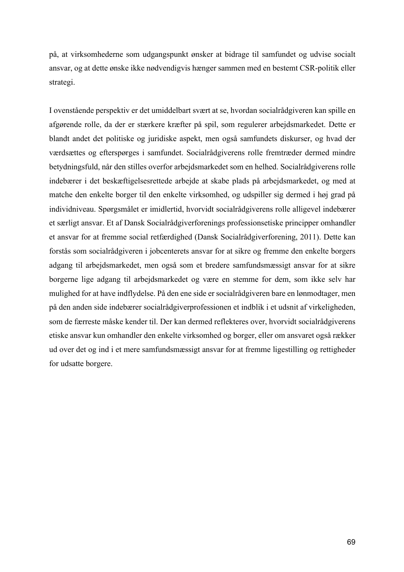på, at virksomhederne som udgangspunkt ønsker at bidrage til samfundet og udvise socialt ansvar, og at dette ønske ikke nødvendigvis hænger sammen med en bestemt CSR-politik eller strategi.

I ovenstående perspektiv er det umiddelbart svært at se, hvordan socialrådgiveren kan spille en afgørende rolle, da der er stærkere kræfter på spil, som regulerer arbejdsmarkedet. Dette er blandt andet det politiske og juridiske aspekt, men også samfundets diskurser, og hvad der værdsættes og efterspørges i samfundet. Socialrådgiverens rolle fremtræder dermed mindre betydningsfuld, når den stilles overfor arbejdsmarkedet som en helhed. Socialrådgiverens rolle indebærer i det beskæftigelsesrettede arbejde at skabe plads på arbejdsmarkedet, og med at matche den enkelte borger til den enkelte virksomhed, og udspiller sig dermed i høj grad på individniveau. Spørgsmålet er imidlertid, hvorvidt socialrådgiverens rolle alligevel indebærer et særligt ansvar. Et af Dansk Socialrådgiverforenings professionsetiske principper omhandler et ansvar for at fremme social retfærdighed (Dansk Socialrådgiverforening, 2011). Dette kan forstås som socialrådgiveren i jobcenterets ansvar for at sikre og fremme den enkelte borgers adgang til arbejdsmarkedet, men også som et bredere samfundsmæssigt ansvar for at sikre borgerne lige adgang til arbejdsmarkedet og være en stemme for dem, som ikke selv har mulighed for at have indflydelse. På den ene side er socialrådgiveren bare en lønmodtager, men på den anden side indebærer socialrådgiverprofessionen et indblik i et udsnit af virkeligheden, som de færreste måske kender til. Der kan dermed reflekteres over, hvorvidt socialrådgiverens etiske ansvar kun omhandler den enkelte virksomhed og borger, eller om ansvaret også rækker ud over det og ind i et mere samfundsmæssigt ansvar for at fremme ligestilling og rettigheder for udsatte borgere.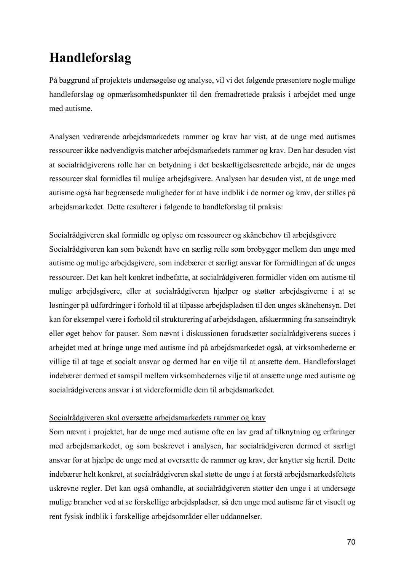# **Handleforslag**

På baggrund af projektets undersøgelse og analyse, vil vi det følgende præsentere nogle mulige handleforslag og opmærksomhedspunkter til den fremadrettede praksis i arbejdet med unge med autisme.

Analysen vedrørende arbejdsmarkedets rammer og krav har vist, at de unge med autismes ressourcer ikke nødvendigvis matcher arbejdsmarkedets rammer og krav. Den har desuden vist at socialrådgiverens rolle har en betydning i det beskæftigelsesrettede arbejde, når de unges ressourcer skal formidles til mulige arbejdsgivere. Analysen har desuden vist, at de unge med autisme også har begrænsede muligheder for at have indblik i de normer og krav, der stilles på arbejdsmarkedet. Dette resulterer i følgende to handleforslag til praksis:

### Socialrådgiveren skal formidle og oplyse om ressourcer og skånebehov til arbejdsgivere

Socialrådgiveren kan som bekendt have en særlig rolle som brobygger mellem den unge med autisme og mulige arbejdsgivere, som indebærer et særligt ansvar for formidlingen af de unges ressourcer. Det kan helt konkret indbefatte, at socialrådgiveren formidler viden om autisme til mulige arbejdsgivere, eller at socialrådgiveren hjælper og støtter arbejdsgiverne i at se løsninger på udfordringer i forhold til at tilpasse arbejdspladsen til den unges skånehensyn. Det kan for eksempel være i forhold til strukturering af arbejdsdagen, afskærmning fra sanseindtryk eller øget behov for pauser. Som nævnt i diskussionen forudsætter socialrådgiverens succes i arbejdet med at bringe unge med autisme ind på arbejdsmarkedet også, at virksomhederne er villige til at tage et socialt ansvar og dermed har en vilje til at ansætte dem. Handleforslaget indebærer dermed et samspil mellem virksomhedernes vilje til at ansætte unge med autisme og socialrådgiverens ansvar i at videreformidle dem til arbejdsmarkedet.

### Socialrådgiveren skal oversætte arbejdsmarkedets rammer og krav

Som nævnt i projektet, har de unge med autisme ofte en lav grad af tilknytning og erfaringer med arbejdsmarkedet, og som beskrevet i analysen, har socialrådgiveren dermed et særligt ansvar for at hjælpe de unge med at oversætte de rammer og krav, der knytter sig hertil. Dette indebærer helt konkret, at socialrådgiveren skal støtte de unge i at forstå arbejdsmarkedsfeltets uskrevne regler. Det kan også omhandle, at socialrådgiveren støtter den unge i at undersøge mulige brancher ved at se forskellige arbejdspladser, så den unge med autisme får et visuelt og rent fysisk indblik i forskellige arbejdsområder eller uddannelser.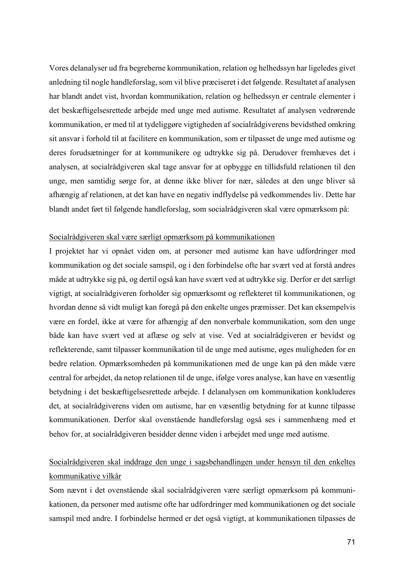Vores delanalyser ud fra begreberne kommunikation, relation og helhedssyn har ligeledes givet anledning til nogle handleforslag, som vil blive præciseret i det følgende. Resultatet af analysen har blandt andet vist, hvordan kommunikation, relation og helhedssyn er centrale elementer i det beskæftigelsesrettede arbejde med unge med autisme. Resultatet af analysen vedrørende kommunikation, er med til at tydeliggøre vigtigheden af socialrådgiverens bevidsthed omkring sit ansvar i forhold til at facilitere en kommunikation, som er tilpasset de unge med autisme og deres forudsætninger for at kommunikere og udtrykke sig på. Derudover fremhæves det i analysen, at socialrådgiveren skal tage ansvar for at opbygge en tillidsfuld relationen til den unge, men samtidig sørge for, at denne ikke bliver for nær, således at den unge bliver så afhængig af relationen, at det kan have en negativ indflydelse på vedkommendes liv. Dette har blandt andet ført til følgende handleforslag, som socialrådgiveren skal være opmærksom på:

### Socialrådgiveren skal være særligt opmærksom på kommunikationen

I projektet har vi opnået viden om, at personer med autisme kan have udfordringer med kommunikation og det sociale samspil, og i den forbindelse ofte har svært ved at forstå andres måde at udtrykke sig på, og dertil også kan have svært ved at udtrykke sig. Derfor er det særligt vigtigt, at socialrådgiveren forholder sig opmærksomt og reflekteret til kommunikationen, og hvordan denne så vidt muligt kan foregå på den enkelte unges præmisser. Det kan eksempelvis være en fordel, ikke at være for afhængig af den nonverbale kommunikation, som den unge både kan have svært ved at aflæse og selv at vise. Ved at socialrådgiveren er bevidst og reflekterende, samt tilpasser kommunikation til de unge med autisme, øges muligheden for en bedre relation. Opmærksomheden på kommunikationen med de unge kan på den måde være central for arbejdet, da netop relationen til de unge, ifølge vores analyse, kan have en væsentlig betydning i det beskæftigelsesrettede arbejde. I delanalysen om kommunikation konkluderes det, at socialrådgiverens viden om autisme, har en væsentlig betydning for at kunne tilpasse kommunikationen. Derfor skal ovenstående handleforslag også ses i sammenhæng med et behov for, at socialrådgiveren besidder denne viden i arbejdet med unge med autisme.

### Socialrådgiveren skal inddrage den unge i sagsbehandlingen under hensyn til den enkeltes kommunikative vilkår

Som nævnt i det ovenstående skal socialrådgiveren være særligt opmærksom på kommunikationen, da personer med autisme ofte har udfordringer med kommunikationen og det sociale samspil med andre. I forbindelse hermed er det også vigtigt, at kommunikationen tilpasses de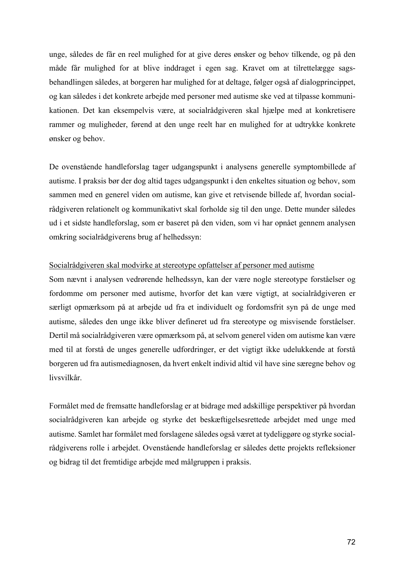unge, således de får en reel mulighed for at give deres ønsker og behov tilkende, og på den måde får mulighed for at blive inddraget i egen sag. Kravet om at tilrettelægge sagsbehandlingen således, at borgeren har mulighed for at deltage, følger også af dialogprincippet, og kan således i det konkrete arbejde med personer med autisme ske ved at tilpasse kommunikationen. Det kan eksempelvis være, at socialrådgiveren skal hjælpe med at konkretisere rammer og muligheder, førend at den unge reelt har en mulighed for at udtrykke konkrete ønsker og behov.

De ovenstående handleforslag tager udgangspunkt i analysens generelle symptombillede af autisme. I praksis bør der dog altid tages udgangspunkt i den enkeltes situation og behov, som sammen med en generel viden om autisme, kan give et retvisende billede af, hvordan socialrådgiveren relationelt og kommunikativt skal forholde sig til den unge. Dette munder således ud i et sidste handleforslag, som er baseret på den viden, som vi har opnået gennem analysen omkring socialrådgiverens brug af helhedssyn:

#### Socialrådgiveren skal modvirke at stereotype opfattelser af personer med autisme

Som nævnt i analysen vedrørende helhedssyn, kan der være nogle stereotype forståelser og fordomme om personer med autisme, hvorfor det kan være vigtigt, at socialrådgiveren er særligt opmærksom på at arbejde ud fra et individuelt og fordomsfrit syn på de unge med autisme, således den unge ikke bliver defineret ud fra stereotype og misvisende forståelser. Dertil må socialrådgiveren være opmærksom på, at selvom generel viden om autisme kan være med til at forstå de unges generelle udfordringer, er det vigtigt ikke udelukkende at forstå borgeren ud fra autismediagnosen, da hvert enkelt individ altid vil have sine særegne behov og livsvilkår.

Formålet med de fremsatte handleforslag er at bidrage med adskillige perspektiver på hvordan socialrådgiveren kan arbejde og styrke det beskæftigelsesrettede arbejdet med unge med autisme. Samlet har formålet med forslagene således også været at tydeliggøre og styrke socialrådgiverens rolle i arbejdet. Ovenstående handleforslag er således dette projekts refleksioner og bidrag til det fremtidige arbejde med målgruppen i praksis.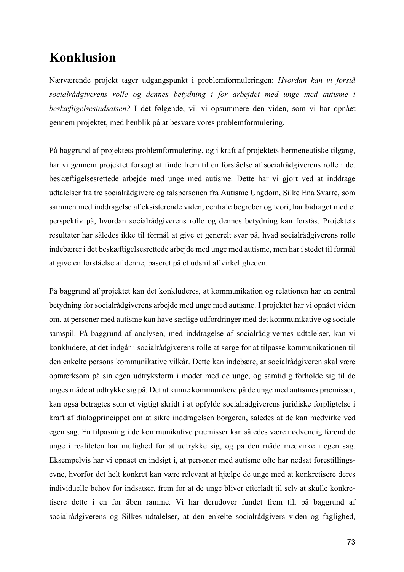## **Konklusion**

Nærværende projekt tager udgangspunkt i problemformuleringen: *Hvordan kan vi forstå socialrådgiverens rolle og dennes betydning i for arbejdet med unge med autisme i beskæftigelsesindsatsen?* I det følgende, vil vi opsummere den viden, som vi har opnået gennem projektet, med henblik på at besvare vores problemformulering.

På baggrund af projektets problemformulering, og i kraft af projektets hermeneutiske tilgang, har vi gennem projektet forsøgt at finde frem til en forståelse af socialrådgiverens rolle i det beskæftigelsesrettede arbejde med unge med autisme. Dette har vi gjort ved at inddrage udtalelser fra tre socialrådgivere og talspersonen fra Autisme Ungdom, Silke Ena Svarre, som sammen med inddragelse af eksisterende viden, centrale begreber og teori, har bidraget med et perspektiv på, hvordan socialrådgiverens rolle og dennes betydning kan forstås. Projektets resultater har således ikke til formål at give et generelt svar på, hvad socialrådgiverens rolle indebærer i det beskæftigelsesrettede arbejde med unge med autisme, men har i stedet til formål at give en forståelse af denne, baseret på et udsnit af virkeligheden.

På baggrund af projektet kan det konkluderes, at kommunikation og relationen har en central betydning for socialrådgiverens arbejde med unge med autisme. I projektet har vi opnået viden om, at personer med autisme kan have særlige udfordringer med det kommunikative og sociale samspil. På baggrund af analysen, med inddragelse af socialrådgivernes udtalelser, kan vi konkludere, at det indgår i socialrådgiverens rolle at sørge for at tilpasse kommunikationen til den enkelte persons kommunikative vilkår. Dette kan indebære, at socialrådgiveren skal være opmærksom på sin egen udtryksform i mødet med de unge, og samtidig forholde sig til de unges måde at udtrykke sig på. Det at kunne kommunikere på de unge med autismes præmisser, kan også betragtes som et vigtigt skridt i at opfylde socialrådgiverens juridiske forpligtelse i kraft af dialogprincippet om at sikre inddragelsen borgeren, således at de kan medvirke ved egen sag. En tilpasning i de kommunikative præmisser kan således være nødvendig førend de unge i realiteten har mulighed for at udtrykke sig, og på den måde medvirke i egen sag. Eksempelvis har vi opnået en indsigt i, at personer med autisme ofte har nedsat forestillingsevne, hvorfor det helt konkret kan være relevant at hjælpe de unge med at konkretisere deres individuelle behov for indsatser, frem for at de unge bliver efterladt til selv at skulle konkretisere dette i en for åben ramme. Vi har derudover fundet frem til, på baggrund af socialrådgiverens og Silkes udtalelser, at den enkelte socialrådgivers viden og faglighed,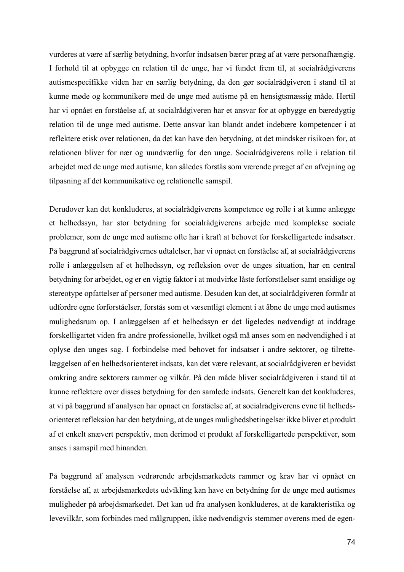vurderes at være af særlig betydning, hvorfor indsatsen bærer præg af at være personafhængig. I forhold til at opbygge en relation til de unge, har vi fundet frem til, at socialrådgiverens autismespecifikke viden har en særlig betydning, da den gør socialrådgiveren i stand til at kunne møde og kommunikere med de unge med autisme på en hensigtsmæssig måde. Hertil har vi opnået en forståelse af, at socialrådgiveren har et ansvar for at opbygge en bæredygtig relation til de unge med autisme. Dette ansvar kan blandt andet indebære kompetencer i at reflektere etisk over relationen, da det kan have den betydning, at det mindsker risikoen for, at relationen bliver for nær og uundværlig for den unge. Socialrådgiverens rolle i relation til arbejdet med de unge med autisme, kan således forstås som værende præget af en afvejning og tilpasning af det kommunikative og relationelle samspil.

Derudover kan det konkluderes, at socialrådgiverens kompetence og rolle i at kunne anlægge et helhedssyn, har stor betydning for socialrådgiverens arbejde med komplekse sociale problemer, som de unge med autisme ofte har i kraft at behovet for forskelligartede indsatser. På baggrund af socialrådgivernes udtalelser, har vi opnået en forståelse af, at socialrådgiverens rolle i anlæggelsen af et helhedssyn, og refleksion over de unges situation, har en central betydning for arbejdet, og er en vigtig faktor i at modvirke låste forforståelser samt ensidige og stereotype opfattelser af personer med autisme. Desuden kan det, at socialrådgiveren formår at udfordre egne forforståelser, forstås som et væsentligt element i at åbne de unge med autismes mulighedsrum op. I anlæggelsen af et helhedssyn er det ligeledes nødvendigt at inddrage forskelligartet viden fra andre professionelle, hvilket også må anses som en nødvendighed i at oplyse den unges sag. I forbindelse med behovet for indsatser i andre sektorer, og tilrettelæggelsen af en helhedsorienteret indsats, kan det være relevant, at socialrådgiveren er bevidst omkring andre sektorers rammer og vilkår. På den måde bliver socialrådgiveren i stand til at kunne reflektere over disses betydning for den samlede indsats. Generelt kan det konkluderes, at vi på baggrund af analysen har opnået en forståelse af, at socialrådgiverens evne til helhedsorienteret refleksion har den betydning, at de unges mulighedsbetingelser ikke bliver et produkt af et enkelt snævert perspektiv, men derimod et produkt af forskelligartede perspektiver, som anses i samspil med hinanden.

På baggrund af analysen vedrørende arbejdsmarkedets rammer og krav har vi opnået en forståelse af, at arbejdsmarkedets udvikling kan have en betydning for de unge med autismes muligheder på arbejdsmarkedet. Det kan ud fra analysen konkluderes, at de karakteristika og levevilkår, som forbindes med målgruppen, ikke nødvendigvis stemmer overens med de egen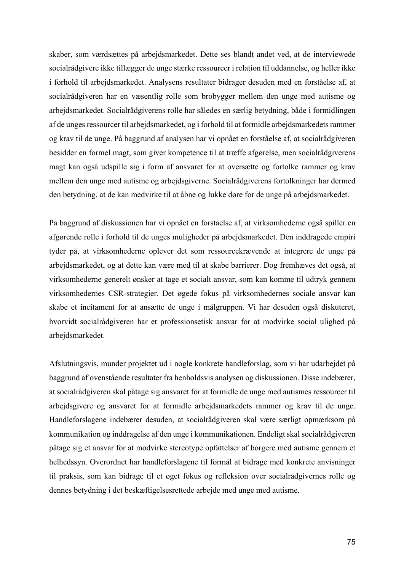skaber, som værdsættes på arbejdsmarkedet. Dette ses blandt andet ved, at de interviewede socialrådgivere ikke tillægger de unge stærke ressourcer i relation til uddannelse, og heller ikke i forhold til arbejdsmarkedet. Analysens resultater bidrager desuden med en forståelse af, at socialrådgiveren har en væsentlig rolle som brobygger mellem den unge med autisme og arbejdsmarkedet. Socialrådgiverens rolle har således en særlig betydning, både i formidlingen af de unges ressourcer til arbejdsmarkedet, og i forhold til at formidle arbejdsmarkedets rammer og krav til de unge. På baggrund af analysen har vi opnået en forståelse af, at socialrådgiveren besidder en formel magt, som giver kompetence til at træffe afgørelse, men socialrådgiverens magt kan også udspille sig i form af ansvaret for at oversætte og fortolke rammer og krav mellem den unge med autisme og arbejdsgiverne. Socialrådgiverens fortolkninger har dermed den betydning, at de kan medvirke til at åbne og lukke døre for de unge på arbejdsmarkedet.

På baggrund af diskussionen har vi opnået en forståelse af, at virksomhederne også spiller en afgørende rolle i forhold til de unges muligheder på arbejdsmarkedet. Den inddragede empiri tyder på, at virksomhederne oplever det som ressourcekrævende at integrere de unge på arbejdsmarkedet, og at dette kan være med til at skabe barrierer. Dog fremhæves det også, at virksomhederne generelt ønsker at tage et socialt ansvar, som kan komme til udtryk gennem virksomhedernes CSR-strategier. Det øgede fokus på virksomhedernes sociale ansvar kan skabe et incitament for at ansætte de unge i målgruppen. Vi har desuden også diskuteret, hvorvidt socialrådgiveren har et professionsetisk ansvar for at modvirke social ulighed på arbejdsmarkedet.

Afslutningsvis, munder projektet ud i nogle konkrete handleforslag, som vi har udarbejdet på baggrund af ovenstående resultater fra henholdsvis analysen og diskussionen. Disse indebærer, at socialrådgiveren skal påtage sig ansvaret for at formidle de unge med autismes ressourcer til arbejdsgivere og ansvaret for at formidle arbejdsmarkedets rammer og krav til de unge. Handleforslagene indebærer desuden, at socialrådgiveren skal være særligt opmærksom på kommunikation og inddragelse af den unge i kommunikationen. Endeligt skal socialrådgiveren påtage sig et ansvar for at modvirke stereotype opfattelser af borgere med autisme gennem et helhedssyn. Overordnet har handleforslagene til formål at bidrage med konkrete anvisninger til praksis, som kan bidrage til et øget fokus og refleksion over socialrådgivernes rolle og dennes betydning i det beskæftigelsesrettede arbejde med unge med autisme.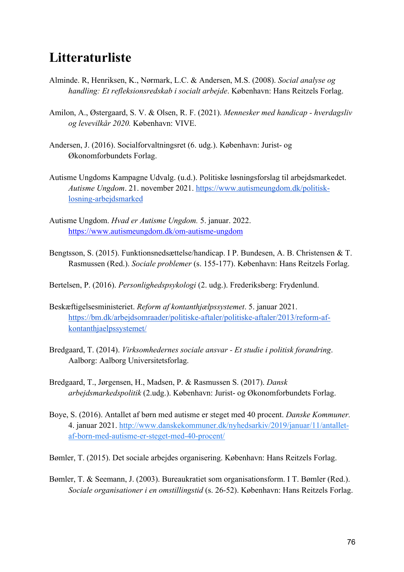### **Litteraturliste**

- Alminde. R, Henriksen, K., Nørmark, L.C. & Andersen, M.S. (2008). *Social analyse og handling: Et refleksionsredskab i socialt arbejde*. København: Hans Reitzels Forlag.
- Amilon, A., Østergaard, S. V. & Olsen, R. F. (2021). *Mennesker med handicap - hverdagsliv og levevilkår 2020.* København: VIVE.
- Andersen, J. (2016). Socialforvaltningsret (6. udg.). København: Jurist- og Økonomforbundets Forlag.
- Autisme Ungdoms Kampagne Udvalg. (u.d.). Politiske løsningsforslag til arbejdsmarkedet. *Autisme Ungdom*. 21. november 2021. https://www.autismeungdom.dk/politisklosning-arbejdsmarked
- Autisme Ungdom. *Hvad er Autisme Ungdom.* 5. januar. 2022. https://www.autismeungdom.dk/om-autisme-ungdom
- Bengtsson, S. (2015). Funktionsnedsættelse/handicap. I P. Bundesen, A. B. Christensen & T. Rasmussen (Red.). *Sociale problemer* (s. 155-177). København: Hans Reitzels Forlag.
- Bertelsen, P. (2016). *Personlighedspsykologi* (2. udg.). Frederiksberg: Frydenlund.
- Beskæftigelsesministeriet. *Reform af kontanthjælpssystemet*. 5. januar 2021. https://bm.dk/arbejdsomraader/politiske-aftaler/politiske-aftaler/2013/reform-afkontanthjaelpssystemet/
- Bredgaard, T. (2014). *Virksomhedernes sociale ansvar - Et studie i politisk forandring*. Aalborg: Aalborg Universitetsforlag.
- Bredgaard, T., Jørgensen, H., Madsen, P. & Rasmussen S. (2017). *Dansk arbejdsmarkedspolitik* (2.udg.). København: Jurist- og Økonomforbundets Forlag.
- Boye, S. (2016). Antallet af børn med autisme er steget med 40 procent. *Danske Kommuner.* 4. januar 2021. http://www.danskekommuner.dk/nyhedsarkiv/2019/januar/11/antalletaf-born-med-autisme-er-steget-med-40-procent/
- Bømler, T. (2015). Det sociale arbejdes organisering. København: Hans Reitzels Forlag.
- Bømler, T. & Seemann, J. (2003). Bureaukratiet som organisationsform. I T. Bømler (Red.). *Sociale organisationer i en omstillingstid* (s. 26-52). København: Hans Reitzels Forlag.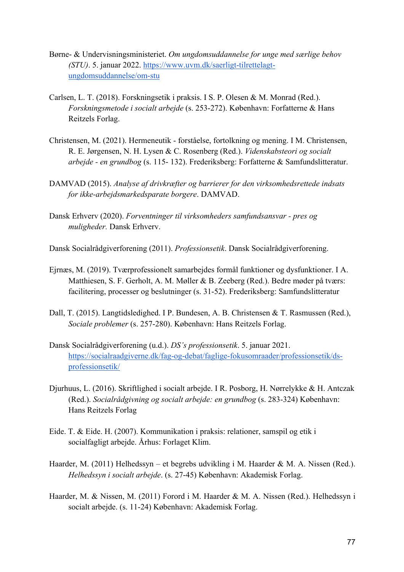- Børne- & Undervisningsministeriet. *Om ungdomsuddannelse for unge med særlige behov (STU)*. 5. januar 2022. https://www.uvm.dk/saerligt-tilrettelagtungdomsuddannelse/om-stu
- Carlsen, L. T. (2018). Forskningsetik i praksis. I S. P. Olesen & M. Monrad (Red.). *Forskningsmetode i socialt arbejde* (s. 253-272). København: Forfatterne & Hans Reitzels Forlag.
- Christensen, M. (2021). Hermeneutik forståelse, fortolkning og mening. I M. Christensen, R. E. Jørgensen, N. H. Lysen & C. Rosenberg (Red.). *Videnskabsteori og socialt arbejde - en grundbog* (s. 115- 132). Frederiksberg: Forfatterne & Samfundslitteratur.
- DAMVAD (2015). *Analyse af drivkræfter og barrierer for den virksomhedsrettede indsats for ikke-arbejdsmarkedsparate borgere*. DAMVAD.
- Dansk Erhverv (2020). *Forventninger til virksomheders samfundsansvar - pres og muligheder.* Dansk Erhverv.
- Dansk Socialrådgiverforening (2011). *Professionsetik*. Dansk Socialrådgiverforening.
- Ejrnæs, M. (2019). Tværprofessionelt samarbejdes formål funktioner og dysfunktioner. I A. Matthiesen, S. F. Gerholt, A. M. Møller & B. Zeeberg (Red.). Bedre møder på tværs: facilitering, processer og beslutninger (s. 31-52). Frederiksberg: Samfundslitteratur
- Dall, T. (2015). Langtidsledighed. I P. Bundesen, A. B. Christensen & T. Rasmussen (Red.), *Sociale problemer* (s. 257-280). København: Hans Reitzels Forlag.
- Dansk Socialrådgiverforening (u.d.). *DS's professionsetik*. 5. januar 2021. https://socialraadgiverne.dk/fag-og-debat/faglige-fokusomraader/professionsetik/dsprofessionsetik/
- Djurhuus, L. (2016). Skriftlighed i socialt arbejde. I R. Posborg, H. Nørrelykke & H. Antczak (Red.). *Socialrådgivning og socialt arbejde: en grundbog* (s. 283-324) København: Hans Reitzels Forlag
- Eide. T. & Eide. H. (2007). Kommunikation i praksis: relationer, samspil og etik i socialfagligt arbejde. Århus: Forlaget Klim.
- Haarder, M. (2011) Helhedssyn et begrebs udvikling i M. Haarder & M. A. Nissen (Red.). *Helhedssyn i socialt arbejde*. (s. 27-45) København: Akademisk Forlag.
- Haarder, M. & Nissen, M. (2011) Forord i M. Haarder & M. A. Nissen (Red.). Helhedssyn i socialt arbejde. (s. 11-24) København: Akademisk Forlag.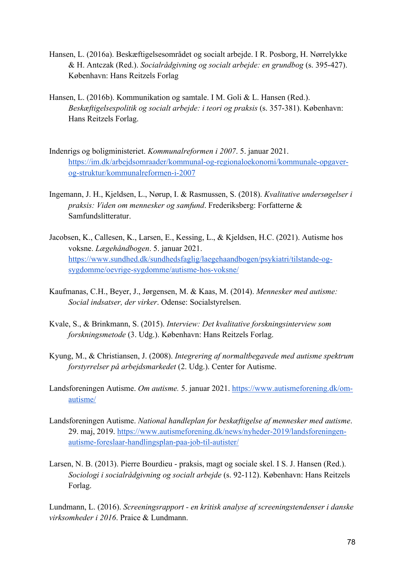- Hansen, L. (2016a). Beskæftigelsesområdet og socialt arbejde. I R. Posborg, H. Nørrelykke & H. Antczak (Red.). *Socialrådgivning og socialt arbejde: en grundbog* (s. 395-427). København: Hans Reitzels Forlag
- Hansen, L. (2016b). Kommunikation og samtale. I M. Goli & L. Hansen (Red.). *Beskæftigelsespolitik og socialt arbejde: i teori og praksis* (s. 357-381). København: Hans Reitzels Forlag.
- Indenrigs og boligministeriet. *Kommunalreformen i 2007*. 5. januar 2021. https://im.dk/arbejdsomraader/kommunal-og-regionaloekonomi/kommunale-opgaverog-struktur/kommunalreformen-i-2007
- Ingemann, J. H., Kjeldsen, L., Nørup, I. & Rasmussen, S. (2018). *Kvalitative undersøgelser i praksis: Viden om mennesker og samfund*. Frederiksberg: Forfatterne & Samfundslitteratur.
- Jacobsen, K., Callesen, K., Larsen, E., Kessing, L., & Kjeldsen, H.C. (2021). Autisme hos voksne. *Lægehåndbogen*. 5. januar 2021. https://www.sundhed.dk/sundhedsfaglig/laegehaandbogen/psykiatri/tilstande-ogsygdomme/oevrige-sygdomme/autisme-hos-voksne/
- Kaufmanas, C.H., Beyer, J., Jørgensen, M. & Kaas, M. (2014). *Mennesker med autisme: Social indsatser, der virker*. Odense: Socialstyrelsen.
- Kvale, S., & Brinkmann, S. (2015). *Interview: Det kvalitative forskningsinterview som forskningsmetode* (3. Udg.). København: Hans Reitzels Forlag.
- Kyung, M., & Christiansen, J. (2008). *Integrering af normaltbegavede med autisme spektrum forstyrrelser på arbejdsmarkedet* (2. Udg.). Center for Autisme.
- Landsforeningen Autisme. *Om autisme.* 5. januar 2021. https://www.autismeforening.dk/omautisme/
- Landsforeningen Autisme. *National handleplan for beskæftigelse af mennesker med autisme*. 29. maj, 2019. https://www.autismeforening.dk/news/nyheder-2019/landsforeningenautisme-foreslaar-handlingsplan-paa-job-til-autister/
- Larsen, N. B. (2013). Pierre Bourdieu praksis, magt og sociale skel. I S. J. Hansen (Red.). *Sociologi i socialrådgivning og socialt arbejde* (s. 92-112). København: Hans Reitzels Forlag.

Lundmann, L. (2016). *Screeningsrapport - en kritisk analyse af screeningstendenser i danske virksomheder i 2016*. Praice & Lundmann.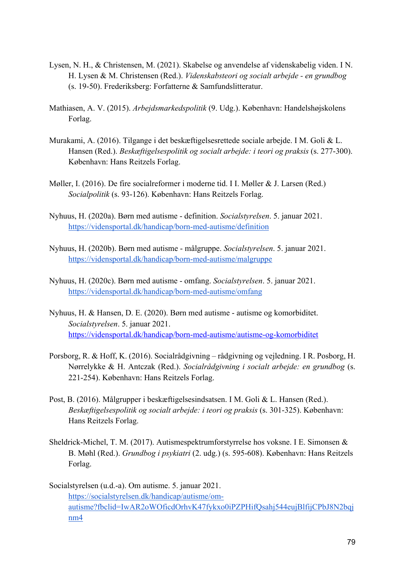- Lysen, N. H., & Christensen, M. (2021). Skabelse og anvendelse af videnskabelig viden. I N. H. Lysen & M. Christensen (Red.). *Videnskabsteori og socialt arbejde - en grundbog* (s. 19-50). Frederiksberg: Forfatterne & Samfundslitteratur.
- Mathiasen, A. V. (2015). *Arbejdsmarkedspolitik* (9. Udg.). København: Handelshøjskolens Forlag.
- Murakami, A. (2016). Tilgange i det beskæftigelsesrettede sociale arbejde. I M. Goli & L. Hansen (Red.). *Beskæftigelsespolitik og socialt arbejde: i teori og praksis* (s. 277-300). København: Hans Reitzels Forlag.
- Møller, I. (2016). De fire socialreformer i moderne tid. I I. Møller & J. Larsen (Red.) *Socialpolitik* (s. 93-126). København: Hans Reitzels Forlag.
- Nyhuus, H. (2020a). Børn med autisme definition. *Socialstyrelsen*. 5. januar 2021. https://vidensportal.dk/handicap/born-med-autisme/definition
- Nyhuus, H. (2020b). Børn med autisme målgruppe. *Socialstyrelsen*. 5. januar 2021. https://vidensportal.dk/handicap/born-med-autisme/malgruppe
- Nyhuus, H. (2020c). Børn med autisme omfang. *Socialstyrelsen*. 5. januar 2021. https://vidensportal.dk/handicap/born-med-autisme/omfang
- Nyhuus, H. & Hansen, D. E. (2020). Børn med autisme autisme og komorbiditet. *Socialstyrelsen*. 5. januar 2021. https://vidensportal.dk/handicap/born-med-autisme/autisme-og-komorbiditet
- Porsborg, R. & Hoff, K. (2016). Socialrådgivning rådgivning og vejledning. I R. Posborg, H. Nørrelykke & H. Antczak (Red.). *Socialrådgivning i socialt arbejde: en grundbog* (s. 221-254). København: Hans Reitzels Forlag.
- Post, B. (2016). Målgrupper i beskæftigelsesindsatsen. I M. Goli & L. Hansen (Red.). *Beskæftigelsespolitik og socialt arbejde: i teori og praksis* (s. 301-325). København: Hans Reitzels Forlag.
- Sheldrick-Michel, T. M. (2017). Autismespektrumforstyrrelse hos voksne. I E. Simonsen & B. Møhl (Red.). *Grundbog i psykiatri* (2. udg.) (s. 595-608). København: Hans Reitzels Forlag.
- Socialstyrelsen (u.d.-a). Om autisme. 5. januar 2021. https://socialstyrelsen.dk/handicap/autisme/omautisme?fbclid=IwAR2oWOficdOrhvK47fykxo0iPZPHifQsahj544eujBlfijCPbJ8N2bqj nm4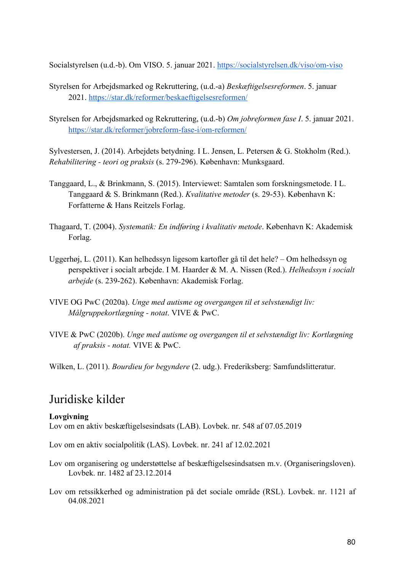Socialstyrelsen (u.d.-b). Om VISO. 5. januar 2021. https://socialstyrelsen.dk/viso/om-viso

- Styrelsen for Arbejdsmarked og Rekruttering, (u.d.-a) *Beskæftigelsesreformen*. 5. januar 2021. https://star.dk/reformer/beskaeftigelsesreformen/
- Styrelsen for Arbejdsmarked og Rekruttering, (u.d.-b) *Om jobreformen fase I*. 5. januar 2021. https://star.dk/reformer/jobreform-fase-i/om-reformen/

Sylvestersen, J. (2014). Arbejdets betydning. I L. Jensen, L. Petersen & G. Stokholm (Red.). *Rehabilitering - teori og praksis* (s. 279-296). København: Munksgaard.

- Tanggaard, L., & Brinkmann, S. (2015). Interviewet: Samtalen som forskningsmetode. I L. Tanggaard & S. Brinkmann (Red.). *Kvalitative metoder* (s. 29-53). København K: Forfatterne & Hans Reitzels Forlag.
- Thagaard, T. (2004). *Systematik: En indføring i kvalitativ metode*. København K: Akademisk Forlag.
- Uggerhøj, L. (2011). Kan helhedssyn ligesom kartofler gå til det hele? Om helhedssyn og perspektiver i socialt arbejde. I M. Haarder & M. A. Nissen (Red.). *Helhedssyn i socialt arbejde* (s. 239-262). København: Akademisk Forlag.
- VIVE OG PwC (2020a). *Unge med autisme og overgangen til et selvstændigt liv: Målgruppekortlægning - notat*. VIVE & PwC.
- VIVE & PwC (2020b). *Unge med autisme og overgangen til et selvstændigt liv: Kortlægning af praksis - notat.* VIVE & PwC.

Wilken, L. (2011). *Bourdieu for begyndere* (2. udg.). Frederiksberg: Samfundslitteratur.

### Juridiske kilder

### **Lovgivning**

Lov om en aktiv beskæftigelsesindsats (LAB). Lovbek. nr. 548 af 07.05.2019

Lov om en aktiv socialpolitik (LAS). Lovbek. nr. 241 af 12.02.2021

- Lov om organisering og understøttelse af beskæftigelsesindsatsen m.v. (Organiseringsloven). Lovbek. nr. 1482 af 23.12.2014
- Lov om retssikkerhed og administration på det sociale område (RSL). Lovbek. nr. 1121 af 04.08.2021